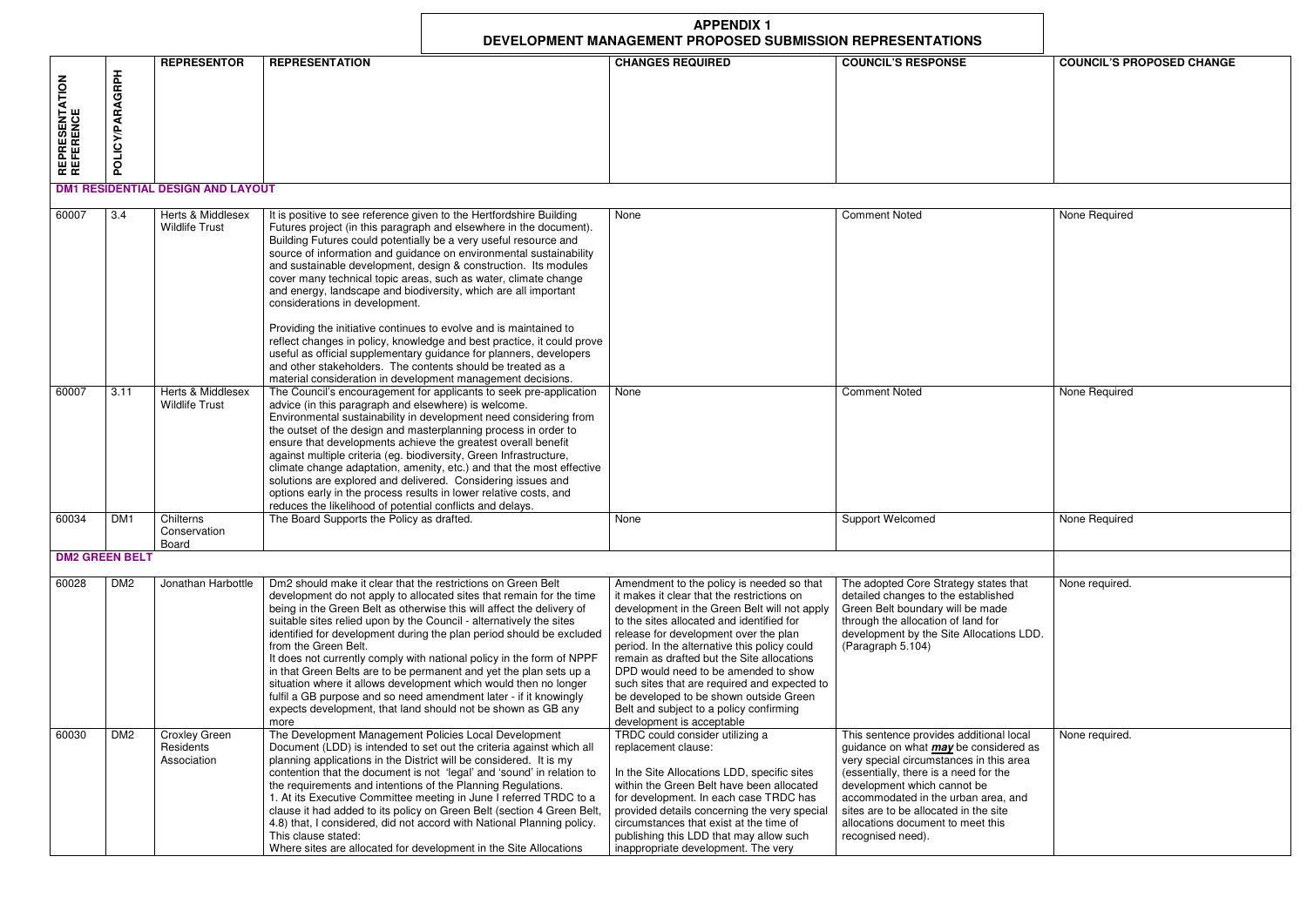|                                     |                        | DEVELOPMENT MANAGEMENT PROPOSED SUBMISSION REPRESENTATIONS |                                                                                                                                                                                                                                                                                                                                                                                                                                                                                                                                                                                                                                                                                                                                                                                                                                                                                   |                                                                                                                                                                                                                                                                                                                                                                                                                                                                                                                                       |                                                                                                                                                                                                                                                                                                                                                      |                                  |
|-------------------------------------|------------------------|------------------------------------------------------------|-----------------------------------------------------------------------------------------------------------------------------------------------------------------------------------------------------------------------------------------------------------------------------------------------------------------------------------------------------------------------------------------------------------------------------------------------------------------------------------------------------------------------------------------------------------------------------------------------------------------------------------------------------------------------------------------------------------------------------------------------------------------------------------------------------------------------------------------------------------------------------------|---------------------------------------------------------------------------------------------------------------------------------------------------------------------------------------------------------------------------------------------------------------------------------------------------------------------------------------------------------------------------------------------------------------------------------------------------------------------------------------------------------------------------------------|------------------------------------------------------------------------------------------------------------------------------------------------------------------------------------------------------------------------------------------------------------------------------------------------------------------------------------------------------|----------------------------------|
| <b>REPRESENTATION<br/>REFERENCE</b> | <b>POLICY/PARAGRPH</b> | <b>REPRESENTOR</b>                                         | <b>REPRESENTATION</b>                                                                                                                                                                                                                                                                                                                                                                                                                                                                                                                                                                                                                                                                                                                                                                                                                                                             | <b>CHANGES REQUIRED</b>                                                                                                                                                                                                                                                                                                                                                                                                                                                                                                               | <b>COUNCIL'S RESPONSE</b>                                                                                                                                                                                                                                                                                                                            | <b>COUNCIL'S PROPOSED CHANGE</b> |
|                                     |                        | <b>DM1 RESIDENTIAL DESIGN AND LAYOUT</b>                   |                                                                                                                                                                                                                                                                                                                                                                                                                                                                                                                                                                                                                                                                                                                                                                                                                                                                                   |                                                                                                                                                                                                                                                                                                                                                                                                                                                                                                                                       |                                                                                                                                                                                                                                                                                                                                                      |                                  |
| 60007                               | 3.4                    | Herts & Middlesex<br><b>Wildlife Trust</b>                 | It is positive to see reference given to the Hertfordshire Building<br>Futures project (in this paragraph and elsewhere in the document).<br>Building Futures could potentially be a very useful resource and<br>source of information and guidance on environmental sustainability<br>and sustainable development, design & construction. Its modules<br>cover many technical topic areas, such as water, climate change<br>and energy, landscape and biodiversity, which are all important<br>considerations in development.<br>Providing the initiative continues to evolve and is maintained to<br>reflect changes in policy, knowledge and best practice, it could prove<br>useful as official supplementary guidance for planners, developers<br>and other stakeholders. The contents should be treated as a<br>material consideration in development management decisions. | None                                                                                                                                                                                                                                                                                                                                                                                                                                                                                                                                  | <b>Comment Noted</b>                                                                                                                                                                                                                                                                                                                                 | None Required                    |
| 60007                               | 3.11                   | Herts & Middlesex<br><b>Wildlife Trust</b>                 | The Council's encouragement for applicants to seek pre-application<br>advice (in this paragraph and elsewhere) is welcome.<br>Environmental sustainability in development need considering from<br>the outset of the design and masterplanning process in order to<br>ensure that developments achieve the greatest overall benefit<br>against multiple criteria (eg. biodiversity, Green Infrastructure,<br>climate change adaptation, amenity, etc.) and that the most effective<br>solutions are explored and delivered. Considering issues and<br>options early in the process results in lower relative costs, and<br>reduces the likelihood of potential conflicts and delays.                                                                                                                                                                                              | None                                                                                                                                                                                                                                                                                                                                                                                                                                                                                                                                  | <b>Comment Noted</b>                                                                                                                                                                                                                                                                                                                                 | None Required                    |
| 60034                               | DM <sub>1</sub>        | Chilterns<br>Conservation<br>Board                         | The Board Supports the Policy as drafted.                                                                                                                                                                                                                                                                                                                                                                                                                                                                                                                                                                                                                                                                                                                                                                                                                                         | None                                                                                                                                                                                                                                                                                                                                                                                                                                                                                                                                  | <b>Support Welcomed</b>                                                                                                                                                                                                                                                                                                                              | None Required                    |
| <b>DM2 GREEN BELT</b>               |                        |                                                            |                                                                                                                                                                                                                                                                                                                                                                                                                                                                                                                                                                                                                                                                                                                                                                                                                                                                                   |                                                                                                                                                                                                                                                                                                                                                                                                                                                                                                                                       |                                                                                                                                                                                                                                                                                                                                                      |                                  |
| 60028                               | DM <sub>2</sub>        | Jonathan Harbottle                                         | Dm2 should make it clear that the restrictions on Green Belt<br>development do not apply to allocated sites that remain for the time<br>being in the Green Belt as otherwise this will affect the delivery of<br>suitable sites relied upon by the Council - alternatively the sites<br>identified for development during the plan period should be excluded<br>from the Green Belt.<br>It does not currently comply with national policy in the form of NPPF<br>in that Green Belts are to be permanent and yet the plan sets up a<br>situation where it allows development which would then no longer<br>fulfil a GB purpose and so need amendment later - if it knowingly<br>expects development, that land should not be shown as GB any<br>more                                                                                                                              | Amendment to the policy is needed so that<br>it makes it clear that the restrictions on<br>development in the Green Belt will not apply<br>to the sites allocated and identified for<br>release for development over the plan<br>period. In the alternative this policy could<br>remain as drafted but the Site allocations<br>DPD would need to be amended to show<br>such sites that are required and expected to<br>be developed to be shown outside Green<br>Belt and subject to a policy confirming<br>development is acceptable | The adopted Core Strategy states that<br>detailed changes to the established<br>Green Belt boundary will be made<br>through the allocation of land for<br>development by the Site Allocations LDD.<br>(Paragraph 5.104)                                                                                                                              | None required.                   |
| 60030                               | DM <sub>2</sub>        | <b>Croxley Green</b><br>Residents<br>Association           | The Development Management Policies Local Development<br>Document (LDD) is intended to set out the criteria against which all<br>planning applications in the District will be considered. It is my<br>contention that the document is not 'legal' and 'sound' in relation to<br>the requirements and intentions of the Planning Regulations.<br>1. At its Executive Committee meeting in June I referred TRDC to a<br>clause it had added to its policy on Green Belt (section 4 Green Belt<br>4.8) that, I considered, did not accord with National Planning policy.<br>This clause stated:<br>Where sites are allocated for development in the Site Allocations                                                                                                                                                                                                                | TRDC could consider utilizing a<br>replacement clause:<br>In the Site Allocations LDD, specific sites<br>within the Green Belt have been allocated<br>for development. In each case TRDC has<br>provided details concerning the very special<br>circumstances that exist at the time of<br>publishing this LDD that may allow such<br>ingnoronriate development The very                                                                                                                                                              | This sentence provides additional local<br>guidance on what <i>may</i> be considered as<br>very special circumstances in this area<br>(essentially, there is a need for the<br>development which cannot be<br>accommodated in the urban area, and<br>sites are to be allocated in the site<br>allocations document to meet this<br>recognised need). | None required.                   |

| 60028 | DM <sub>2</sub> | Jonathan Harbottle                               | Dm2 should make it clear that the restrictions on Green Belt<br>development do not apply to allocated sites that remain for the time<br>being in the Green Belt as otherwise this will affect the delivery of<br>suitable sites relied upon by the Council - alternatively the sites<br>identified for development during the plan period should be excluded<br>from the Green Belt.<br>It does not currently comply with national policy in the form of NPPF<br>in that Green Belts are to be permanent and yet the plan sets up a<br>situation where it allows development which would then no longer<br>fulfil a GB purpose and so need amendment later - if it knowingly<br>expects development, that land should not be shown as GB any | Amendment to the policy is needed so that<br>it makes it clear that the restrictions on<br>development in the Green Belt will not apply<br>to the sites allocated and identified for<br>release for development over the plan<br>period. In the alternative this policy could<br>remain as drafted but the Site allocations<br>DPD would need to be amended to show<br>such sites that are required and expected to<br>be developed to be shown outside Green<br>Belt and subject to a policy confirming | The adopted Core Strategy s<br>detailed changes to the esta<br>Green Belt boundary will be<br>through the allocation of land<br>development by the Site Allo<br>(Paragraph 5.104)                                                                                                   |
|-------|-----------------|--------------------------------------------------|----------------------------------------------------------------------------------------------------------------------------------------------------------------------------------------------------------------------------------------------------------------------------------------------------------------------------------------------------------------------------------------------------------------------------------------------------------------------------------------------------------------------------------------------------------------------------------------------------------------------------------------------------------------------------------------------------------------------------------------------|----------------------------------------------------------------------------------------------------------------------------------------------------------------------------------------------------------------------------------------------------------------------------------------------------------------------------------------------------------------------------------------------------------------------------------------------------------------------------------------------------------|-------------------------------------------------------------------------------------------------------------------------------------------------------------------------------------------------------------------------------------------------------------------------------------|
| 60030 | DM <sub>2</sub> | <b>Croxley Green</b><br>Residents<br>Association | more<br>The Development Management Policies Local Development<br>Document (LDD) is intended to set out the criteria against which all<br>planning applications in the District will be considered. It is my<br>contention that the document is not 'legal' and 'sound' in relation to<br>the requirements and intentions of the Planning Regulations.<br>1. At its Executive Committee meeting in June I referred TRDC to a<br>clause it had added to its policy on Green Belt (section 4 Green Belt,<br>4.8) that, I considered, did not accord with National Planning policy.<br>This clause stated:<br>Where sites are allocated for development in the Site Allocations                                                                  | development is acceptable<br>TRDC could consider utilizing a<br>replacement clause:<br>In the Site Allocations LDD, specific sites<br>within the Green Belt have been allocated<br>for development. In each case TRDC has<br>provided details concerning the very special<br>circumstances that exist at the time of<br>publishing this LDD that may allow such<br>inappropriate development. The very                                                                                                   | This sentence provides addi<br>guidance on what <i>may</i> be co<br>very special circumstances i<br>(essentially, there is a need<br>development which cannot b<br>accommodated in the urban<br>sites are to be allocated in th<br>allocations document to mee<br>recognised need). |

## **APPENDIX 1**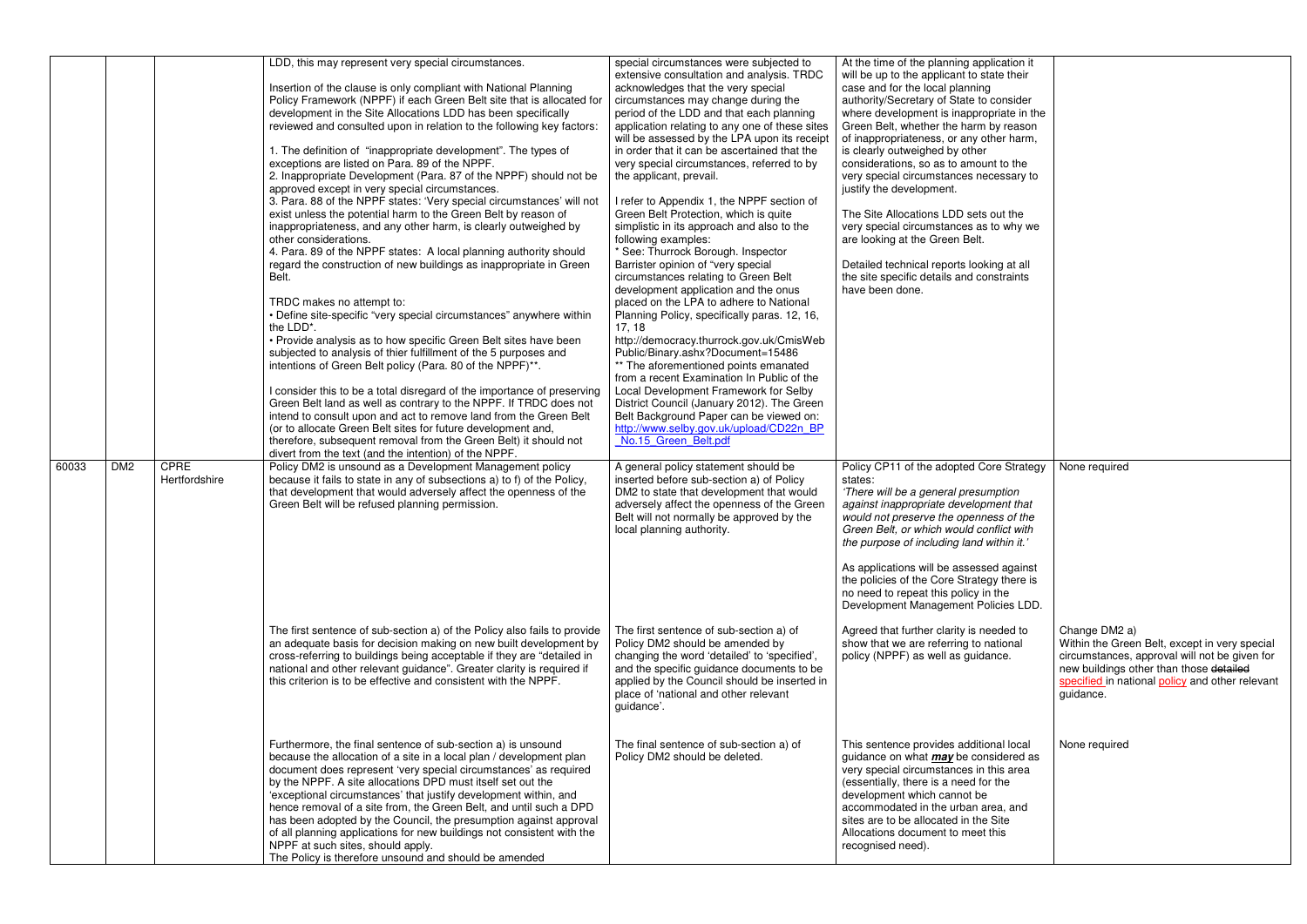|       |                 |                              | LDD, this may represent very special circumstances.<br>Insertion of the clause is only compliant with National Planning<br>Policy Framework (NPPF) if each Green Belt site that is allocated for<br>development in the Site Allocations LDD has been specifically<br>reviewed and consulted upon in relation to the following key factors:<br>1. The definition of "inappropriate development". The types of<br>exceptions are listed on Para. 89 of the NPPF.<br>2. Inappropriate Development (Para. 87 of the NPPF) should not be<br>approved except in very special circumstances.<br>3. Para. 88 of the NPPF states: 'Very special circumstances' will not<br>exist unless the potential harm to the Green Belt by reason of<br>inappropriateness, and any other harm, is clearly outweighed by<br>other considerations.<br>4. Para. 89 of the NPPF states: A local planning authority should<br>regard the construction of new buildings as inappropriate in Green<br>Belt.<br>TRDC makes no attempt to:<br>• Define site-specific "very special circumstances" anywhere within<br>the LDD*.<br>• Provide analysis as to how specific Green Belt sites have been<br>subjected to analysis of thier fulfillment of the 5 purposes and<br>intentions of Green Belt policy (Para. 80 of the NPPF)**.<br>I consider this to be a total disregard of the importance of preserving<br>Green Belt land as well as contrary to the NPPF. If TRDC does not<br>intend to consult upon and act to remove land from the Green Belt<br>(or to allocate Green Belt sites for future development and, | special circumstances were subjected to<br>extensive consultation and analysis. TRDC<br>acknowledges that the very special<br>circumstances may change during the<br>period of the LDD and that each planning<br>application relating to any one of these sites<br>will be assessed by the LPA upon its receipt<br>in order that it can be ascertained that the<br>very special circumstances, referred to by<br>the applicant, prevail.<br>I refer to Appendix 1, the NPPF section of<br>Green Belt Protection, which is quite<br>simplistic in its approach and also to the<br>following examples:<br>* See: Thurrock Borough. Inspector<br>Barrister opinion of "very special<br>circumstances relating to Green Belt<br>development application and the onus<br>placed on the LPA to adhere to National<br>Planning Policy, specifically paras. 12, 16,<br>17, 18<br>http://democracy.thurrock.gov.uk/CmisWeb<br>Public/Binary.ashx?Document=15486<br>** The aforementioned points emanated<br>from a recent Examination In Public of the<br>Local Development Framework for Selby<br>District Council (January 2012). The Green<br>Belt Background Paper can be viewed on:<br>http://www.selby.gov.uk/upload/CD22n BP | At the time of the planning application it<br>will be up to the applicant to state their<br>case and for the local planning<br>authority/Secretary of State to consider<br>where development is inappropriate in the<br>Green Belt, whether the harm by reason<br>of inappropriateness, or any other harm,<br>is clearly outweighed by other<br>considerations, so as to amount to the<br>very special circumstances necessary to<br>justify the development.<br>The Site Allocations LDD sets out the<br>very special circumstances as to why we<br>are looking at the Green Belt.<br>Detailed technical reports looking at all<br>the site specific details and constraints<br>have been done. |                                                                                                                                                                                                                            |
|-------|-----------------|------------------------------|---------------------------------------------------------------------------------------------------------------------------------------------------------------------------------------------------------------------------------------------------------------------------------------------------------------------------------------------------------------------------------------------------------------------------------------------------------------------------------------------------------------------------------------------------------------------------------------------------------------------------------------------------------------------------------------------------------------------------------------------------------------------------------------------------------------------------------------------------------------------------------------------------------------------------------------------------------------------------------------------------------------------------------------------------------------------------------------------------------------------------------------------------------------------------------------------------------------------------------------------------------------------------------------------------------------------------------------------------------------------------------------------------------------------------------------------------------------------------------------------------------------------------------------------------------------------------------------------|----------------------------------------------------------------------------------------------------------------------------------------------------------------------------------------------------------------------------------------------------------------------------------------------------------------------------------------------------------------------------------------------------------------------------------------------------------------------------------------------------------------------------------------------------------------------------------------------------------------------------------------------------------------------------------------------------------------------------------------------------------------------------------------------------------------------------------------------------------------------------------------------------------------------------------------------------------------------------------------------------------------------------------------------------------------------------------------------------------------------------------------------------------------------------------------------------------------------------|--------------------------------------------------------------------------------------------------------------------------------------------------------------------------------------------------------------------------------------------------------------------------------------------------------------------------------------------------------------------------------------------------------------------------------------------------------------------------------------------------------------------------------------------------------------------------------------------------------------------------------------------------------------------------------------------------|----------------------------------------------------------------------------------------------------------------------------------------------------------------------------------------------------------------------------|
|       |                 |                              | therefore, subsequent removal from the Green Belt) it should not                                                                                                                                                                                                                                                                                                                                                                                                                                                                                                                                                                                                                                                                                                                                                                                                                                                                                                                                                                                                                                                                                                                                                                                                                                                                                                                                                                                                                                                                                                                            | No.15 Green Belt.pdf                                                                                                                                                                                                                                                                                                                                                                                                                                                                                                                                                                                                                                                                                                                                                                                                                                                                                                                                                                                                                                                                                                                                                                                                       |                                                                                                                                                                                                                                                                                                                                                                                                                                                                                                                                                                                                                                                                                                  |                                                                                                                                                                                                                            |
| 60033 | DM <sub>2</sub> | <b>CPRE</b><br>Hertfordshire | divert from the text (and the intention) of the NPPF.<br>Policy DM2 is unsound as a Development Management policy<br>because it fails to state in any of subsections a) to f) of the Policy,<br>that development that would adversely affect the openness of the<br>Green Belt will be refused planning permission.                                                                                                                                                                                                                                                                                                                                                                                                                                                                                                                                                                                                                                                                                                                                                                                                                                                                                                                                                                                                                                                                                                                                                                                                                                                                         | A general policy statement should be<br>inserted before sub-section a) of Policy<br>DM2 to state that development that would<br>adversely affect the openness of the Green<br>Belt will not normally be approved by the<br>local planning authority.                                                                                                                                                                                                                                                                                                                                                                                                                                                                                                                                                                                                                                                                                                                                                                                                                                                                                                                                                                       | Policy CP11 of the adopted Core Strategy<br>states:<br>'There will be a general presumption<br>against inappropriate development that<br>would not preserve the openness of the<br>Green Belt, or which would conflict with<br>the purpose of including land within it.'<br>As applications will be assessed against<br>the policies of the Core Strategy there is<br>no need to repeat this policy in the<br>Development Management Policies LDD.                                                                                                                                                                                                                                               | None required                                                                                                                                                                                                              |
|       |                 |                              | The first sentence of sub-section a) of the Policy also fails to provide<br>an adequate basis for decision making on new built development by<br>cross-referring to buildings being acceptable if they are "detailed in<br>national and other relevant guidance". Greater clarity is required if<br>this criterion is to be effective and consistent with the NPPF.                                                                                                                                                                                                                                                                                                                                                                                                                                                                                                                                                                                                                                                                                                                                                                                                                                                                                                                                                                                                                                                                                                                                                                                                                         | The first sentence of sub-section a) of<br>Policy DM2 should be amended by<br>changing the word 'detailed' to 'specified',<br>and the specific guidance documents to be<br>applied by the Council should be inserted in<br>place of 'national and other relevant<br>guidance'.                                                                                                                                                                                                                                                                                                                                                                                                                                                                                                                                                                                                                                                                                                                                                                                                                                                                                                                                             | Agreed that further clarity is needed to<br>show that we are referring to national<br>policy (NPPF) as well as guidance.                                                                                                                                                                                                                                                                                                                                                                                                                                                                                                                                                                         | Change DM2 a)<br>Within the Green Belt, except in very special<br>circumstances, approval will not be given for<br>new buildings other than those detailed<br>specified in national policy and other relevant<br>guidance. |
|       |                 |                              | Furthermore, the final sentence of sub-section a) is unsound<br>because the allocation of a site in a local plan / development plan<br>document does represent 'very special circumstances' as required<br>by the NPPF. A site allocations DPD must itself set out the<br>'exceptional circumstances' that justify development within, and<br>hence removal of a site from, the Green Belt, and until such a DPD<br>has been adopted by the Council, the presumption against approval<br>of all planning applications for new buildings not consistent with the<br>NPPF at such sites, should apply.<br>The Policy is therefore unsound and should be amended                                                                                                                                                                                                                                                                                                                                                                                                                                                                                                                                                                                                                                                                                                                                                                                                                                                                                                                               | The final sentence of sub-section a) of<br>Policy DM2 should be deleted.                                                                                                                                                                                                                                                                                                                                                                                                                                                                                                                                                                                                                                                                                                                                                                                                                                                                                                                                                                                                                                                                                                                                                   | This sentence provides additional local<br>guidance on what <i>may</i> be considered as<br>very special circumstances in this area<br>(essentially, there is a need for the<br>development which cannot be<br>accommodated in the urban area, and<br>sites are to be allocated in the Site<br>Allocations document to meet this<br>recognised need).                                                                                                                                                                                                                                                                                                                                             | None required                                                                                                                                                                                                              |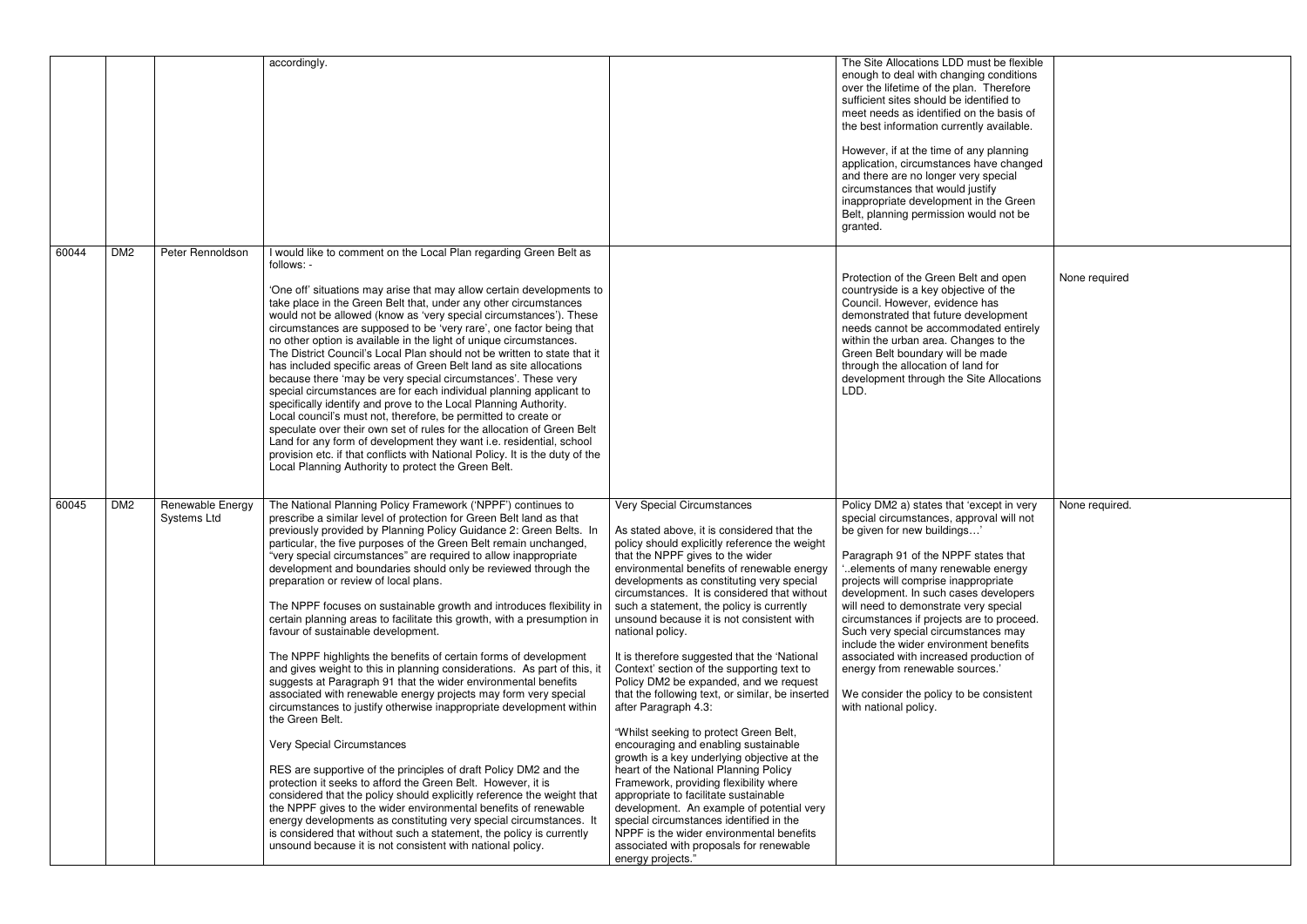|       |                 |                                        | accordingly.                                                                                                                                                                                                                                                                                                                                                                                                                                                                                                                                                                                                                                                                                                                                                                                                                                                                                                                                                                                                                                                                                                                                                                                                                                                                                                                                                                                                                                                                                                                                                     |                                                                                                                                                                                                                                                                                                                                                                                                                                                                                                                                                                                                                                                                                                                                                                                                                                                                                                                                                                                                                                                                                                                    | The Site Allocations LDD must be flexible<br>enough to deal with changing conditions<br>over the lifetime of the plan. Therefore<br>sufficient sites should be identified to<br>meet needs as identified on the basis of<br>the best information currently available.<br>However, if at the time of any planning<br>application, circumstances have changed<br>and there are no longer very special<br>circumstances that would justify<br>inappropriate development in the Green<br>Belt, planning permission would not be<br>granted.                                                                      |                |
|-------|-----------------|----------------------------------------|------------------------------------------------------------------------------------------------------------------------------------------------------------------------------------------------------------------------------------------------------------------------------------------------------------------------------------------------------------------------------------------------------------------------------------------------------------------------------------------------------------------------------------------------------------------------------------------------------------------------------------------------------------------------------------------------------------------------------------------------------------------------------------------------------------------------------------------------------------------------------------------------------------------------------------------------------------------------------------------------------------------------------------------------------------------------------------------------------------------------------------------------------------------------------------------------------------------------------------------------------------------------------------------------------------------------------------------------------------------------------------------------------------------------------------------------------------------------------------------------------------------------------------------------------------------|--------------------------------------------------------------------------------------------------------------------------------------------------------------------------------------------------------------------------------------------------------------------------------------------------------------------------------------------------------------------------------------------------------------------------------------------------------------------------------------------------------------------------------------------------------------------------------------------------------------------------------------------------------------------------------------------------------------------------------------------------------------------------------------------------------------------------------------------------------------------------------------------------------------------------------------------------------------------------------------------------------------------------------------------------------------------------------------------------------------------|--------------------------------------------------------------------------------------------------------------------------------------------------------------------------------------------------------------------------------------------------------------------------------------------------------------------------------------------------------------------------------------------------------------------------------------------------------------------------------------------------------------------------------------------------------------------------------------------------------------|----------------|
| 60044 | DM <sub>2</sub> | Peter Rennoldson                       | would like to comment on the Local Plan regarding Green Belt as<br>follows: -<br>'One off' situations may arise that may allow certain developments to<br>take place in the Green Belt that, under any other circumstances<br>would not be allowed (know as 'very special circumstances'). These<br>circumstances are supposed to be 'very rare', one factor being that<br>no other option is available in the light of unique circumstances.<br>The District Council's Local Plan should not be written to state that it<br>has included specific areas of Green Belt land as site allocations<br>because there 'may be very special circumstances'. These very<br>special circumstances are for each individual planning applicant to<br>specifically identify and prove to the Local Planning Authority.<br>Local council's must not, therefore, be permitted to create or<br>speculate over their own set of rules for the allocation of Green Belt<br>Land for any form of development they want i.e. residential, school<br>provision etc. if that conflicts with National Policy. It is the duty of the<br>Local Planning Authority to protect the Green Belt.                                                                                                                                                                                                                                                                                                                                                                                            |                                                                                                                                                                                                                                                                                                                                                                                                                                                                                                                                                                                                                                                                                                                                                                                                                                                                                                                                                                                                                                                                                                                    | Protection of the Green Belt and open<br>countryside is a key objective of the<br>Council. However, evidence has<br>demonstrated that future development<br>needs cannot be accommodated entirely<br>within the urban area. Changes to the<br>Green Belt boundary will be made<br>through the allocation of land for<br>development through the Site Allocations<br>LDD.                                                                                                                                                                                                                                     | None required  |
| 60045 | DM <sub>2</sub> | Renewable Energy<br><b>Systems Ltd</b> | The National Planning Policy Framework ('NPPF') continues to<br>prescribe a similar level of protection for Green Belt land as that<br>previously provided by Planning Policy Guidance 2: Green Belts. In<br>particular, the five purposes of the Green Belt remain unchanged,<br>"very special circumstances" are required to allow inappropriate<br>development and boundaries should only be reviewed through the<br>preparation or review of local plans.<br>The NPPF focuses on sustainable growth and introduces flexibility in<br>certain planning areas to facilitate this growth, with a presumption in<br>favour of sustainable development.<br>The NPPF highlights the benefits of certain forms of development<br>and gives weight to this in planning considerations. As part of this, it<br>suggests at Paragraph 91 that the wider environmental benefits<br>associated with renewable energy projects may form very special<br>circumstances to justify otherwise inappropriate development within<br>the Green Belt.<br>Very Special Circumstances<br>RES are supportive of the principles of draft Policy DM2 and the<br>protection it seeks to afford the Green Belt. However, it is<br>considered that the policy should explicitly reference the weight that<br>the NPPF gives to the wider environmental benefits of renewable<br>energy developments as constituting very special circumstances. It<br>is considered that without such a statement, the policy is currently<br>unsound because it is not consistent with national policy. | <b>Very Special Circumstances</b><br>As stated above, it is considered that the<br>policy should explicitly reference the weight<br>that the NPPF gives to the wider<br>environmental benefits of renewable energy<br>developments as constituting very special<br>circumstances. It is considered that without<br>such a statement, the policy is currently<br>unsound because it is not consistent with<br>national policy.<br>It is therefore suggested that the 'National<br>Context' section of the supporting text to<br>Policy DM2 be expanded, and we request<br>that the following text, or similar, be inserted<br>after Paragraph 4.3:<br>"Whilst seeking to protect Green Belt,<br>encouraging and enabling sustainable<br>growth is a key underlying objective at the<br>heart of the National Planning Policy<br>Framework, providing flexibility where<br>appropriate to facilitate sustainable<br>development. An example of potential very<br>special circumstances identified in the<br>NPPF is the wider environmental benefits<br>associated with proposals for renewable<br>energy projects." | Policy DM2 a) states that 'except in very<br>special circumstances, approval will not<br>be given for new buildings'<br>Paragraph 91 of the NPPF states that<br>elements of many renewable energy.<br>projects will comprise inappropriate<br>development. In such cases developers<br>will need to demonstrate very special<br>circumstances if projects are to proceed.<br>Such very special circumstances may<br>include the wider environment benefits<br>associated with increased production of<br>energy from renewable sources.'<br>We consider the policy to be consistent<br>with national policy. | None required. |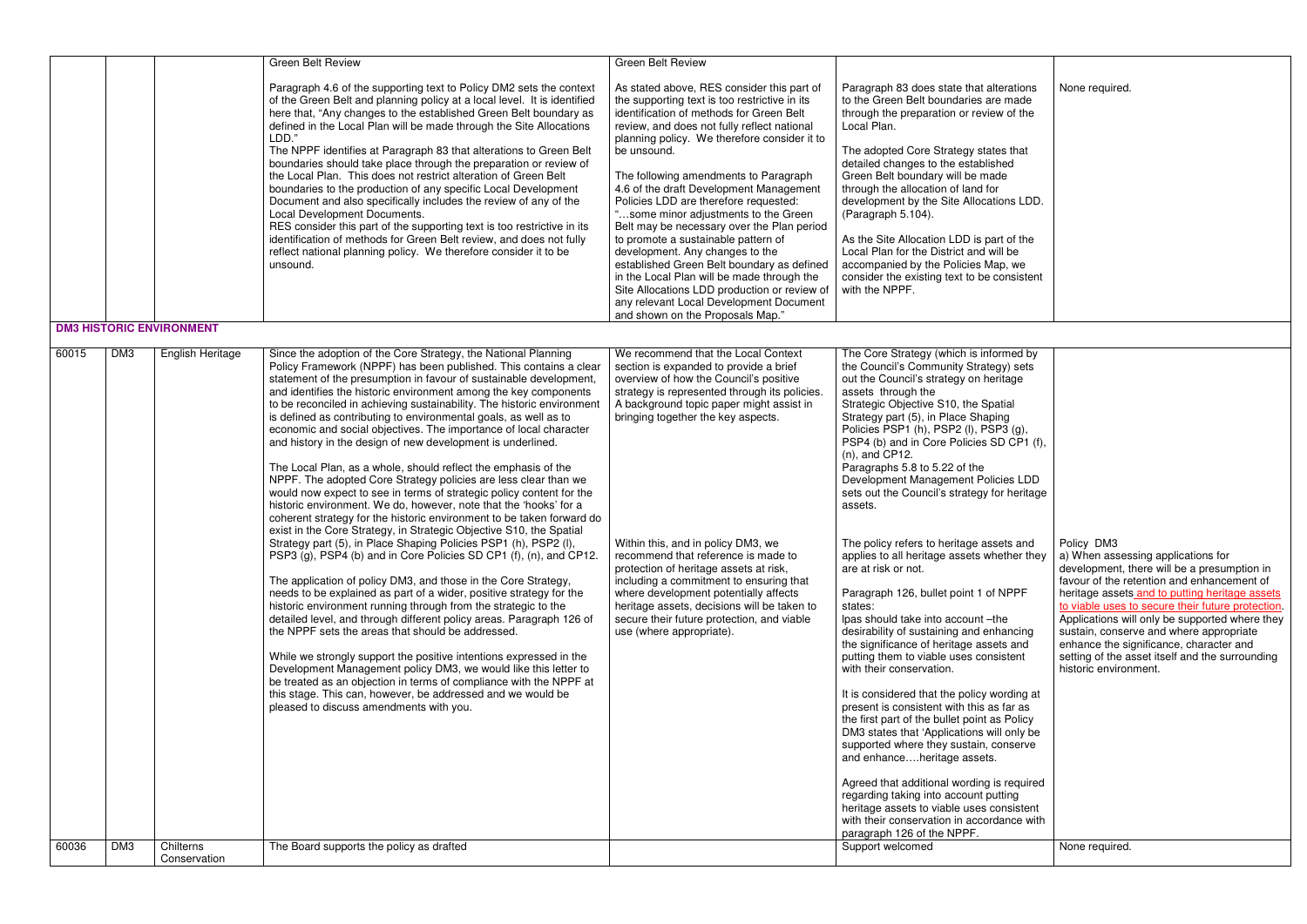|                |            |                                 | <b>Green Belt Review</b>                                                                                                                                                                                                                                                                                                                                                                                                                                                                                                                                                                                                                                                                                                                                                                                                                                                                                                                                                                                                                                                                                                                                                                                                                                                                                                                                                                                                                                                                                                                                                                                                                                                                                                                                                                                                                                 | <b>Green Belt Review</b>                                                                                                                                                                                                                                                                                                                                                                                                                                                                                                                                                                                                                                                                                                                                                      |                                                                                                                                                                                                                                                                                                                                                                                                                                                                                                                                                                                                                                                                                                                                                                                                                                                                                                                                                                                                                                                                                                                                                                                                                                                                                                                                                                 |                                                                                                                                                                                                                                                                                                                                                                                                                                                                                            |
|----------------|------------|---------------------------------|----------------------------------------------------------------------------------------------------------------------------------------------------------------------------------------------------------------------------------------------------------------------------------------------------------------------------------------------------------------------------------------------------------------------------------------------------------------------------------------------------------------------------------------------------------------------------------------------------------------------------------------------------------------------------------------------------------------------------------------------------------------------------------------------------------------------------------------------------------------------------------------------------------------------------------------------------------------------------------------------------------------------------------------------------------------------------------------------------------------------------------------------------------------------------------------------------------------------------------------------------------------------------------------------------------------------------------------------------------------------------------------------------------------------------------------------------------------------------------------------------------------------------------------------------------------------------------------------------------------------------------------------------------------------------------------------------------------------------------------------------------------------------------------------------------------------------------------------------------|-------------------------------------------------------------------------------------------------------------------------------------------------------------------------------------------------------------------------------------------------------------------------------------------------------------------------------------------------------------------------------------------------------------------------------------------------------------------------------------------------------------------------------------------------------------------------------------------------------------------------------------------------------------------------------------------------------------------------------------------------------------------------------|-----------------------------------------------------------------------------------------------------------------------------------------------------------------------------------------------------------------------------------------------------------------------------------------------------------------------------------------------------------------------------------------------------------------------------------------------------------------------------------------------------------------------------------------------------------------------------------------------------------------------------------------------------------------------------------------------------------------------------------------------------------------------------------------------------------------------------------------------------------------------------------------------------------------------------------------------------------------------------------------------------------------------------------------------------------------------------------------------------------------------------------------------------------------------------------------------------------------------------------------------------------------------------------------------------------------------------------------------------------------|--------------------------------------------------------------------------------------------------------------------------------------------------------------------------------------------------------------------------------------------------------------------------------------------------------------------------------------------------------------------------------------------------------------------------------------------------------------------------------------------|
|                |            |                                 | Paragraph 4.6 of the supporting text to Policy DM2 sets the context<br>of the Green Belt and planning policy at a local level. It is identified<br>here that, "Any changes to the established Green Belt boundary as<br>defined in the Local Plan will be made through the Site Allocations<br>LDD."<br>The NPPF identifies at Paragraph 83 that alterations to Green Belt<br>boundaries should take place through the preparation or review of<br>the Local Plan. This does not restrict alteration of Green Belt<br>boundaries to the production of any specific Local Development<br>Document and also specifically includes the review of any of the<br>Local Development Documents.<br>RES consider this part of the supporting text is too restrictive in its<br>identification of methods for Green Belt review, and does not fully<br>reflect national planning policy. We therefore consider it to be<br>unsound.                                                                                                                                                                                                                                                                                                                                                                                                                                                                                                                                                                                                                                                                                                                                                                                                                                                                                                                               | As stated above, RES consider this part of<br>the supporting text is too restrictive in its<br>identification of methods for Green Belt<br>review, and does not fully reflect national<br>planning policy. We therefore consider it to<br>be unsound.<br>The following amendments to Paragraph<br>4.6 of the draft Development Management<br>Policies LDD are therefore requested:<br>"some minor adjustments to the Green<br>Belt may be necessary over the Plan period<br>to promote a sustainable pattern of<br>development. Any changes to the<br>established Green Belt boundary as defined<br>in the Local Plan will be made through the<br>Site Allocations LDD production or review of<br>any relevant Local Development Document<br>and shown on the Proposals Map." | Paragraph 83 does state that alterations<br>to the Green Belt boundaries are made<br>through the preparation or review of the<br>Local Plan.<br>The adopted Core Strategy states that<br>detailed changes to the established<br>Green Belt boundary will be made<br>through the allocation of land for<br>development by the Site Allocations LDD.<br>(Paragraph 5.104).<br>As the Site Allocation LDD is part of the<br>Local Plan for the District and will be<br>accompanied by the Policies Map, we<br>consider the existing text to be consistent<br>with the NPPF.                                                                                                                                                                                                                                                                                                                                                                                                                                                                                                                                                                                                                                                                                                                                                                                        | None required.                                                                                                                                                                                                                                                                                                                                                                                                                                                                             |
|                |            | <b>DM3 HISTORIC ENVIRONMENT</b> |                                                                                                                                                                                                                                                                                                                                                                                                                                                                                                                                                                                                                                                                                                                                                                                                                                                                                                                                                                                                                                                                                                                                                                                                                                                                                                                                                                                                                                                                                                                                                                                                                                                                                                                                                                                                                                                          |                                                                                                                                                                                                                                                                                                                                                                                                                                                                                                                                                                                                                                                                                                                                                                               |                                                                                                                                                                                                                                                                                                                                                                                                                                                                                                                                                                                                                                                                                                                                                                                                                                                                                                                                                                                                                                                                                                                                                                                                                                                                                                                                                                 |                                                                                                                                                                                                                                                                                                                                                                                                                                                                                            |
| 60015<br>60036 | DM3<br>DM3 | English Heritage<br>Chilterns   | Since the adoption of the Core Strategy, the National Planning<br>Policy Framework (NPPF) has been published. This contains a clear<br>statement of the presumption in favour of sustainable development,<br>and identifies the historic environment among the key components<br>to be reconciled in achieving sustainability. The historic environment<br>is defined as contributing to environmental goals, as well as to<br>economic and social objectives. The importance of local character<br>and history in the design of new development is underlined.<br>The Local Plan, as a whole, should reflect the emphasis of the<br>NPPF. The adopted Core Strategy policies are less clear than we<br>would now expect to see in terms of strategic policy content for the<br>historic environment. We do, however, note that the 'hooks' for a<br>coherent strategy for the historic environment to be taken forward do<br>exist in the Core Strategy, in Strategic Objective S10, the Spatial<br>Strategy part (5), in Place Shaping Policies PSP1 (h), PSP2 (l),<br>PSP3 (g), PSP4 (b) and in Core Policies SD CP1 (f), (n), and CP12.<br>The application of policy DM3, and those in the Core Strategy,<br>needs to be explained as part of a wider, positive strategy for the<br>historic environment running through from the strategic to the<br>detailed level, and through different policy areas. Paragraph 126 of<br>the NPPF sets the areas that should be addressed.<br>While we strongly support the positive intentions expressed in the<br>Development Management policy DM3, we would like this letter to<br>be treated as an objection in terms of compliance with the NPPF at<br>this stage. This can, however, be addressed and we would be<br>pleased to discuss amendments with you.<br>The Board supports the policy as drafted | We recommend that the Local Context<br>section is expanded to provide a brief<br>overview of how the Council's positive<br>strategy is represented through its policies.<br>A background topic paper might assist in<br>bringing together the key aspects.<br>Within this, and in policy DM3, we<br>recommend that reference is made to<br>protection of heritage assets at risk,<br>including a commitment to ensuring that<br>where development potentially affects<br>heritage assets, decisions will be taken to<br>secure their future protection, and viable<br>use (where appropriate).                                                                                                                                                                                | The Core Strategy (which is informed by<br>the Council's Community Strategy) sets<br>out the Council's strategy on heritage<br>assets through the<br>Strategic Objective S10, the Spatial<br>Strategy part (5), in Place Shaping<br>Policies PSP1 (h), PSP2 (l), PSP3 (g),<br>PSP4 (b) and in Core Policies SD CP1 (f),<br>$(n)$ , and CP12.<br>Paragraphs 5.8 to 5.22 of the<br>Development Management Policies LDD<br>sets out the Council's strategy for heritage<br>assets.<br>The policy refers to heritage assets and<br>applies to all heritage assets whether they<br>are at risk or not.<br>Paragraph 126, bullet point 1 of NPPF<br>states:<br>lpas should take into account -the<br>desirability of sustaining and enhancing<br>the significance of heritage assets and<br>putting them to viable uses consistent<br>with their conservation.<br>It is considered that the policy wording at<br>present is consistent with this as far as<br>the first part of the bullet point as Policy<br>DM3 states that 'Applications will only be<br>supported where they sustain, conserve<br>and enhanceheritage assets.<br>Agreed that additional wording is required<br>regarding taking into account putting<br>heritage assets to viable uses consistent<br>with their conservation in accordance with<br>paragraph 126 of the NPPF.<br>Support welcomed | Policy DM3<br>a) When assessing applications for<br>development, there will be a presumption in<br>favour of the retention and enhancement of<br>heritage assets and to putting heritage assets<br>to viable uses to secure their future protection.<br>Applications will only be supported where they<br>sustain, conserve and where appropriate<br>enhance the significance, character and<br>setting of the asset itself and the surrounding<br>historic environment.<br>None required. |
|                |            | Conservation                    |                                                                                                                                                                                                                                                                                                                                                                                                                                                                                                                                                                                                                                                                                                                                                                                                                                                                                                                                                                                                                                                                                                                                                                                                                                                                                                                                                                                                                                                                                                                                                                                                                                                                                                                                                                                                                                                          |                                                                                                                                                                                                                                                                                                                                                                                                                                                                                                                                                                                                                                                                                                                                                                               |                                                                                                                                                                                                                                                                                                                                                                                                                                                                                                                                                                                                                                                                                                                                                                                                                                                                                                                                                                                                                                                                                                                                                                                                                                                                                                                                                                 |                                                                                                                                                                                                                                                                                                                                                                                                                                                                                            |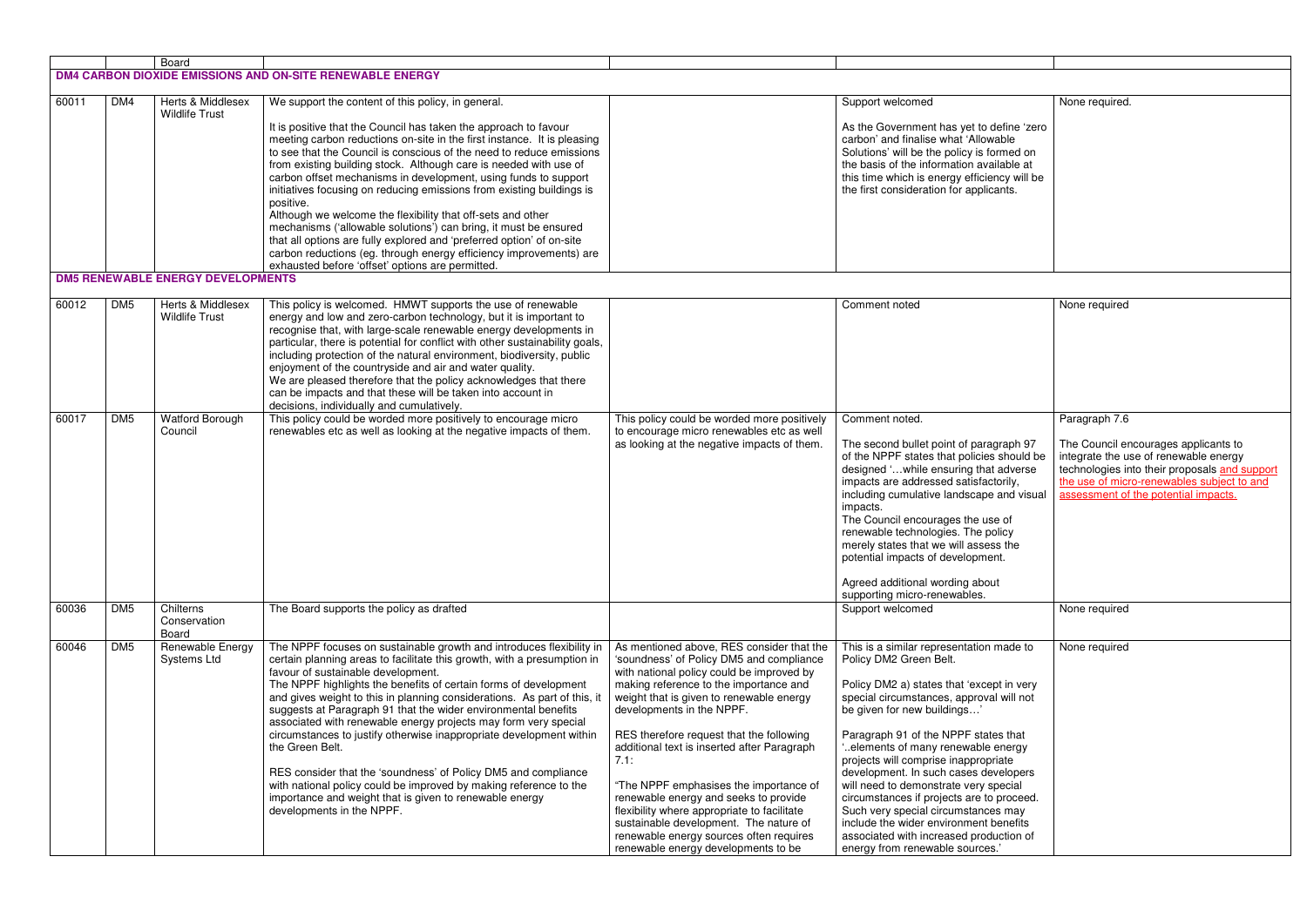|       |                                                           | Board                                                             |                                                                                                                                                                                                                                                                                                                                                                                                                                                                                                                                                                                                                                                                                                                                                                                         |                                                                                                                                                                                                                                                                                                                                                                                                                                                                                                                                                                           |                                                                                                                                                                                                                                                                                                                                                                                                                                                                                                                                                                     |                                                                                                                                                                                                                      |  |  |
|-------|-----------------------------------------------------------|-------------------------------------------------------------------|-----------------------------------------------------------------------------------------------------------------------------------------------------------------------------------------------------------------------------------------------------------------------------------------------------------------------------------------------------------------------------------------------------------------------------------------------------------------------------------------------------------------------------------------------------------------------------------------------------------------------------------------------------------------------------------------------------------------------------------------------------------------------------------------|---------------------------------------------------------------------------------------------------------------------------------------------------------------------------------------------------------------------------------------------------------------------------------------------------------------------------------------------------------------------------------------------------------------------------------------------------------------------------------------------------------------------------------------------------------------------------|---------------------------------------------------------------------------------------------------------------------------------------------------------------------------------------------------------------------------------------------------------------------------------------------------------------------------------------------------------------------------------------------------------------------------------------------------------------------------------------------------------------------------------------------------------------------|----------------------------------------------------------------------------------------------------------------------------------------------------------------------------------------------------------------------|--|--|
|       | DM4 CARBON DIOXIDE EMISSIONS AND ON-SITE RENEWABLE ENERGY |                                                                   |                                                                                                                                                                                                                                                                                                                                                                                                                                                                                                                                                                                                                                                                                                                                                                                         |                                                                                                                                                                                                                                                                                                                                                                                                                                                                                                                                                                           |                                                                                                                                                                                                                                                                                                                                                                                                                                                                                                                                                                     |                                                                                                                                                                                                                      |  |  |
| 60011 | DM4                                                       | Herts & Middlesex                                                 | We support the content of this policy, in general.                                                                                                                                                                                                                                                                                                                                                                                                                                                                                                                                                                                                                                                                                                                                      |                                                                                                                                                                                                                                                                                                                                                                                                                                                                                                                                                                           | Support welcomed                                                                                                                                                                                                                                                                                                                                                                                                                                                                                                                                                    | None required.                                                                                                                                                                                                       |  |  |
|       |                                                           | <b>Wildlife Trust</b><br><b>DM5 RENEWABLE ENERGY DEVELOPMENTS</b> | It is positive that the Council has taken the approach to favour<br>meeting carbon reductions on-site in the first instance. It is pleasing<br>to see that the Council is conscious of the need to reduce emissions<br>from existing building stock. Although care is needed with use of<br>carbon offset mechanisms in development, using funds to support<br>initiatives focusing on reducing emissions from existing buildings is<br>positive.<br>Although we welcome the flexibility that off-sets and other<br>mechanisms ('allowable solutions') can bring, it must be ensured<br>that all options are fully explored and 'preferred option' of on-site<br>carbon reductions (eg. through energy efficiency improvements) are<br>exhausted before 'offset' options are permitted. |                                                                                                                                                                                                                                                                                                                                                                                                                                                                                                                                                                           | As the Government has yet to define 'zero<br>carbon' and finalise what 'Allowable<br>Solutions' will be the policy is formed on<br>the basis of the information available at<br>this time which is energy efficiency will be<br>the first consideration for applicants.                                                                                                                                                                                                                                                                                             |                                                                                                                                                                                                                      |  |  |
|       |                                                           |                                                                   |                                                                                                                                                                                                                                                                                                                                                                                                                                                                                                                                                                                                                                                                                                                                                                                         |                                                                                                                                                                                                                                                                                                                                                                                                                                                                                                                                                                           |                                                                                                                                                                                                                                                                                                                                                                                                                                                                                                                                                                     |                                                                                                                                                                                                                      |  |  |
| 60012 | DM <sub>5</sub>                                           | <b>Herts &amp; Middlesex</b><br><b>Wildlife Trust</b>             | This policy is welcomed. HMWT supports the use of renewable<br>energy and low and zero-carbon technology, but it is important to<br>recognise that, with large-scale renewable energy developments in<br>particular, there is potential for conflict with other sustainability goals,<br>including protection of the natural environment, biodiversity, public<br>enjoyment of the countryside and air and water quality.<br>We are pleased therefore that the policy acknowledges that there<br>can be impacts and that these will be taken into account in<br>decisions, individually and cumulatively.                                                                                                                                                                               |                                                                                                                                                                                                                                                                                                                                                                                                                                                                                                                                                                           | Comment noted                                                                                                                                                                                                                                                                                                                                                                                                                                                                                                                                                       | None required                                                                                                                                                                                                        |  |  |
| 60017 | DM <sub>5</sub>                                           | <b>Watford Borough</b><br>Council                                 | This policy could be worded more positively to encourage micro<br>renewables etc as well as looking at the negative impacts of them.                                                                                                                                                                                                                                                                                                                                                                                                                                                                                                                                                                                                                                                    | This policy could be worded more positively<br>to encourage micro renewables etc as well                                                                                                                                                                                                                                                                                                                                                                                                                                                                                  | Comment noted.                                                                                                                                                                                                                                                                                                                                                                                                                                                                                                                                                      | Paragraph 7.6                                                                                                                                                                                                        |  |  |
|       |                                                           |                                                                   |                                                                                                                                                                                                                                                                                                                                                                                                                                                                                                                                                                                                                                                                                                                                                                                         | as looking at the negative impacts of them.                                                                                                                                                                                                                                                                                                                                                                                                                                                                                                                               | The second bullet point of paragraph 97<br>of the NPPF states that policies should be<br>designed 'while ensuring that adverse<br>impacts are addressed satisfactorily,<br>including cumulative landscape and visual<br>impacts.<br>The Council encourages the use of<br>renewable technologies. The policy<br>merely states that we will assess the<br>potential impacts of development.<br>Agreed additional wording about<br>supporting micro-renewables.                                                                                                        | The Council encourages applicants to<br>integrate the use of renewable energy<br>technologies into their proposals and support<br>the use of micro-renewables subject to and<br>assessment of the potential impacts. |  |  |
| 60036 | DM <sub>5</sub>                                           | Chilterns<br>Conservation                                         | The Board supports the policy as drafted                                                                                                                                                                                                                                                                                                                                                                                                                                                                                                                                                                                                                                                                                                                                                |                                                                                                                                                                                                                                                                                                                                                                                                                                                                                                                                                                           | Support welcomed                                                                                                                                                                                                                                                                                                                                                                                                                                                                                                                                                    | None required                                                                                                                                                                                                        |  |  |
| 60046 | DM <sub>5</sub>                                           | Board<br>Renewable Energy                                         | The NPPF focuses on sustainable growth and introduces flexibility in                                                                                                                                                                                                                                                                                                                                                                                                                                                                                                                                                                                                                                                                                                                    | As mentioned above, RES consider that the                                                                                                                                                                                                                                                                                                                                                                                                                                                                                                                                 | This is a similar representation made to                                                                                                                                                                                                                                                                                                                                                                                                                                                                                                                            | None required                                                                                                                                                                                                        |  |  |
|       |                                                           | Systems Ltd                                                       | certain planning areas to facilitate this growth, with a presumption in<br>favour of sustainable development.<br>The NPPF highlights the benefits of certain forms of development<br>and gives weight to this in planning considerations. As part of this, it<br>suggests at Paragraph 91 that the wider environmental benefits<br>associated with renewable energy projects may form very special<br>circumstances to justify otherwise inappropriate development within<br>the Green Belt.<br>RES consider that the 'soundness' of Policy DM5 and compliance<br>with national policy could be improved by making reference to the<br>importance and weight that is given to renewable energy<br>developments in the NPPF.                                                             | 'soundness' of Policy DM5 and compliance<br>with national policy could be improved by<br>making reference to the importance and<br>weight that is given to renewable energy<br>developments in the NPPF.<br>RES therefore request that the following<br>additional text is inserted after Paragraph<br>7.1:<br>"The NPPF emphasises the importance of<br>renewable energy and seeks to provide<br>flexibility where appropriate to facilitate<br>sustainable development. The nature of<br>renewable energy sources often requires<br>renewable energy developments to be | Policy DM2 Green Belt.<br>Policy DM2 a) states that 'except in very<br>special circumstances, approval will not<br>be given for new buildings'<br>Paragraph 91 of the NPPF states that<br>elements of many renewable energy."<br>projects will comprise inappropriate<br>development. In such cases developers<br>will need to demonstrate very special<br>circumstances if projects are to proceed.<br>Such very special circumstances may<br>include the wider environment benefits<br>associated with increased production of<br>energy from renewable sources.' |                                                                                                                                                                                                                      |  |  |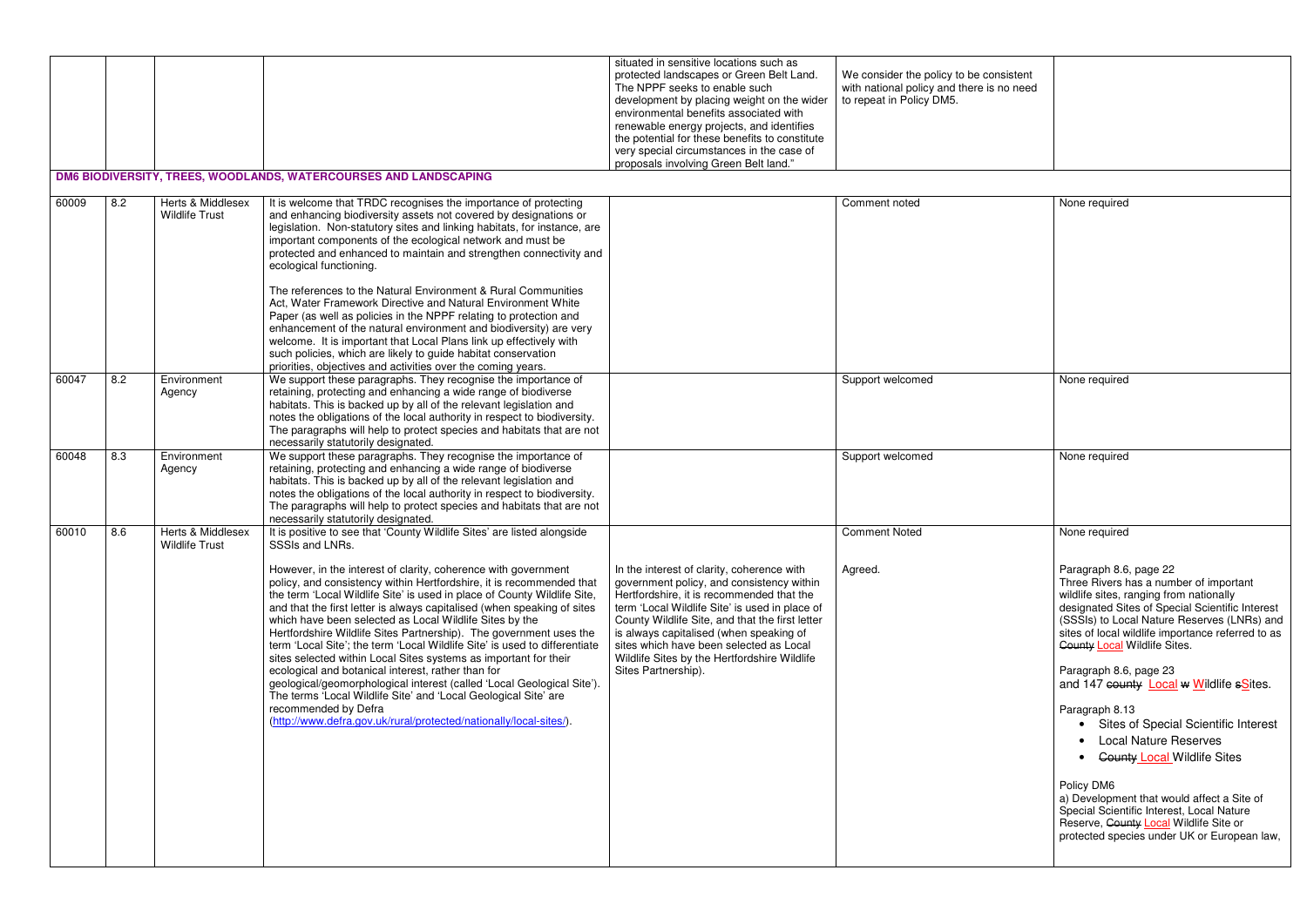|       |     |                                            |                                                                                                                                                                                                                                                                                                                                                                                                                                                                                                                                                                                                                                                                                                                                                                                                                                                                                                                                                                                 | situated in sensitive locations such as<br>protected landscapes or Green Belt Land.<br>The NPPF seeks to enable such<br>development by placing weight on the wider<br>environmental benefits associated with<br>renewable energy projects, and identifies<br>the potential for these benefits to constitute<br>very special circumstances in the case of<br>proposals involving Green Belt land."      | We consider the policy to be consistent<br>with national policy and there is no need<br>to repeat in Policy DM5. |                                                                                                                                                                                                                                                                                                                                                                                                                                                                                                                                                                                                                                                                                                                                              |
|-------|-----|--------------------------------------------|---------------------------------------------------------------------------------------------------------------------------------------------------------------------------------------------------------------------------------------------------------------------------------------------------------------------------------------------------------------------------------------------------------------------------------------------------------------------------------------------------------------------------------------------------------------------------------------------------------------------------------------------------------------------------------------------------------------------------------------------------------------------------------------------------------------------------------------------------------------------------------------------------------------------------------------------------------------------------------|--------------------------------------------------------------------------------------------------------------------------------------------------------------------------------------------------------------------------------------------------------------------------------------------------------------------------------------------------------------------------------------------------------|------------------------------------------------------------------------------------------------------------------|----------------------------------------------------------------------------------------------------------------------------------------------------------------------------------------------------------------------------------------------------------------------------------------------------------------------------------------------------------------------------------------------------------------------------------------------------------------------------------------------------------------------------------------------------------------------------------------------------------------------------------------------------------------------------------------------------------------------------------------------|
|       |     |                                            | DM6 BIODIVERSITY, TREES, WOODLANDS, WATERCOURSES AND LANDSCAPING                                                                                                                                                                                                                                                                                                                                                                                                                                                                                                                                                                                                                                                                                                                                                                                                                                                                                                                |                                                                                                                                                                                                                                                                                                                                                                                                        |                                                                                                                  |                                                                                                                                                                                                                                                                                                                                                                                                                                                                                                                                                                                                                                                                                                                                              |
| 60009 | 8.2 | Herts & Middlesex<br><b>Wildlife Trust</b> | It is welcome that TRDC recognises the importance of protecting<br>and enhancing biodiversity assets not covered by designations or<br>legislation. Non-statutory sites and linking habitats, for instance, are<br>important components of the ecological network and must be<br>protected and enhanced to maintain and strengthen connectivity and<br>ecological functioning.<br>The references to the Natural Environment & Rural Communities<br>Act, Water Framework Directive and Natural Environment White<br>Paper (as well as policies in the NPPF relating to protection and<br>enhancement of the natural environment and biodiversity) are very<br>welcome. It is important that Local Plans link up effectively with<br>such policies, which are likely to guide habitat conservation<br>priorities, objectives and activities over the coming years.                                                                                                                |                                                                                                                                                                                                                                                                                                                                                                                                        | Comment noted                                                                                                    | None required                                                                                                                                                                                                                                                                                                                                                                                                                                                                                                                                                                                                                                                                                                                                |
| 60047 | 8.2 | Environment<br>Agency                      | We support these paragraphs. They recognise the importance of<br>retaining, protecting and enhancing a wide range of biodiverse<br>habitats. This is backed up by all of the relevant legislation and<br>notes the obligations of the local authority in respect to biodiversity.<br>The paragraphs will help to protect species and habitats that are not<br>necessarily statutorily designated.                                                                                                                                                                                                                                                                                                                                                                                                                                                                                                                                                                               |                                                                                                                                                                                                                                                                                                                                                                                                        | Support welcomed                                                                                                 | None required                                                                                                                                                                                                                                                                                                                                                                                                                                                                                                                                                                                                                                                                                                                                |
| 60048 | 8.3 | Environment<br>Agency                      | We support these paragraphs. They recognise the importance of<br>retaining, protecting and enhancing a wide range of biodiverse<br>habitats. This is backed up by all of the relevant legislation and<br>notes the obligations of the local authority in respect to biodiversity.<br>The paragraphs will help to protect species and habitats that are not<br>necessarily statutorily designated.                                                                                                                                                                                                                                                                                                                                                                                                                                                                                                                                                                               |                                                                                                                                                                                                                                                                                                                                                                                                        | Support welcomed                                                                                                 | None required                                                                                                                                                                                                                                                                                                                                                                                                                                                                                                                                                                                                                                                                                                                                |
| 60010 | 8.6 | Herts & Middlesex<br><b>Wildlife Trust</b> | It is positive to see that 'County Wildlife Sites' are listed alongside<br>SSSIs and LNRs.<br>However, in the interest of clarity, coherence with government<br>policy, and consistency within Hertfordshire, it is recommended that<br>the term 'Local Wildlife Site' is used in place of County Wildlife Site,<br>and that the first letter is always capitalised (when speaking of sites<br>which have been selected as Local Wildlife Sites by the<br>Hertfordshire Wildlife Sites Partnership). The government uses the<br>term 'Local Site'; the term 'Local Wildlife Site' is used to differentiate<br>sites selected within Local Sites systems as important for their<br>ecological and botanical interest, rather than for<br>geological/geomorphological interest (called 'Local Geological Site').<br>The terms 'Local Wildlife Site' and 'Local Geological Site' are<br>recommended by Defra<br>(http://www.defra.gov.uk/rural/protected/nationally/local-sites/). | In the interest of clarity, coherence with<br>government policy, and consistency within<br>Hertfordshire, it is recommended that the<br>term 'Local Wildlife Site' is used in place of<br>County Wildlife Site, and that the first letter<br>is always capitalised (when speaking of<br>sites which have been selected as Local<br>Wildlife Sites by the Hertfordshire Wildlife<br>Sites Partnership). | <b>Comment Noted</b><br>Agreed.                                                                                  | None required<br>Paragraph 8.6, page 22<br>Three Rivers has a number of important<br>wildlife sites, ranging from nationally<br>designated Sites of Special Scientific Interest<br>(SSSIs) to Local Nature Reserves (LNRs) and<br>sites of local wildlife importance referred to as<br><b>County Local Wildlife Sites.</b><br>Paragraph 8.6, page 23<br>and 147 county <b>Local w Wildlife sSites</b> .<br>Paragraph 8.13<br>• Sites of Special Scientific Interest<br>• Local Nature Reserves<br>• <del>County Local</del> Wildlife Sites<br>Policy DM6<br>a) Development that would affect a Site of<br>Special Scientific Interest, Local Nature<br>Reserve, County Local Wildlife Site or<br>protected species under UK or European law, |

| None required                                                                                                                                                                                                                                                                                             |
|-----------------------------------------------------------------------------------------------------------------------------------------------------------------------------------------------------------------------------------------------------------------------------------------------------------|
|                                                                                                                                                                                                                                                                                                           |
| None required                                                                                                                                                                                                                                                                                             |
| None required                                                                                                                                                                                                                                                                                             |
| None required                                                                                                                                                                                                                                                                                             |
| Paragraph 8.6, page 22<br>Three Rivers has a number of important<br>wildlife sites, ranging from nationally<br>designated Sites of Special Scientific Interest<br>(SSSIs) to Local Nature Reserves (LNRs) and<br>sites of local wildlife importance referred to as<br><b>County Local Wildlife Sites.</b> |
| Paragraph 8.6, page 23<br>and 147 county <b>Local w Wildlife sSites.</b>                                                                                                                                                                                                                                  |
| Paragraph 8.13<br>Sites of Special Scientific Interest<br><b>Local Nature Reserves</b><br><b>County Local Wildlife Sites</b>                                                                                                                                                                              |
| Policy DM6<br>a) Development that would affect a Site of<br>Special Scientific Interest, Local Nature<br>Reserve, County Local Wildlife Site or<br>protected species under UK or European law,                                                                                                            |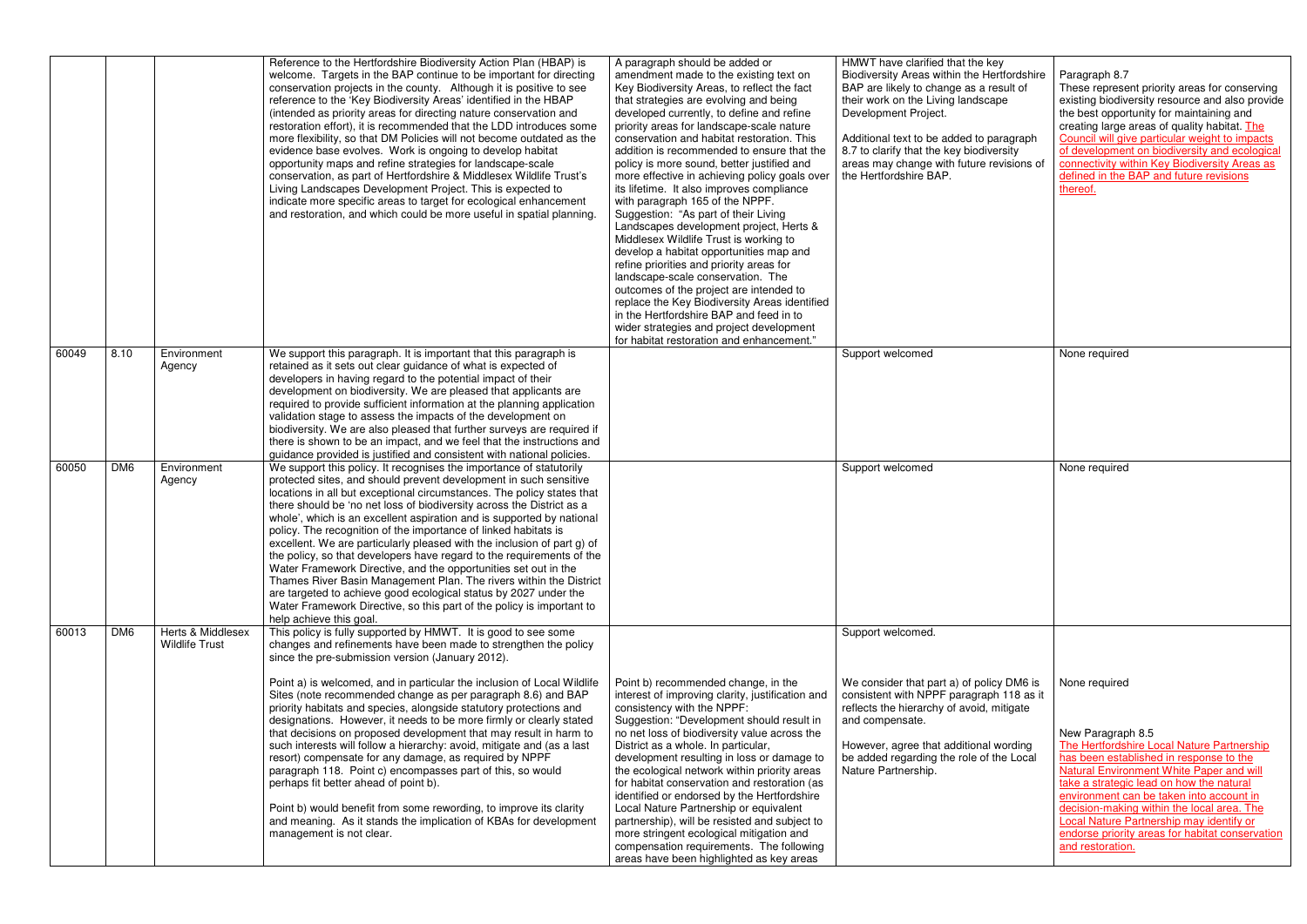|                 |                             | Reference to the Hertfordshire Biodiversity Action Plan (HBAP) is<br>welcome. Targets in the BAP continue to be important for directing                                                                                                                                                                                                                                                                                                                                                                                                                                                                                                                                                                                                                                                                                                                                                                 | A paragraph should be added or<br>amendment made to the existing text on                                                                                                                                                                                                                                                                                                                                                                                                                                                                                                                                                                                                                                                                                                                                                                                                                                                                            | HMWT have clarified that the key<br>Biodiversity Areas within the Hertfordshire                                                                                                                                                                                      | Paragraph 8.7                                                                                                                                                                                                                                                                                                                                                                                                                           |
|-----------------|-----------------------------|---------------------------------------------------------------------------------------------------------------------------------------------------------------------------------------------------------------------------------------------------------------------------------------------------------------------------------------------------------------------------------------------------------------------------------------------------------------------------------------------------------------------------------------------------------------------------------------------------------------------------------------------------------------------------------------------------------------------------------------------------------------------------------------------------------------------------------------------------------------------------------------------------------|-----------------------------------------------------------------------------------------------------------------------------------------------------------------------------------------------------------------------------------------------------------------------------------------------------------------------------------------------------------------------------------------------------------------------------------------------------------------------------------------------------------------------------------------------------------------------------------------------------------------------------------------------------------------------------------------------------------------------------------------------------------------------------------------------------------------------------------------------------------------------------------------------------------------------------------------------------|----------------------------------------------------------------------------------------------------------------------------------------------------------------------------------------------------------------------------------------------------------------------|-----------------------------------------------------------------------------------------------------------------------------------------------------------------------------------------------------------------------------------------------------------------------------------------------------------------------------------------------------------------------------------------------------------------------------------------|
|                 |                             | conservation projects in the county. Although it is positive to see<br>reference to the 'Key Biodiversity Areas' identified in the HBAP<br>(intended as priority areas for directing nature conservation and<br>restoration effort), it is recommended that the LDD introduces some<br>more flexibility, so that DM Policies will not become outdated as the<br>evidence base evolves. Work is ongoing to develop habitat<br>opportunity maps and refine strategies for landscape-scale<br>conservation, as part of Hertfordshire & Middlesex Wildlife Trust's<br>Living Landscapes Development Project. This is expected to<br>indicate more specific areas to target for ecological enhancement<br>and restoration, and which could be more useful in spatial planning.                                                                                                                               | Key Biodiversity Areas, to reflect the fact<br>that strategies are evolving and being<br>developed currently, to define and refine<br>priority areas for landscape-scale nature<br>conservation and habitat restoration. This<br>addition is recommended to ensure that the<br>policy is more sound, better justified and<br>more effective in achieving policy goals over<br>its lifetime. It also improves compliance<br>with paragraph 165 of the NPPF.<br>Suggestion: "As part of their Living<br>Landscapes development project, Herts &<br>Middlesex Wildlife Trust is working to<br>develop a habitat opportunities map and<br>refine priorities and priority areas for<br>landscape-scale conservation. The<br>outcomes of the project are intended to<br>replace the Key Biodiversity Areas identified<br>in the Hertfordshire BAP and feed in to<br>wider strategies and project development<br>for habitat restoration and enhancement." | BAP are likely to change as a result of<br>their work on the Living landscape<br>Development Project.<br>Additional text to be added to paragraph<br>8.7 to clarify that the key biodiversity<br>areas may change with future revisions of<br>the Hertfordshire BAP. | These represent priority areas for conserving<br>existing biodiversity resource and also provide<br>the best opportunity for maintaining and<br>creating large areas of quality habitat. The<br>Council will give particular weight to impacts<br>of development on biodiversity and ecological<br>connectivity within Key Biodiversity Areas as<br>defined in the BAP and future revisions<br>thereof.                                 |
|                 | Agency                      | retained as it sets out clear guidance of what is expected of<br>developers in having regard to the potential impact of their<br>development on biodiversity. We are pleased that applicants are<br>required to provide sufficient information at the planning application                                                                                                                                                                                                                                                                                                                                                                                                                                                                                                                                                                                                                              |                                                                                                                                                                                                                                                                                                                                                                                                                                                                                                                                                                                                                                                                                                                                                                                                                                                                                                                                                     |                                                                                                                                                                                                                                                                      | None required                                                                                                                                                                                                                                                                                                                                                                                                                           |
|                 |                             | biodiversity. We are also pleased that further surveys are required if<br>there is shown to be an impact, and we feel that the instructions and                                                                                                                                                                                                                                                                                                                                                                                                                                                                                                                                                                                                                                                                                                                                                         |                                                                                                                                                                                                                                                                                                                                                                                                                                                                                                                                                                                                                                                                                                                                                                                                                                                                                                                                                     |                                                                                                                                                                                                                                                                      |                                                                                                                                                                                                                                                                                                                                                                                                                                         |
|                 |                             |                                                                                                                                                                                                                                                                                                                                                                                                                                                                                                                                                                                                                                                                                                                                                                                                                                                                                                         |                                                                                                                                                                                                                                                                                                                                                                                                                                                                                                                                                                                                                                                                                                                                                                                                                                                                                                                                                     |                                                                                                                                                                                                                                                                      |                                                                                                                                                                                                                                                                                                                                                                                                                                         |
| DM <sub>6</sub> | Agency<br>Herts & Middlesex | protected sites, and should prevent development in such sensitive<br>locations in all but exceptional circumstances. The policy states that<br>there should be 'no net loss of biodiversity across the District as a<br>whole', which is an excellent aspiration and is supported by national<br>policy. The recognition of the importance of linked habitats is<br>excellent. We are particularly pleased with the inclusion of part g) of<br>the policy, so that developers have regard to the requirements of the<br>Water Framework Directive, and the opportunities set out in the<br>Thames River Basin Management Plan. The rivers within the District<br>are targeted to achieve good ecological status by 2027 under the<br>Water Framework Directive, so this part of the policy is important to<br>help achieve this goal.<br>This policy is fully supported by HMWT. It is good to see some |                                                                                                                                                                                                                                                                                                                                                                                                                                                                                                                                                                                                                                                                                                                                                                                                                                                                                                                                                     | Support welcomed.                                                                                                                                                                                                                                                    | None required                                                                                                                                                                                                                                                                                                                                                                                                                           |
|                 | <b>Wildlife Trust</b>       | changes and refinements have been made to strengthen the policy<br>since the pre-submission version (January 2012).<br>Point a) is welcomed, and in particular the inclusion of Local Wildlife<br>Sites (note recommended change as per paragraph 8.6) and BAP<br>priority habitats and species, alongside statutory protections and<br>designations. However, it needs to be more firmly or clearly stated<br>that decisions on proposed development that may result in harm to<br>such interests will follow a hierarchy: avoid, mitigate and (as a last<br>resort) compensate for any damage, as required by NPPF<br>paragraph 118. Point c) encompasses part of this, so would<br>perhaps fit better ahead of point b).<br>Point b) would benefit from some rewording, to improve its clarity<br>and meaning. As it stands the implication of KBAs for development<br>management is not clear.      | Point b) recommended change, in the<br>interest of improving clarity, justification and<br>consistency with the NPPF:<br>Suggestion: "Development should result in<br>no net loss of biodiversity value across the<br>District as a whole. In particular,<br>development resulting in loss or damage to<br>the ecological network within priority areas<br>for habitat conservation and restoration (as<br>identified or endorsed by the Hertfordshire<br>Local Nature Partnership or equivalent<br>partnership), will be resisted and subject to<br>more stringent ecological mitigation and<br>compensation requirements. The following                                                                                                                                                                                                                                                                                                           | We consider that part a) of policy DM6 is<br>consistent with NPPF paragraph 118 as it<br>reflects the hierarchy of avoid, mitigate<br>and compensate.<br>However, agree that additional wording<br>be added regarding the role of the Local<br>Nature Partnership.   | None required<br>New Paragraph 8.5<br>The Hertfordshire Local Nature Partnership<br>has been established in response to the<br><b>Natural Environment White Paper and will</b><br>take a strategic lead on how the natural<br>environment can be taken into account in<br>decision-making within the local area. The<br>Local Nature Partnership may identify or<br>endorse priority areas for habitat conservation<br>and restoration. |
|                 | 8.10<br>DM <sub>6</sub>     | Environment<br>Environment                                                                                                                                                                                                                                                                                                                                                                                                                                                                                                                                                                                                                                                                                                                                                                                                                                                                              | We support this paragraph. It is important that this paragraph is<br>validation stage to assess the impacts of the development on<br>guidance provided is justified and consistent with national policies.<br>We support this policy. It recognises the importance of statutorily                                                                                                                                                                                                                                                                                                                                                                                                                                                                                                                                                                                                                                                                   |                                                                                                                                                                                                                                                                      | Support welcomed<br>Support welcomed                                                                                                                                                                                                                                                                                                                                                                                                    |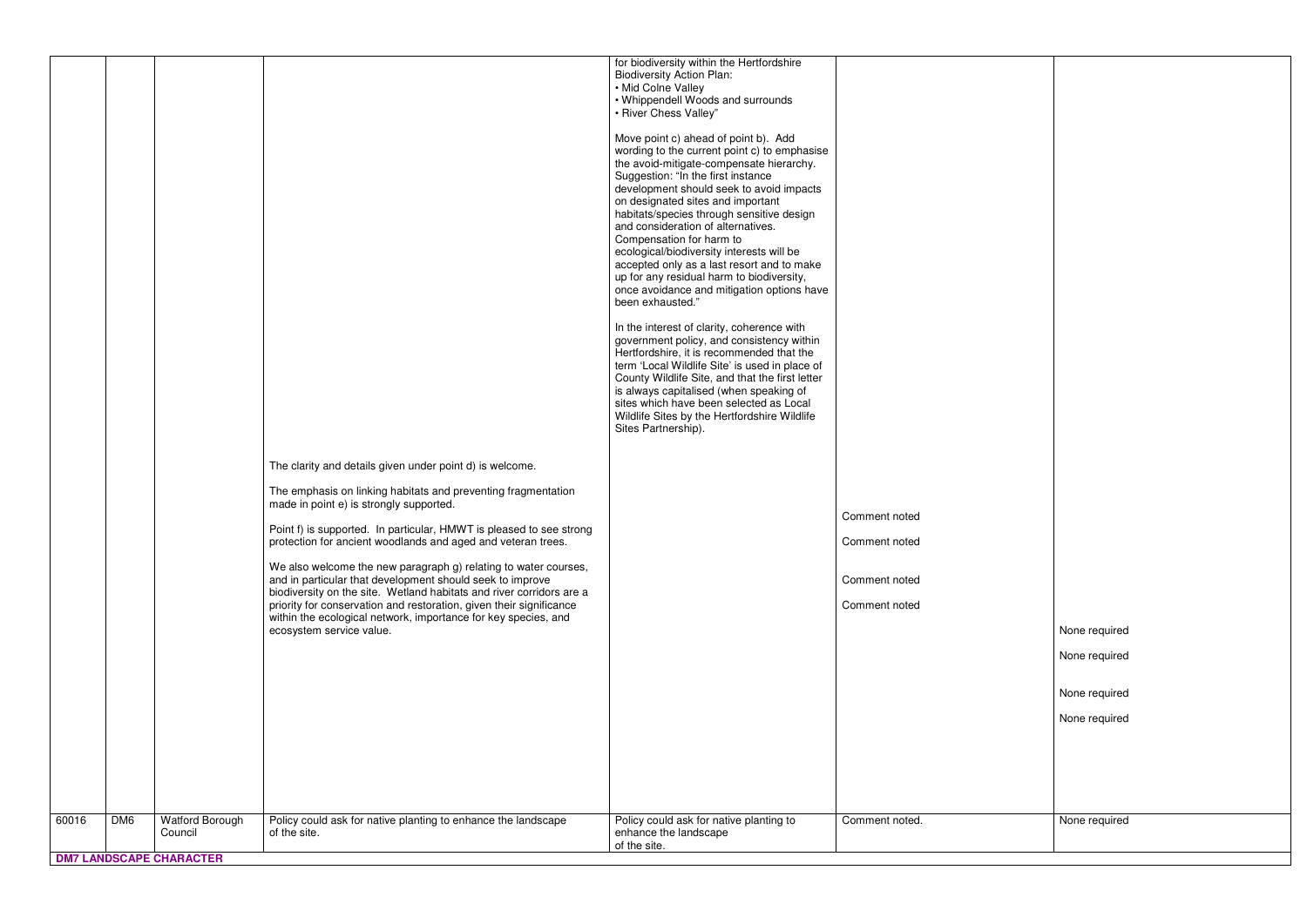| Comment noted  |               |
|----------------|---------------|
| Comment noted  |               |
| Comment noted  |               |
| Comment noted  |               |
|                | None required |
|                | None required |
|                | None required |
|                | None required |
|                |               |
|                |               |
|                |               |
| Comment noted. | None required |
|                |               |
|                |               |

|       |                 |                                |                                                                                                                                                                                                                                           | for biodiversity within the Hertfordshire<br><b>Biodiversity Action Plan:</b><br>• Mid Colne Valley                                                                                                                                                                                                                                                                                                                                                                                                                                                                                                                                                                                                                                                                                                                           |                |
|-------|-----------------|--------------------------------|-------------------------------------------------------------------------------------------------------------------------------------------------------------------------------------------------------------------------------------------|-------------------------------------------------------------------------------------------------------------------------------------------------------------------------------------------------------------------------------------------------------------------------------------------------------------------------------------------------------------------------------------------------------------------------------------------------------------------------------------------------------------------------------------------------------------------------------------------------------------------------------------------------------------------------------------------------------------------------------------------------------------------------------------------------------------------------------|----------------|
|       |                 |                                |                                                                                                                                                                                                                                           | • Whippendell Woods and surrounds<br>• River Chess Valley"                                                                                                                                                                                                                                                                                                                                                                                                                                                                                                                                                                                                                                                                                                                                                                    |                |
|       |                 |                                |                                                                                                                                                                                                                                           | Move point c) ahead of point b). Add<br>wording to the current point c) to emphasise<br>the avoid-mitigate-compensate hierarchy.<br>Suggestion: "In the first instance<br>development should seek to avoid impacts<br>on designated sites and important<br>habitats/species through sensitive design<br>and consideration of alternatives.<br>Compensation for harm to<br>ecological/biodiversity interests will be<br>accepted only as a last resort and to make<br>up for any residual harm to biodiversity,<br>once avoidance and mitigation options have<br>been exhausted."<br>In the interest of clarity, coherence with<br>government policy, and consistency within<br>Hertfordshire, it is recommended that the<br>term 'Local Wildlife Site' is used in place of<br>County Wildlife Site, and that the first letter |                |
|       |                 |                                |                                                                                                                                                                                                                                           | is always capitalised (when speaking of<br>sites which have been selected as Local<br>Wildlife Sites by the Hertfordshire Wildlife<br>Sites Partnership).                                                                                                                                                                                                                                                                                                                                                                                                                                                                                                                                                                                                                                                                     |                |
|       |                 |                                | The clarity and details given under point d) is welcome.                                                                                                                                                                                  |                                                                                                                                                                                                                                                                                                                                                                                                                                                                                                                                                                                                                                                                                                                                                                                                                               |                |
|       |                 |                                | The emphasis on linking habitats and preventing fragmentation<br>made in point e) is strongly supported.                                                                                                                                  |                                                                                                                                                                                                                                                                                                                                                                                                                                                                                                                                                                                                                                                                                                                                                                                                                               | Comment noted  |
|       |                 |                                | Point f) is supported. In particular, HMWT is pleased to see strong<br>protection for ancient woodlands and aged and veteran trees.                                                                                                       |                                                                                                                                                                                                                                                                                                                                                                                                                                                                                                                                                                                                                                                                                                                                                                                                                               | Comment noted  |
|       |                 |                                | We also welcome the new paragraph g) relating to water courses,<br>and in particular that development should seek to improve                                                                                                              |                                                                                                                                                                                                                                                                                                                                                                                                                                                                                                                                                                                                                                                                                                                                                                                                                               | Comment noted  |
|       |                 |                                | biodiversity on the site. Wetland habitats and river corridors are a<br>priority for conservation and restoration, given their significance<br>within the ecological network, importance for key species, and<br>ecosystem service value. |                                                                                                                                                                                                                                                                                                                                                                                                                                                                                                                                                                                                                                                                                                                                                                                                                               | Comment noted  |
|       |                 |                                |                                                                                                                                                                                                                                           |                                                                                                                                                                                                                                                                                                                                                                                                                                                                                                                                                                                                                                                                                                                                                                                                                               |                |
|       |                 |                                |                                                                                                                                                                                                                                           |                                                                                                                                                                                                                                                                                                                                                                                                                                                                                                                                                                                                                                                                                                                                                                                                                               |                |
|       |                 |                                |                                                                                                                                                                                                                                           |                                                                                                                                                                                                                                                                                                                                                                                                                                                                                                                                                                                                                                                                                                                                                                                                                               |                |
|       |                 |                                |                                                                                                                                                                                                                                           |                                                                                                                                                                                                                                                                                                                                                                                                                                                                                                                                                                                                                                                                                                                                                                                                                               |                |
| 60016 | DM <sub>6</sub> | Watford Borough<br>Council     | Policy could ask for native planting to enhance the landscape<br>of the site.                                                                                                                                                             | Policy could ask for native planting to<br>enhance the landscape                                                                                                                                                                                                                                                                                                                                                                                                                                                                                                                                                                                                                                                                                                                                                              | Comment noted. |
|       |                 | <b>DM7 LANDSCAPE CHARACTER</b> |                                                                                                                                                                                                                                           | of the site.                                                                                                                                                                                                                                                                                                                                                                                                                                                                                                                                                                                                                                                                                                                                                                                                                  |                |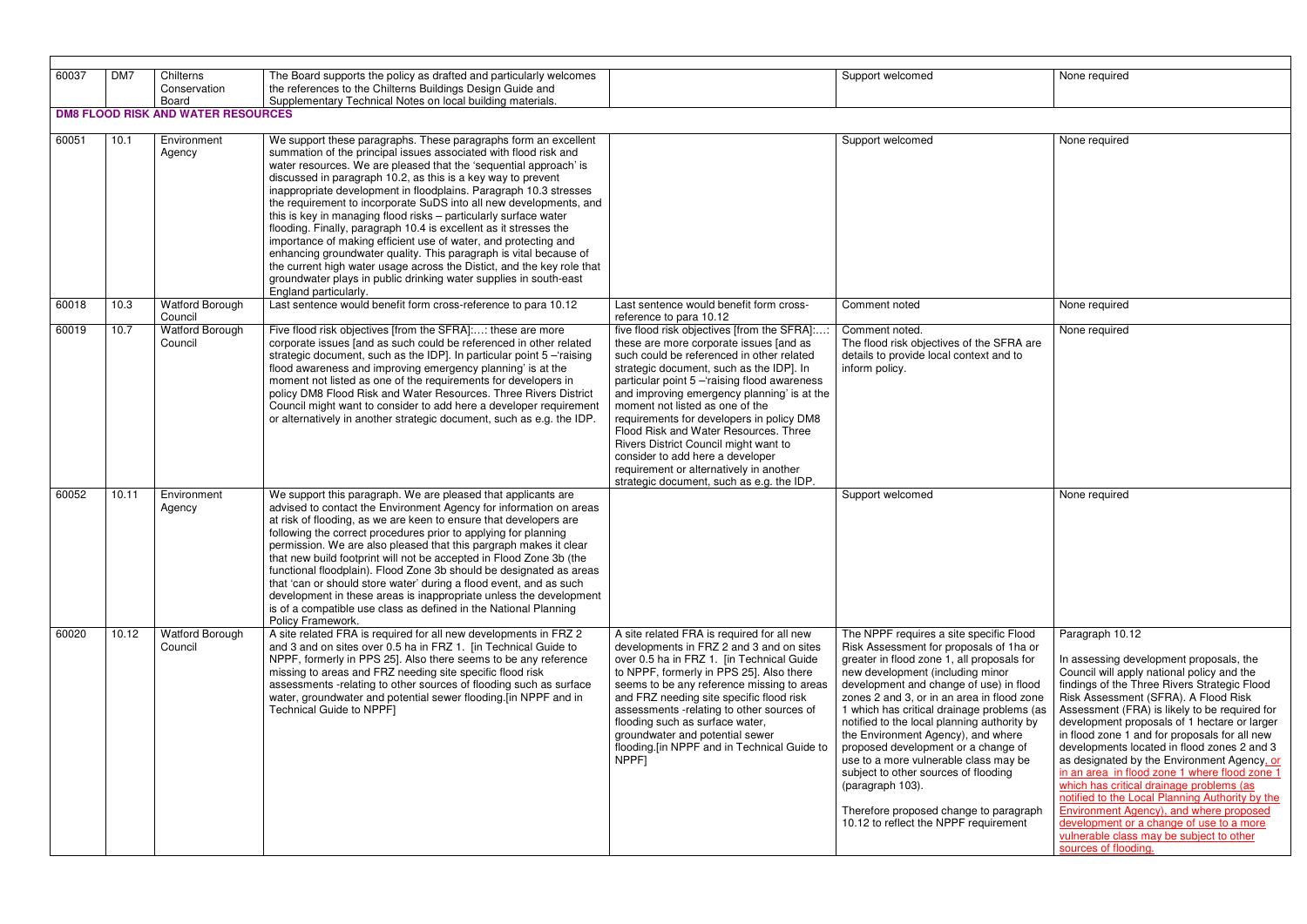| 60037 | DM7   | Chilterns                                          | The Board supports the policy as drafted and particularly welcomes                                                                   |                                                                                             | Support welcomed                                                            | None required                       |
|-------|-------|----------------------------------------------------|--------------------------------------------------------------------------------------------------------------------------------------|---------------------------------------------------------------------------------------------|-----------------------------------------------------------------------------|-------------------------------------|
|       |       | Conservation                                       | the references to the Chilterns Buildings Design Guide and                                                                           |                                                                                             |                                                                             |                                     |
|       |       | Board<br><b>DM8 FLOOD RISK AND WATER RESOURCES</b> | Supplementary Technical Notes on local building materials.                                                                           |                                                                                             |                                                                             |                                     |
|       |       |                                                    |                                                                                                                                      |                                                                                             |                                                                             |                                     |
| 60051 | 10.1  | Environment                                        | We support these paragraphs. These paragraphs form an excellent                                                                      |                                                                                             | Support welcomed                                                            | None required                       |
|       |       | Agency                                             | summation of the principal issues associated with flood risk and                                                                     |                                                                                             |                                                                             |                                     |
|       |       |                                                    | water resources. We are pleased that the 'sequential approach' is                                                                    |                                                                                             |                                                                             |                                     |
|       |       |                                                    | discussed in paragraph 10.2, as this is a key way to prevent                                                                         |                                                                                             |                                                                             |                                     |
|       |       |                                                    | inappropriate development in floodplains. Paragraph 10.3 stresses                                                                    |                                                                                             |                                                                             |                                     |
|       |       |                                                    | the requirement to incorporate SuDS into all new developments, and                                                                   |                                                                                             |                                                                             |                                     |
|       |       |                                                    | this is key in managing flood risks - particularly surface water                                                                     |                                                                                             |                                                                             |                                     |
|       |       |                                                    | flooding. Finally, paragraph 10.4 is excellent as it stresses the                                                                    |                                                                                             |                                                                             |                                     |
|       |       |                                                    | importance of making efficient use of water, and protecting and                                                                      |                                                                                             |                                                                             |                                     |
|       |       |                                                    | enhancing groundwater quality. This paragraph is vital because of                                                                    |                                                                                             |                                                                             |                                     |
|       |       |                                                    | the current high water usage across the Distict, and the key role that                                                               |                                                                                             |                                                                             |                                     |
|       |       |                                                    | groundwater plays in public drinking water supplies in south-east                                                                    |                                                                                             |                                                                             |                                     |
| 60018 | 10.3  | <b>Watford Borough</b>                             | England particularly.<br>Last sentence would benefit form cross-reference to para 10.12                                              | Last sentence would benefit form cross-                                                     | Comment noted                                                               | None required                       |
|       |       | Council                                            |                                                                                                                                      | reference to para 10.12                                                                     |                                                                             |                                     |
| 60019 | 10.7  | <b>Watford Borough</b>                             | Five flood risk objectives [from the SFRA]:: these are more                                                                          | five flood risk objectives [from the SFRA]::                                                | Comment noted.                                                              | None required                       |
|       |       | Council                                            | corporate issues [and as such could be referenced in other related                                                                   | these are more corporate issues [and as                                                     | The flood risk objectives of the SFRA are                                   |                                     |
|       |       |                                                    | strategic document, such as the IDP]. In particular point 5 - raising                                                                | such could be referenced in other related                                                   | details to provide local context and to                                     |                                     |
|       |       |                                                    | flood awareness and improving emergency planning' is at the                                                                          | strategic document, such as the IDP]. In                                                    | inform policy.                                                              |                                     |
|       |       |                                                    | moment not listed as one of the requirements for developers in<br>policy DM8 Flood Risk and Water Resources. Three Rivers District   | particular point 5 - raising flood awareness<br>and improving emergency planning' is at the |                                                                             |                                     |
|       |       |                                                    | Council might want to consider to add here a developer requirement                                                                   | moment not listed as one of the                                                             |                                                                             |                                     |
|       |       |                                                    | or alternatively in another strategic document, such as e.g. the IDP.                                                                | requirements for developers in policy DM8                                                   |                                                                             |                                     |
|       |       |                                                    |                                                                                                                                      | Flood Risk and Water Resources. Three                                                       |                                                                             |                                     |
|       |       |                                                    |                                                                                                                                      | Rivers District Council might want to                                                       |                                                                             |                                     |
|       |       |                                                    |                                                                                                                                      | consider to add here a developer                                                            |                                                                             |                                     |
|       |       |                                                    |                                                                                                                                      | requirement or alternatively in another                                                     |                                                                             |                                     |
|       |       |                                                    |                                                                                                                                      | strategic document, such as e.g. the IDP.                                                   |                                                                             |                                     |
| 60052 | 10.11 | Environment                                        | We support this paragraph. We are pleased that applicants are                                                                        |                                                                                             | Support welcomed                                                            | None required                       |
|       |       | Agency                                             | advised to contact the Environment Agency for information on areas                                                                   |                                                                                             |                                                                             |                                     |
|       |       |                                                    | at risk of flooding, as we are keen to ensure that developers are                                                                    |                                                                                             |                                                                             |                                     |
|       |       |                                                    | following the correct procedures prior to applying for planning<br>permission. We are also pleased that this pargraph makes it clear |                                                                                             |                                                                             |                                     |
|       |       |                                                    | that new build footprint will not be accepted in Flood Zone 3b (the                                                                  |                                                                                             |                                                                             |                                     |
|       |       |                                                    | functional floodplain). Flood Zone 3b should be designated as areas                                                                  |                                                                                             |                                                                             |                                     |
|       |       |                                                    | that 'can or should store water' during a flood event, and as such                                                                   |                                                                                             |                                                                             |                                     |
|       |       |                                                    | development in these areas is inappropriate unless the development                                                                   |                                                                                             |                                                                             |                                     |
|       |       |                                                    | is of a compatible use class as defined in the National Planning                                                                     |                                                                                             |                                                                             |                                     |
|       |       |                                                    | Policy Framework.                                                                                                                    |                                                                                             |                                                                             |                                     |
| 60020 | 10.12 | <b>Watford Borough</b>                             | A site related FRA is required for all new developments in FRZ 2                                                                     | A site related FRA is required for all new                                                  | The NPPF requires a site specific Flood                                     | Paragraph 10.                       |
|       |       | Council                                            | and 3 and on sites over 0.5 ha in FRZ 1. [in Technical Guide to                                                                      | developments in FRZ 2 and 3 and on sites                                                    | Risk Assessment for proposals of 1ha or                                     |                                     |
|       |       |                                                    | NPPF, formerly in PPS 25]. Also there seems to be any reference                                                                      | over 0.5 ha in FRZ 1. [in Technical Guide                                                   | greater in flood zone 1, all proposals for                                  | In assessing de                     |
|       |       |                                                    | missing to areas and FRZ needing site specific flood risk<br>assessments -relating to other sources of flooding such as surface      | to NPPF, formerly in PPS 25]. Also there<br>seems to be any reference missing to areas      | new development (including minor<br>development and change of use) in flood | Council will app<br>findings of the |
|       |       |                                                    | water, groundwater and potential sewer flooding. [in NPPF and in                                                                     | and FRZ needing site specific flood risk                                                    | zones 2 and 3, or in an area in flood zone                                  | <b>Risk Assessme</b>                |
|       |       |                                                    | Technical Guide to NPPF]                                                                                                             | assessments -relating to other sources of                                                   | 1 which has critical drainage problems (as                                  | Assessment (F                       |
|       |       |                                                    |                                                                                                                                      | flooding such as surface water,                                                             | notified to the local planning authority by                                 | development p                       |
|       |       |                                                    |                                                                                                                                      | groundwater and potential sewer                                                             | the Environment Agency), and where                                          | in flood zone 1                     |
|       |       |                                                    |                                                                                                                                      | flooding.[in NPPF and in Technical Guide to                                                 | proposed development or a change of                                         | developments                        |
|       |       |                                                    |                                                                                                                                      | NPPF]                                                                                       | use to a more vulnerable class may be                                       | as designated                       |
|       |       |                                                    |                                                                                                                                      |                                                                                             | subject to other sources of flooding                                        | in an area in fl                    |
|       |       |                                                    |                                                                                                                                      |                                                                                             | (paragraph 103).                                                            | which has critic                    |
|       |       |                                                    |                                                                                                                                      |                                                                                             |                                                                             | notified to the I                   |
|       |       |                                                    |                                                                                                                                      |                                                                                             | Therefore proposed change to paragraph                                      | <b>Environment A</b>                |
|       |       |                                                    |                                                                                                                                      |                                                                                             | 10.12 to reflect the NPPF requirement                                       | development o                       |
|       |       |                                                    |                                                                                                                                      |                                                                                             |                                                                             | vulnerable clas                     |
|       |       |                                                    |                                                                                                                                      |                                                                                             |                                                                             | sources of floo                     |

| None required                                                                                                                                                                                                                                                                                                                                                                                                                                                                                                                                                                                                                                                                                                                                                      |
|--------------------------------------------------------------------------------------------------------------------------------------------------------------------------------------------------------------------------------------------------------------------------------------------------------------------------------------------------------------------------------------------------------------------------------------------------------------------------------------------------------------------------------------------------------------------------------------------------------------------------------------------------------------------------------------------------------------------------------------------------------------------|
|                                                                                                                                                                                                                                                                                                                                                                                                                                                                                                                                                                                                                                                                                                                                                                    |
| None required                                                                                                                                                                                                                                                                                                                                                                                                                                                                                                                                                                                                                                                                                                                                                      |
|                                                                                                                                                                                                                                                                                                                                                                                                                                                                                                                                                                                                                                                                                                                                                                    |
| None required                                                                                                                                                                                                                                                                                                                                                                                                                                                                                                                                                                                                                                                                                                                                                      |
| None required                                                                                                                                                                                                                                                                                                                                                                                                                                                                                                                                                                                                                                                                                                                                                      |
| None required                                                                                                                                                                                                                                                                                                                                                                                                                                                                                                                                                                                                                                                                                                                                                      |
| Paragraph 10.12<br>In assessing development proposals, the<br>Council will apply national policy and the<br>findings of the Three Rivers Strategic Flood<br>Risk Assessment (SFRA). A Flood Risk<br>Assessment (FRA) is likely to be required for<br>development proposals of 1 hectare or larger<br>in flood zone 1 and for proposals for all new<br>developments located in flood zones 2 and 3<br>as designated by the Environment Agency, or<br>in an area in flood zone 1 where flood zone 1<br>which has critical drainage problems (as<br>notified to the Local Planning Authority by the<br><b>Environment Agency), and where proposed</b><br>development or a change of use to a more<br>vulnerable class may be subject to other<br>sources of flooding. |
|                                                                                                                                                                                                                                                                                                                                                                                                                                                                                                                                                                                                                                                                                                                                                                    |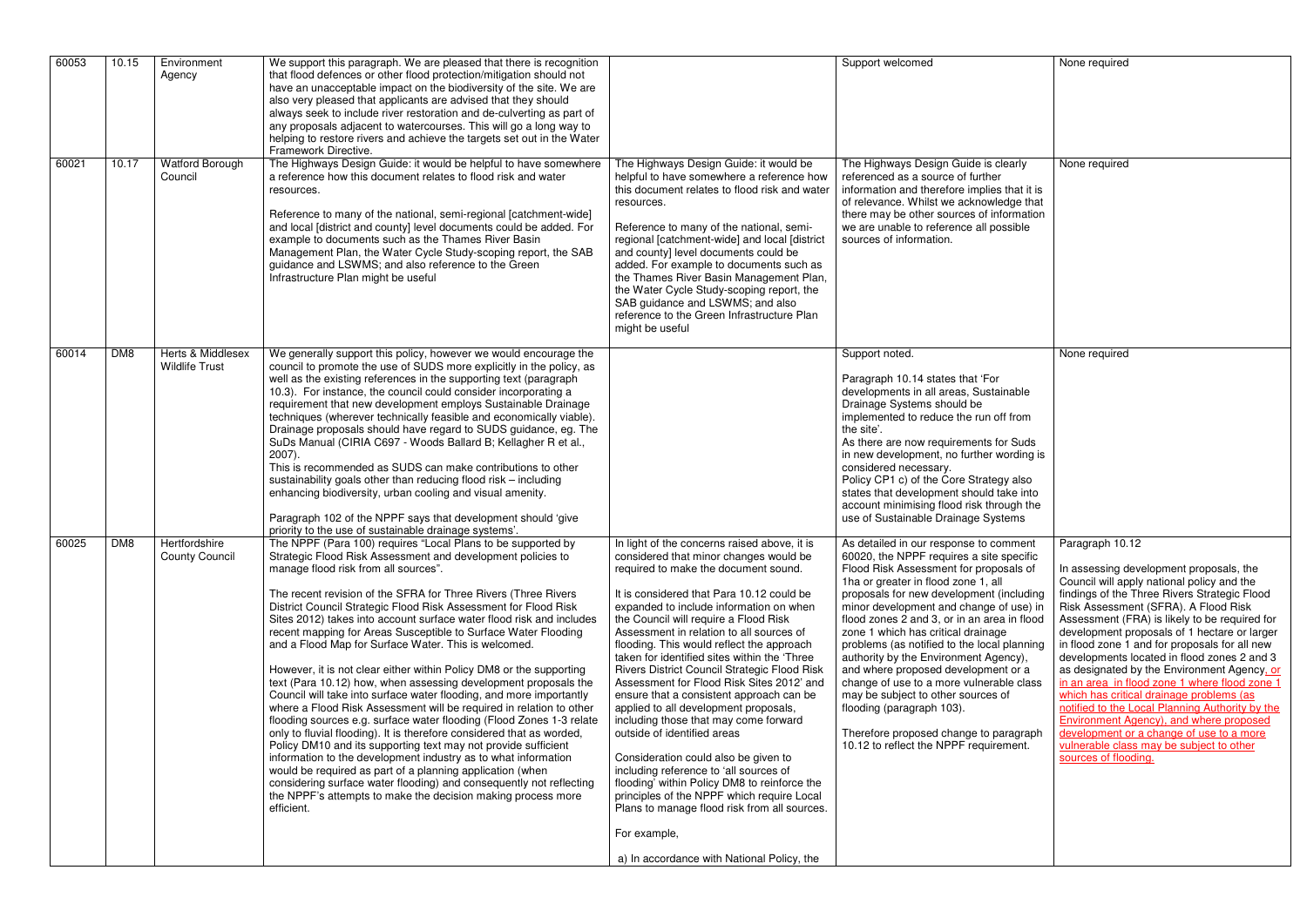| 60053 | 10.15 | Environment<br>Agency                      | We support this paragraph. We are pleased that there is recognition<br>that flood defences or other flood protection/mitigation should not<br>have an unacceptable impact on the biodiversity of the site. We are<br>also very pleased that applicants are advised that they should<br>always seek to include river restoration and de-culverting as part of<br>any proposals adjacent to watercourses. This will go a long way to<br>helping to restore rivers and achieve the targets set out in the Water<br>Framework Directive.                                                                                                                                                                                                                                                                                                                                                                                                                                                                                                                                                                                                                                                                                                                                                                      |                                                                                                                                                                                                                                                                                                                                                                                                                                                                                                                                                                                                                                                                                                                                                                                                                                                                                                                                                                  | Support welcomed                                                                                                                                                                                                                                                                                                                                                                                                                                                                                                                                                                                                                                                                                    | None required                                                                                                                                                                                                                                                                                                                                                                                                                                                                                                                                                                                                                                                                                                                            |
|-------|-------|--------------------------------------------|-----------------------------------------------------------------------------------------------------------------------------------------------------------------------------------------------------------------------------------------------------------------------------------------------------------------------------------------------------------------------------------------------------------------------------------------------------------------------------------------------------------------------------------------------------------------------------------------------------------------------------------------------------------------------------------------------------------------------------------------------------------------------------------------------------------------------------------------------------------------------------------------------------------------------------------------------------------------------------------------------------------------------------------------------------------------------------------------------------------------------------------------------------------------------------------------------------------------------------------------------------------------------------------------------------------|------------------------------------------------------------------------------------------------------------------------------------------------------------------------------------------------------------------------------------------------------------------------------------------------------------------------------------------------------------------------------------------------------------------------------------------------------------------------------------------------------------------------------------------------------------------------------------------------------------------------------------------------------------------------------------------------------------------------------------------------------------------------------------------------------------------------------------------------------------------------------------------------------------------------------------------------------------------|-----------------------------------------------------------------------------------------------------------------------------------------------------------------------------------------------------------------------------------------------------------------------------------------------------------------------------------------------------------------------------------------------------------------------------------------------------------------------------------------------------------------------------------------------------------------------------------------------------------------------------------------------------------------------------------------------------|------------------------------------------------------------------------------------------------------------------------------------------------------------------------------------------------------------------------------------------------------------------------------------------------------------------------------------------------------------------------------------------------------------------------------------------------------------------------------------------------------------------------------------------------------------------------------------------------------------------------------------------------------------------------------------------------------------------------------------------|
| 60021 | 10.17 | Watford Borough<br>Council                 | The Highways Design Guide: it would be helpful to have somewhere<br>a reference how this document relates to flood risk and water<br>resources.<br>Reference to many of the national, semi-regional [catchment-wide]<br>and local [district and county] level documents could be added. For<br>example to documents such as the Thames River Basin<br>Management Plan, the Water Cycle Study-scoping report, the SAB<br>guidance and LSWMS; and also reference to the Green<br>Infrastructure Plan might be useful                                                                                                                                                                                                                                                                                                                                                                                                                                                                                                                                                                                                                                                                                                                                                                                        | The Highways Design Guide: it would be<br>helpful to have somewhere a reference how<br>this document relates to flood risk and water<br>resources.<br>Reference to many of the national, semi-<br>regional [catchment-wide] and local [district<br>and county] level documents could be<br>added. For example to documents such as<br>the Thames River Basin Management Plan,<br>the Water Cycle Study-scoping report, the<br>SAB guidance and LSWMS; and also<br>reference to the Green Infrastructure Plan<br>might be useful                                                                                                                                                                                                                                                                                                                                                                                                                                  | The Highways Design Guide is clearly<br>referenced as a source of further<br>information and therefore implies that it is<br>of relevance. Whilst we acknowledge that<br>there may be other sources of information<br>we are unable to reference all possible<br>sources of information.                                                                                                                                                                                                                                                                                                                                                                                                            | None required                                                                                                                                                                                                                                                                                                                                                                                                                                                                                                                                                                                                                                                                                                                            |
| 60014 | DM8   | Herts & Middlesex<br><b>Wildlife Trust</b> | We generally support this policy, however we would encourage the<br>council to promote the use of SUDS more explicitly in the policy, as<br>well as the existing references in the supporting text (paragraph<br>10.3). For instance, the council could consider incorporating a<br>requirement that new development employs Sustainable Drainage<br>techniques (wherever technically feasible and economically viable).<br>Drainage proposals should have regard to SUDS guidance, eg. The<br>SuDs Manual (CIRIA C697 - Woods Ballard B; Kellagher R et al.,<br>2007).<br>This is recommended as SUDS can make contributions to other<br>sustainability goals other than reducing flood risk - including<br>enhancing biodiversity, urban cooling and visual amenity.<br>Paragraph 102 of the NPPF says that development should 'give<br>priority to the use of sustainable drainage systems'.                                                                                                                                                                                                                                                                                                                                                                                                           |                                                                                                                                                                                                                                                                                                                                                                                                                                                                                                                                                                                                                                                                                                                                                                                                                                                                                                                                                                  | Support noted.<br>Paragraph 10.14 states that 'For<br>developments in all areas, Sustainable<br>Drainage Systems should be<br>implemented to reduce the run off from<br>the site'.<br>As there are now requirements for Suds<br>in new development, no further wording is<br>considered necessary.<br>Policy CP1 c) of the Core Strategy also<br>states that development should take into<br>account minimising flood risk through the<br>use of Sustainable Drainage Systems                                                                                                                                                                                                                       | None required                                                                                                                                                                                                                                                                                                                                                                                                                                                                                                                                                                                                                                                                                                                            |
| 60025 | DM8   | Hertfordshire<br><b>County Council</b>     | The NPPF (Para 100) requires "Local Plans to be supported by<br>Strategic Flood Risk Assessment and development policies to<br>manage flood risk from all sources".<br>The recent revision of the SFRA for Three Rivers (Three Rivers<br>District Council Strategic Flood Risk Assessment for Flood Risk<br>Sites 2012) takes into account surface water flood risk and includes<br>recent mapping for Areas Susceptible to Surface Water Flooding<br>and a Flood Map for Surface Water. This is welcomed.<br>However, it is not clear either within Policy DM8 or the supporting<br>text (Para 10.12) how, when assessing development proposals the<br>Council will take into surface water flooding, and more importantly<br>where a Flood Risk Assessment will be required in relation to other<br>flooding sources e.g. surface water flooding (Flood Zones 1-3 relate<br>only to fluvial flooding). It is therefore considered that as worded,<br>Policy DM10 and its supporting text may not provide sufficient<br>information to the development industry as to what information<br>would be required as part of a planning application (when<br>considering surface water flooding) and consequently not reflecting<br>the NPPF's attempts to make the decision making process more<br>efficient. | In light of the concerns raised above, it is<br>considered that minor changes would be<br>required to make the document sound.<br>It is considered that Para 10.12 could be<br>expanded to include information on when<br>the Council will require a Flood Risk<br>Assessment in relation to all sources of<br>flooding. This would reflect the approach<br>taken for identified sites within the 'Three<br>Rivers District Council Strategic Flood Risk<br>Assessment for Flood Risk Sites 2012' and<br>ensure that a consistent approach can be<br>applied to all development proposals,<br>including those that may come forward<br>outside of identified areas<br>Consideration could also be given to<br>including reference to 'all sources of<br>flooding' within Policy DM8 to reinforce the<br>principles of the NPPF which require Local<br>Plans to manage flood risk from all sources.<br>For example,<br>a) In accordance with National Policy, the | As detailed in our response to comment   Paragraph 10.12<br>60020, the NPPF requires a site specific<br>Flood Risk Assessment for proposals of<br>1ha or greater in flood zone 1, all<br>proposals for new development (including<br>minor development and change of use) in<br>flood zones 2 and 3, or in an area in flood<br>zone 1 which has critical drainage<br>problems (as notified to the local planning<br>authority by the Environment Agency),<br>and where proposed development or a<br>change of use to a more vulnerable class<br>may be subject to other sources of<br>flooding (paragraph 103).<br>Therefore proposed change to paragraph<br>10.12 to reflect the NPPF requirement. | In assessing development proposals, the<br>Council will apply national policy and the<br>findings of the Three Rivers Strategic Flood<br>Risk Assessment (SFRA). A Flood Risk<br>Assessment (FRA) is likely to be required for<br>development proposals of 1 hectare or larger<br>in flood zone 1 and for proposals for all new<br>developments located in flood zones 2 and 3<br>as designated by the Environment Agency. or<br>in an area in flood zone 1 where flood zone 1<br>which has critical drainage problems (as<br>notified to the Local Planning Authority by the<br>Environment Agency), and where proposed<br>development or a change of use to a more<br>vulnerable class may be subject to other<br>sources of flooding. |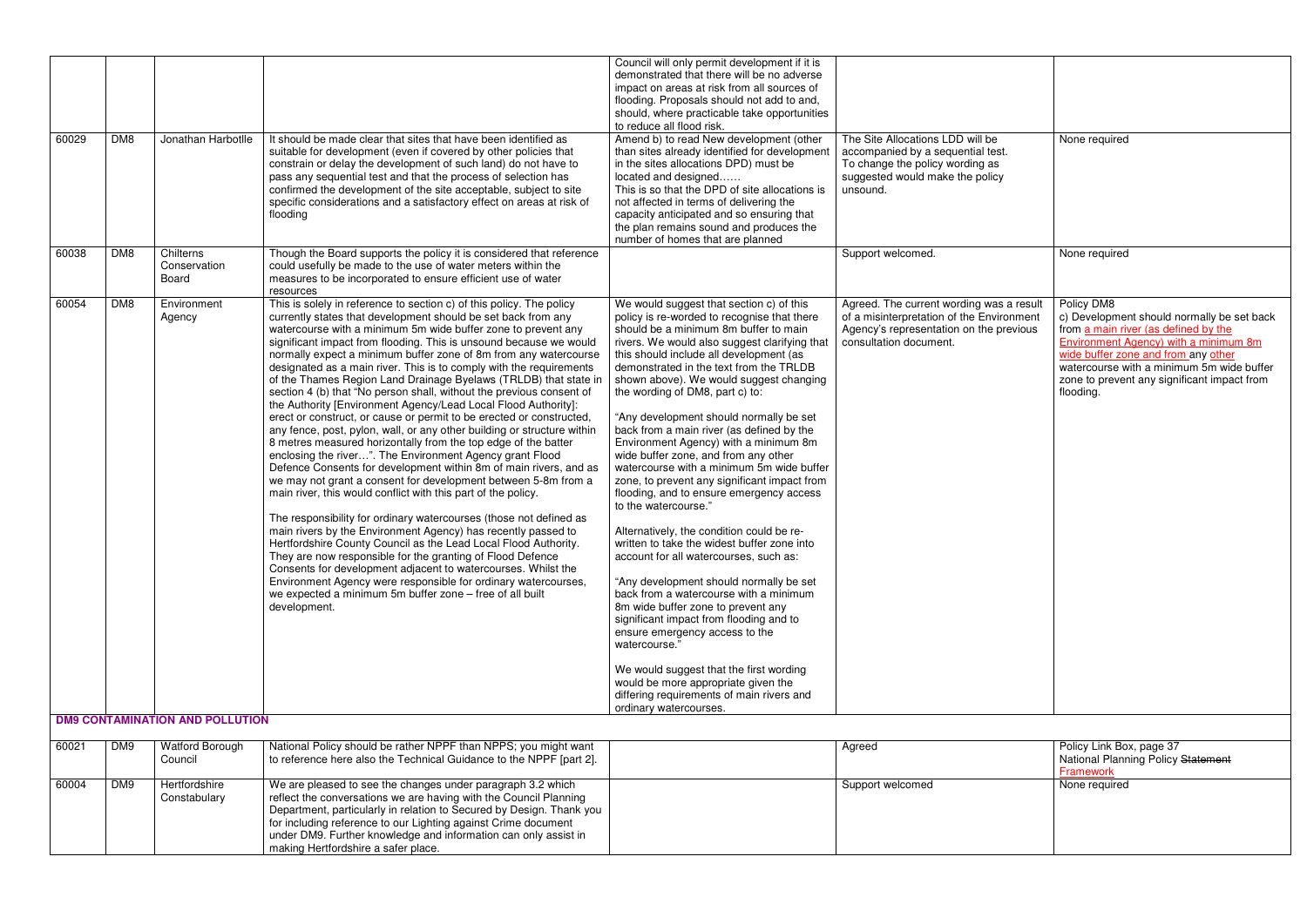| The Site Allocations LDD will be<br>accompanied by a sequential test.<br>To change the policy wording as<br>suggested would make the policy<br>unsound.    | None required                                                                                                                                                                                                                                                                                    |
|------------------------------------------------------------------------------------------------------------------------------------------------------------|--------------------------------------------------------------------------------------------------------------------------------------------------------------------------------------------------------------------------------------------------------------------------------------------------|
| Support welcomed.                                                                                                                                          | None required                                                                                                                                                                                                                                                                                    |
| Agreed. The current wording was a result<br>of a misinterpretation of the Environment<br>Agency's representation on the previous<br>consultation document. | Policy DM8<br>c) Development should normally be set back<br>from a main river (as defined by the<br><b>Environment Agency) with a minimum 8m</b><br>wide buffer zone and from any other<br>watercourse with a minimum 5m wide buffer<br>zone to prevent any significant impact from<br>flooding. |
|                                                                                                                                                            |                                                                                                                                                                                                                                                                                                  |
| Agreed                                                                                                                                                     | Policy Link Box, page 37<br>National Planning Policy Statement<br>Framework                                                                                                                                                                                                                      |
| Support welcomed                                                                                                                                           | None required                                                                                                                                                                                                                                                                                    |

|       |                 |                                           |                                                                                                                                                                                                                                                                                                                                                                                                                                                                                                                                                                                                                                                                                                                                                                                                                                                                                                                                                                                                                                                                                                                                                                                                                                                                                                                                                                                                                                                                                                                                                                                                                       | Council will only permit development if it is<br>demonstrated that there will be no adverse<br>impact on areas at risk from all sources of<br>flooding. Proposals should not add to and,<br>should, where practicable take opportunities<br>to reduce all flood risk.                                                                                                                                                                                                                                                                                                                                                                                                                                                                                                                                                                                                                                                                                                                                                                                                                                                                                                                                                   |                                                                                                                                                            |                                                                                         |
|-------|-----------------|-------------------------------------------|-----------------------------------------------------------------------------------------------------------------------------------------------------------------------------------------------------------------------------------------------------------------------------------------------------------------------------------------------------------------------------------------------------------------------------------------------------------------------------------------------------------------------------------------------------------------------------------------------------------------------------------------------------------------------------------------------------------------------------------------------------------------------------------------------------------------------------------------------------------------------------------------------------------------------------------------------------------------------------------------------------------------------------------------------------------------------------------------------------------------------------------------------------------------------------------------------------------------------------------------------------------------------------------------------------------------------------------------------------------------------------------------------------------------------------------------------------------------------------------------------------------------------------------------------------------------------------------------------------------------------|-------------------------------------------------------------------------------------------------------------------------------------------------------------------------------------------------------------------------------------------------------------------------------------------------------------------------------------------------------------------------------------------------------------------------------------------------------------------------------------------------------------------------------------------------------------------------------------------------------------------------------------------------------------------------------------------------------------------------------------------------------------------------------------------------------------------------------------------------------------------------------------------------------------------------------------------------------------------------------------------------------------------------------------------------------------------------------------------------------------------------------------------------------------------------------------------------------------------------|------------------------------------------------------------------------------------------------------------------------------------------------------------|-----------------------------------------------------------------------------------------|
| 60029 | DM8             | Jonathan Harbotlle                        | It should be made clear that sites that have been identified as<br>suitable for development (even if covered by other policies that<br>constrain or delay the development of such land) do not have to<br>pass any sequential test and that the process of selection has<br>confirmed the development of the site acceptable, subject to site<br>specific considerations and a satisfactory effect on areas at risk of<br>flooding                                                                                                                                                                                                                                                                                                                                                                                                                                                                                                                                                                                                                                                                                                                                                                                                                                                                                                                                                                                                                                                                                                                                                                                    | Amend b) to read New development (other<br>than sites already identified for development<br>in the sites allocations DPD) must be<br>located and designed<br>This is so that the DPD of site allocations is<br>not affected in terms of delivering the<br>capacity anticipated and so ensuring that<br>the plan remains sound and produces the<br>number of homes that are planned                                                                                                                                                                                                                                                                                                                                                                                                                                                                                                                                                                                                                                                                                                                                                                                                                                      | The Site Allocations LDD will be<br>accompanied by a sequential test.<br>To change the policy wording as<br>suggested would make the policy<br>unsound.    | None re                                                                                 |
| 60038 | DM <sub>8</sub> | Chilterns<br>Conservation<br><b>Board</b> | Though the Board supports the policy it is considered that reference<br>could usefully be made to the use of water meters within the<br>measures to be incorporated to ensure efficient use of water<br>resources                                                                                                                                                                                                                                                                                                                                                                                                                                                                                                                                                                                                                                                                                                                                                                                                                                                                                                                                                                                                                                                                                                                                                                                                                                                                                                                                                                                                     |                                                                                                                                                                                                                                                                                                                                                                                                                                                                                                                                                                                                                                                                                                                                                                                                                                                                                                                                                                                                                                                                                                                                                                                                                         | Support welcomed.                                                                                                                                          | None re                                                                                 |
| 60054 | DM8             | Environment<br>Agency                     | This is solely in reference to section c) of this policy. The policy<br>currently states that development should be set back from any<br>watercourse with a minimum 5m wide buffer zone to prevent any<br>significant impact from flooding. This is unsound because we would<br>normally expect a minimum buffer zone of 8m from any watercourse<br>designated as a main river. This is to comply with the requirements<br>of the Thames Region Land Drainage Byelaws (TRLDB) that state in<br>section 4 (b) that "No person shall, without the previous consent of<br>the Authority [Environment Agency/Lead Local Flood Authority]:<br>erect or construct, or cause or permit to be erected or constructed,<br>any fence, post, pylon, wall, or any other building or structure within<br>8 metres measured horizontally from the top edge of the batter<br>enclosing the river". The Environment Agency grant Flood<br>Defence Consents for development within 8m of main rivers, and as<br>we may not grant a consent for development between 5-8m from a<br>main river, this would conflict with this part of the policy.<br>The responsibility for ordinary watercourses (those not defined as<br>main rivers by the Environment Agency) has recently passed to<br>Hertfordshire County Council as the Lead Local Flood Authority.<br>They are now responsible for the granting of Flood Defence<br>Consents for development adjacent to watercourses. Whilst the<br>Environment Agency were responsible for ordinary watercourses,<br>we expected a minimum 5m buffer zone - free of all built<br>development. | We would suggest that section c) of this<br>policy is re-worded to recognise that there<br>should be a minimum 8m buffer to main<br>rivers. We would also suggest clarifying that<br>this should include all development (as<br>demonstrated in the text from the TRLDB<br>shown above). We would suggest changing<br>the wording of DM8, part c) to:<br>"Any development should normally be set<br>back from a main river (as defined by the<br>Environment Agency) with a minimum 8m<br>wide buffer zone, and from any other<br>watercourse with a minimum 5m wide buffer<br>zone, to prevent any significant impact from<br>flooding, and to ensure emergency access<br>to the watercourse."<br>Alternatively, the condition could be re-<br>written to take the widest buffer zone into<br>account for all watercourses, such as:<br>"Any development should normally be set<br>back from a watercourse with a minimum<br>8m wide buffer zone to prevent any<br>significant impact from flooding and to<br>ensure emergency access to the<br>watercourse."<br>We would suggest that the first wording<br>would be more appropriate given the<br>differing requirements of main rivers and<br>ordinary watercourses. | Agreed. The current wording was a result<br>of a misinterpretation of the Environment<br>Agency's representation on the previous<br>consultation document. | Policy D<br>c) Deve<br>from an<br>Environr<br>wide bu<br>waterco<br>zone to<br>flooding |
|       |                 | <b>DM9 CONTAMINATION AND POLLUTION</b>    |                                                                                                                                                                                                                                                                                                                                                                                                                                                                                                                                                                                                                                                                                                                                                                                                                                                                                                                                                                                                                                                                                                                                                                                                                                                                                                                                                                                                                                                                                                                                                                                                                       |                                                                                                                                                                                                                                                                                                                                                                                                                                                                                                                                                                                                                                                                                                                                                                                                                                                                                                                                                                                                                                                                                                                                                                                                                         |                                                                                                                                                            |                                                                                         |
| 60021 | DM9             | <b>Watford Borough</b><br>Council         | National Policy should be rather NPPF than NPPS; you might want<br>to reference here also the Technical Guidance to the NPPF [part 2].                                                                                                                                                                                                                                                                                                                                                                                                                                                                                                                                                                                                                                                                                                                                                                                                                                                                                                                                                                                                                                                                                                                                                                                                                                                                                                                                                                                                                                                                                |                                                                                                                                                                                                                                                                                                                                                                                                                                                                                                                                                                                                                                                                                                                                                                                                                                                                                                                                                                                                                                                                                                                                                                                                                         | Agreed                                                                                                                                                     | Policy L<br>Nationa<br><b>Framew</b>                                                    |
| 60004 | DM9             | Hertfordshire<br>Constabulary             | We are pleased to see the changes under paragraph 3.2 which<br>reflect the conversations we are having with the Council Planning<br>Department, particularly in relation to Secured by Design. Thank you<br>for including reference to our Lighting against Crime document<br>under DM9. Further knowledge and information can only assist in<br>making Hertfordshire a safer place.                                                                                                                                                                                                                                                                                                                                                                                                                                                                                                                                                                                                                                                                                                                                                                                                                                                                                                                                                                                                                                                                                                                                                                                                                                  |                                                                                                                                                                                                                                                                                                                                                                                                                                                                                                                                                                                                                                                                                                                                                                                                                                                                                                                                                                                                                                                                                                                                                                                                                         | Support welcomed                                                                                                                                           | None re                                                                                 |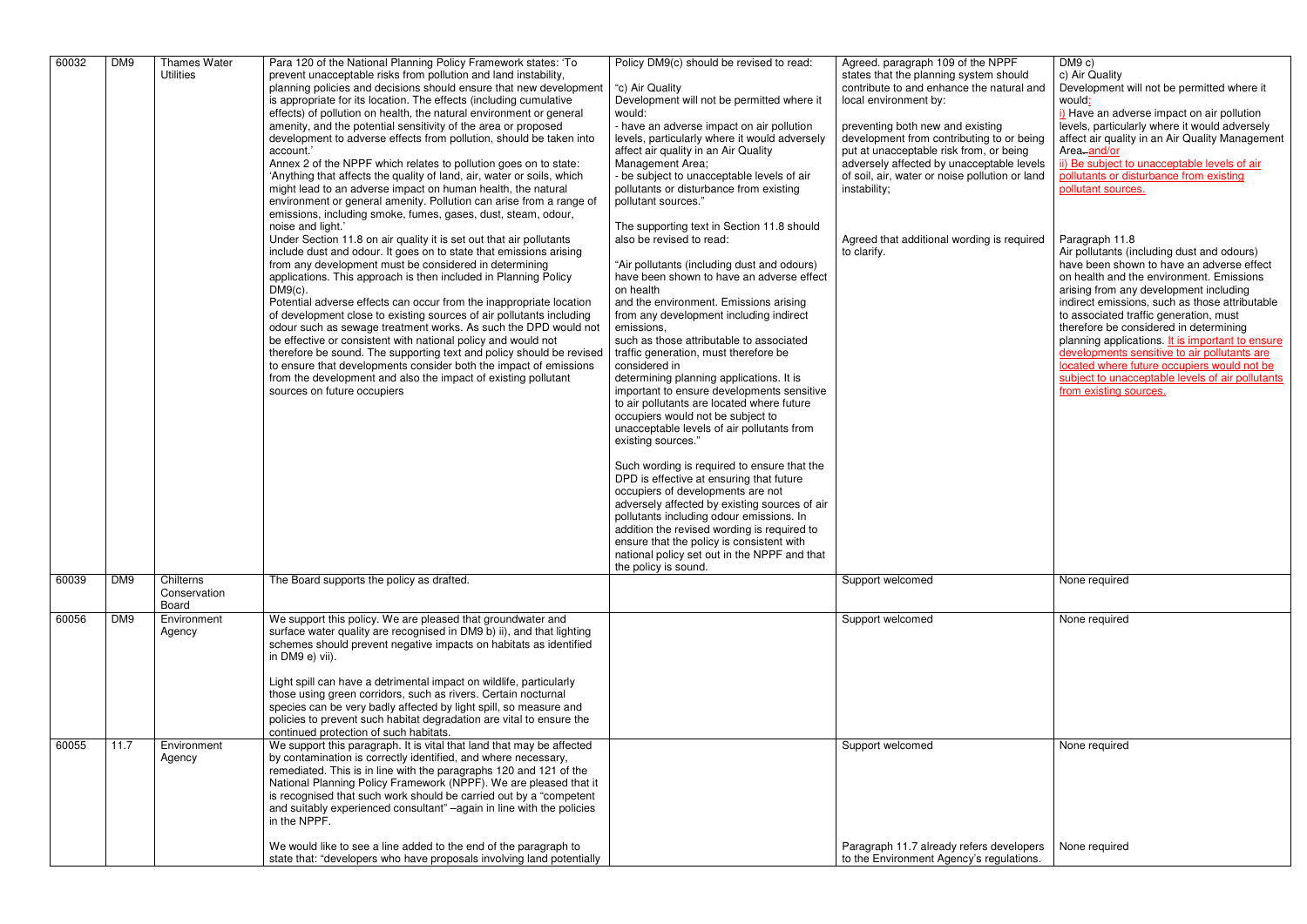| 60032 | DM <sub>9</sub> | <b>Thames Water</b><br><b>Utilities</b> | Para 120 of the National Planning Policy Framework states: 'To<br>prevent unacceptable risks from pollution and land instability,<br>planning policies and decisions should ensure that new development<br>is appropriate for its location. The effects (including cumulative<br>effects) of pollution on health, the natural environment or general<br>amenity, and the potential sensitivity of the area or proposed<br>development to adverse effects from pollution, should be taken into<br>account.'<br>Annex 2 of the NPPF which relates to pollution goes on to state:<br>'Anything that affects the quality of land, air, water or soils, which<br>might lead to an adverse impact on human health, the natural<br>environment or general amenity. Pollution can arise from a range of<br>emissions, including smoke, fumes, gases, dust, steam, odour,<br>noise and light."<br>Under Section 11.8 on air quality it is set out that air pollutants<br>include dust and odour. It goes on to state that emissions arising<br>from any development must be considered in determining<br>applications. This approach is then included in Planning Policy<br>$DM9(c)$ .<br>Potential adverse effects can occur from the inappropriate location<br>of development close to existing sources of air pollutants including<br>odour such as sewage treatment works. As such the DPD would not<br>be effective or consistent with national policy and would not<br>therefore be sound. The supporting text and policy should be revised<br>to ensure that developments consider both the impact of emissions<br>from the development and also the impact of existing pollutant<br>sources on future occupiers | Policy DM9(c) should be revised to read:<br>"c) Air Quality<br>Development will not be permitted where it<br>would:<br>- have an adverse impact on air pollution<br>levels, particularly where it would adversely<br>affect air quality in an Air Quality<br>Management Area;<br>- be subject to unacceptable levels of air<br>pollutants or disturbance from existing<br>pollutant sources."<br>The supporting text in Section 11.8 should<br>also be revised to read:<br>"Air pollutants (including dust and odours)<br>have been shown to have an adverse effect<br>on health<br>and the environment. Emissions arising<br>from any development including indirect<br>emissions,<br>such as those attributable to associated<br>traffic generation, must therefore be<br>considered in<br>determining planning applications. It is<br>important to ensure developments sensitive<br>to air pollutants are located where future<br>occupiers would not be subject to<br>unacceptable levels of air pollutants from<br>existing sources."<br>Such wording is required to ensure that the<br>DPD is effective at ensuring that future<br>occupiers of developments are not<br>adversely affected by existing sources of air<br>pollutants including odour emissions. In<br>addition the revised wording is required to<br>ensure that the policy is consistent with<br>national policy set out in the NPPF and that<br>the policy is sound. | Agreed. paragraph 109 of the NPPF<br>states that the planning system should<br>contribute to and enhance the natural and<br>local environment by:<br>preventing both new and existing<br>development from contributing to or being<br>put at unacceptable risk from, or being<br>adversely affected by unacceptable levels<br>of soil, air, water or noise pollution or land<br>instability;<br>Agreed that additional wording is required<br>to clarify. | DM9 c)<br>c) Air Quality<br>Development v<br>would:<br>i) Have an adv<br>levels, particula<br>affect air qualit<br>Area-and/or<br>ii) Be subject to<br>pollutants or di<br>pollutant sourc<br>Paragraph 11.8<br>Air pollutants (i<br>have been sho<br>on health and t<br>arising from an<br>indirect emissi<br>to associated t<br>therefore be co<br>planning applic<br>developments<br>located where<br>subject to unad<br>from existing s |
|-------|-----------------|-----------------------------------------|----------------------------------------------------------------------------------------------------------------------------------------------------------------------------------------------------------------------------------------------------------------------------------------------------------------------------------------------------------------------------------------------------------------------------------------------------------------------------------------------------------------------------------------------------------------------------------------------------------------------------------------------------------------------------------------------------------------------------------------------------------------------------------------------------------------------------------------------------------------------------------------------------------------------------------------------------------------------------------------------------------------------------------------------------------------------------------------------------------------------------------------------------------------------------------------------------------------------------------------------------------------------------------------------------------------------------------------------------------------------------------------------------------------------------------------------------------------------------------------------------------------------------------------------------------------------------------------------------------------------------------------------------------------------------------------------------------------|---------------------------------------------------------------------------------------------------------------------------------------------------------------------------------------------------------------------------------------------------------------------------------------------------------------------------------------------------------------------------------------------------------------------------------------------------------------------------------------------------------------------------------------------------------------------------------------------------------------------------------------------------------------------------------------------------------------------------------------------------------------------------------------------------------------------------------------------------------------------------------------------------------------------------------------------------------------------------------------------------------------------------------------------------------------------------------------------------------------------------------------------------------------------------------------------------------------------------------------------------------------------------------------------------------------------------------------------------------------------------------------------------------------------------------------------|-----------------------------------------------------------------------------------------------------------------------------------------------------------------------------------------------------------------------------------------------------------------------------------------------------------------------------------------------------------------------------------------------------------------------------------------------------------|---------------------------------------------------------------------------------------------------------------------------------------------------------------------------------------------------------------------------------------------------------------------------------------------------------------------------------------------------------------------------------------------------------------------------------------------|
| 60039 | DM9             | Chilterns<br>Conservation<br>Board      | The Board supports the policy as drafted.                                                                                                                                                                                                                                                                                                                                                                                                                                                                                                                                                                                                                                                                                                                                                                                                                                                                                                                                                                                                                                                                                                                                                                                                                                                                                                                                                                                                                                                                                                                                                                                                                                                                      |                                                                                                                                                                                                                                                                                                                                                                                                                                                                                                                                                                                                                                                                                                                                                                                                                                                                                                                                                                                                                                                                                                                                                                                                                                                                                                                                                                                                                                             | Support welcomed                                                                                                                                                                                                                                                                                                                                                                                                                                          | None required                                                                                                                                                                                                                                                                                                                                                                                                                               |
| 60056 | DM9             | Environment<br>Agency                   | We support this policy. We are pleased that groundwater and<br>surface water quality are recognised in DM9 b) ii), and that lighting<br>schemes should prevent negative impacts on habitats as identified<br>in DM9 e) vii).<br>Light spill can have a detrimental impact on wildlife, particularly<br>those using green corridors, such as rivers. Certain nocturnal<br>species can be very badly affected by light spill, so measure and<br>policies to prevent such habitat degradation are vital to ensure the<br>continued protection of such habitats.                                                                                                                                                                                                                                                                                                                                                                                                                                                                                                                                                                                                                                                                                                                                                                                                                                                                                                                                                                                                                                                                                                                                                   |                                                                                                                                                                                                                                                                                                                                                                                                                                                                                                                                                                                                                                                                                                                                                                                                                                                                                                                                                                                                                                                                                                                                                                                                                                                                                                                                                                                                                                             | Support welcomed                                                                                                                                                                                                                                                                                                                                                                                                                                          | None required                                                                                                                                                                                                                                                                                                                                                                                                                               |
| 60055 | 11.7            | Environment<br>Agency                   | We support this paragraph. It is vital that land that may be affected<br>by contamination is correctly identified, and where necessary,<br>remediated. This is in line with the paragraphs 120 and 121 of the<br>National Planning Policy Framework (NPPF). We are pleased that it<br>is recognised that such work should be carried out by a "competent"<br>and suitably experienced consultant" -again in line with the policies<br>in the NPPF.<br>We would like to see a line added to the end of the paragraph to                                                                                                                                                                                                                                                                                                                                                                                                                                                                                                                                                                                                                                                                                                                                                                                                                                                                                                                                                                                                                                                                                                                                                                                         |                                                                                                                                                                                                                                                                                                                                                                                                                                                                                                                                                                                                                                                                                                                                                                                                                                                                                                                                                                                                                                                                                                                                                                                                                                                                                                                                                                                                                                             | Support welcomed<br>Paragraph 11.7 already refers developers                                                                                                                                                                                                                                                                                                                                                                                              | None required<br>None required                                                                                                                                                                                                                                                                                                                                                                                                              |
|       |                 |                                         | state that: "developers who have proposals involving land potentially                                                                                                                                                                                                                                                                                                                                                                                                                                                                                                                                                                                                                                                                                                                                                                                                                                                                                                                                                                                                                                                                                                                                                                                                                                                                                                                                                                                                                                                                                                                                                                                                                                          |                                                                                                                                                                                                                                                                                                                                                                                                                                                                                                                                                                                                                                                                                                                                                                                                                                                                                                                                                                                                                                                                                                                                                                                                                                                                                                                                                                                                                                             | to the Environment Agency's regulations.                                                                                                                                                                                                                                                                                                                                                                                                                  |                                                                                                                                                                                                                                                                                                                                                                                                                                             |

| Agreed. paragraph 109 of the NPPF<br>states that the planning system should<br>contribute to and enhance the natural and<br>local environment by:<br>preventing both new and existing<br>development from contributing to or being<br>put at unacceptable risk from, or being<br>adversely affected by unacceptable levels<br>of soil, air, water or noise pollution or land<br>instability; | DM9 c)<br>c) Air Quality<br>Development will not be permitted where it<br>would:<br>i) Have an adverse impact on air pollution<br>levels, particularly where it would adversely<br>affect air quality in an Air Quality Management<br>Area-and/or<br>ii) Be subject to unacceptable levels of air<br>pollutants or disturbance from existing<br>pollutant sources.                                                                                                                                                                                                     |
|----------------------------------------------------------------------------------------------------------------------------------------------------------------------------------------------------------------------------------------------------------------------------------------------------------------------------------------------------------------------------------------------|------------------------------------------------------------------------------------------------------------------------------------------------------------------------------------------------------------------------------------------------------------------------------------------------------------------------------------------------------------------------------------------------------------------------------------------------------------------------------------------------------------------------------------------------------------------------|
| Agreed that additional wording is required<br>to clarify.                                                                                                                                                                                                                                                                                                                                    | Paragraph 11.8<br>Air pollutants (including dust and odours)<br>have been shown to have an adverse effect<br>on health and the environment. Emissions<br>arising from any development including<br>indirect emissions, such as those attributable<br>to associated traffic generation, must<br>therefore be considered in determining<br>planning applications. It is important to ensure<br>developments sensitive to air pollutants are<br>located where future occupiers would not be<br>subject to unacceptable levels of air pollutants<br>from existing sources. |
| Support welcomed                                                                                                                                                                                                                                                                                                                                                                             | None required                                                                                                                                                                                                                                                                                                                                                                                                                                                                                                                                                          |
| Support welcomed                                                                                                                                                                                                                                                                                                                                                                             | None required                                                                                                                                                                                                                                                                                                                                                                                                                                                                                                                                                          |
| Support welcomed                                                                                                                                                                                                                                                                                                                                                                             | None required                                                                                                                                                                                                                                                                                                                                                                                                                                                                                                                                                          |
| Paragraph 11.7 already refers developers<br>to the Environment Agency's regulations.                                                                                                                                                                                                                                                                                                         | None required                                                                                                                                                                                                                                                                                                                                                                                                                                                                                                                                                          |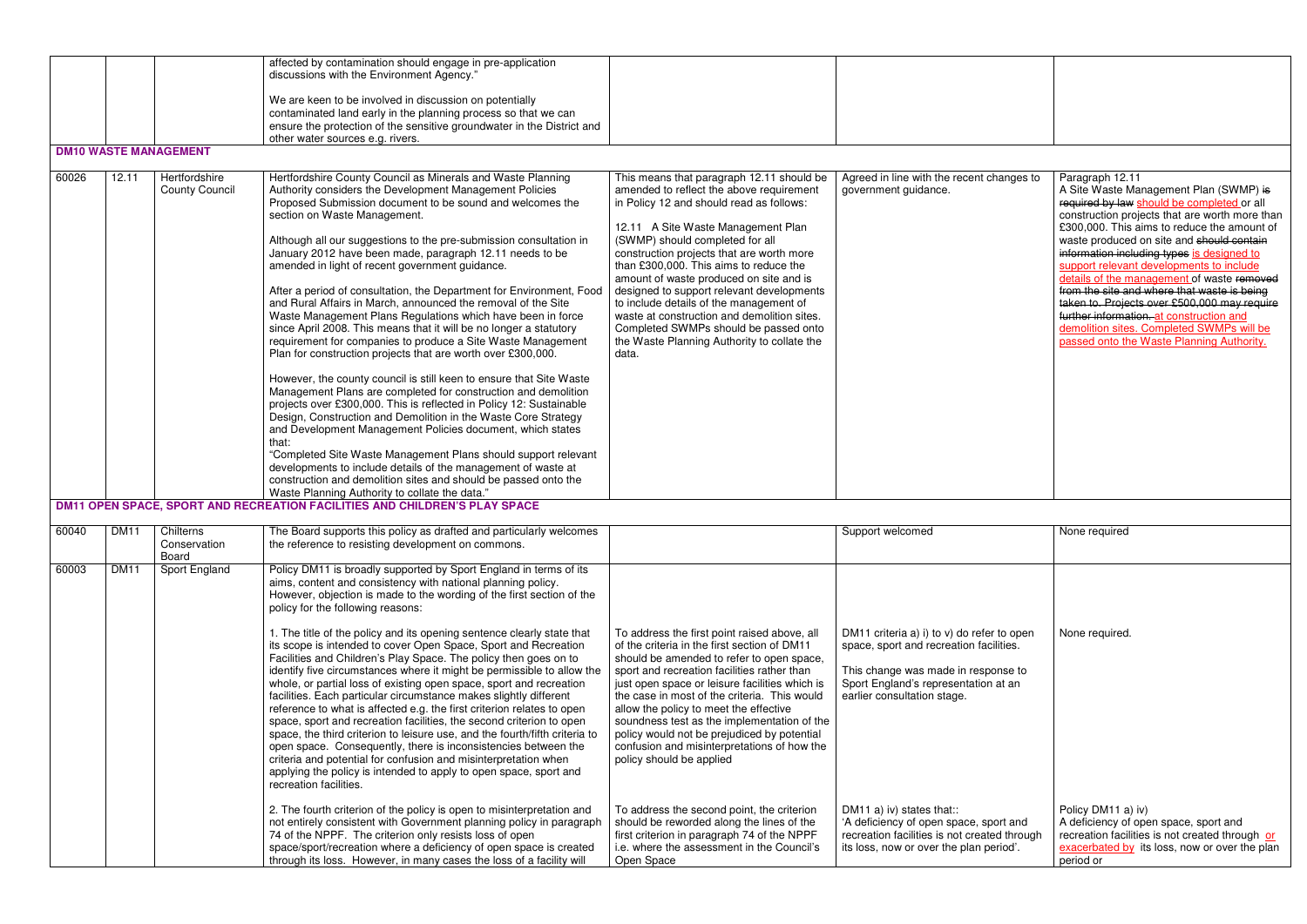|       |             |                                           | affected by contamination should engage in pre-application<br>discussions with the Environment Agency."<br>We are keen to be involved in discussion on potentially<br>contaminated land early in the planning process so that we can<br>ensure the protection of the sensitive groundwater in the District and                                                                                                                                                                                                                                                                                                                                                                                                                                                                                                                                                                                                                                                                                                                                                                                                                                                                                                                                                                                                                                                                                                                          |                                                                                                                                                                                                                                                                                                                                                                                                                                                                                                                                                                                      |                                                                                                                                                                                                                                     |                                                                                                                                                                                                                                                                                                                                                                                                                                                                                                                                                                                                                                    |
|-------|-------------|-------------------------------------------|-----------------------------------------------------------------------------------------------------------------------------------------------------------------------------------------------------------------------------------------------------------------------------------------------------------------------------------------------------------------------------------------------------------------------------------------------------------------------------------------------------------------------------------------------------------------------------------------------------------------------------------------------------------------------------------------------------------------------------------------------------------------------------------------------------------------------------------------------------------------------------------------------------------------------------------------------------------------------------------------------------------------------------------------------------------------------------------------------------------------------------------------------------------------------------------------------------------------------------------------------------------------------------------------------------------------------------------------------------------------------------------------------------------------------------------------|--------------------------------------------------------------------------------------------------------------------------------------------------------------------------------------------------------------------------------------------------------------------------------------------------------------------------------------------------------------------------------------------------------------------------------------------------------------------------------------------------------------------------------------------------------------------------------------|-------------------------------------------------------------------------------------------------------------------------------------------------------------------------------------------------------------------------------------|------------------------------------------------------------------------------------------------------------------------------------------------------------------------------------------------------------------------------------------------------------------------------------------------------------------------------------------------------------------------------------------------------------------------------------------------------------------------------------------------------------------------------------------------------------------------------------------------------------------------------------|
|       |             | <b>DM10 WASTE MANAGEMENT</b>              | other water sources e.g. rivers.                                                                                                                                                                                                                                                                                                                                                                                                                                                                                                                                                                                                                                                                                                                                                                                                                                                                                                                                                                                                                                                                                                                                                                                                                                                                                                                                                                                                        |                                                                                                                                                                                                                                                                                                                                                                                                                                                                                                                                                                                      |                                                                                                                                                                                                                                     |                                                                                                                                                                                                                                                                                                                                                                                                                                                                                                                                                                                                                                    |
|       |             |                                           |                                                                                                                                                                                                                                                                                                                                                                                                                                                                                                                                                                                                                                                                                                                                                                                                                                                                                                                                                                                                                                                                                                                                                                                                                                                                                                                                                                                                                                         |                                                                                                                                                                                                                                                                                                                                                                                                                                                                                                                                                                                      |                                                                                                                                                                                                                                     |                                                                                                                                                                                                                                                                                                                                                                                                                                                                                                                                                                                                                                    |
| 60026 | 12.11       | Hertfordshire<br><b>County Council</b>    | Hertfordshire County Council as Minerals and Waste Planning<br>Authority considers the Development Management Policies<br>Proposed Submission document to be sound and welcomes the<br>section on Waste Management.<br>Although all our suggestions to the pre-submission consultation in<br>January 2012 have been made, paragraph 12.11 needs to be<br>amended in light of recent government guidance.<br>After a period of consultation, the Department for Environment, Food<br>and Rural Affairs in March, announced the removal of the Site<br>Waste Management Plans Regulations which have been in force<br>since April 2008. This means that it will be no longer a statutory<br>requirement for companies to produce a Site Waste Management<br>Plan for construction projects that are worth over £300,000.<br>However, the county council is still keen to ensure that Site Waste<br>Management Plans are completed for construction and demolition<br>projects over £300,000. This is reflected in Policy 12: Sustainable<br>Design, Construction and Demolition in the Waste Core Strategy<br>and Development Management Policies document, which states<br>that:<br>"Completed Site Waste Management Plans should support relevant<br>developments to include details of the management of waste at<br>construction and demolition sites and should be passed onto the<br>Waste Planning Authority to collate the data." | This means that paragraph 12.11 should be<br>amended to reflect the above requirement<br>in Policy 12 and should read as follows:<br>12.11 A Site Waste Management Plan<br>(SWMP) should completed for all<br>construction projects that are worth more<br>than £300,000. This aims to reduce the<br>amount of waste produced on site and is<br>designed to support relevant developments<br>to include details of the management of<br>waste at construction and demolition sites.<br>Completed SWMPs should be passed onto<br>the Waste Planning Authority to collate the<br>data. | Agreed in line with the recent changes to<br>government guidance.                                                                                                                                                                   | Paragraph 12.11<br>A Site Waste Management Plan (SWMP) is<br>required by law should be completed or all<br>construction projects that are worth more than<br>£300,000. This aims to reduce the amount of<br>waste produced on site and should contain<br>information including types is designed to<br>support relevant developments to include<br>details of the management of waste removed<br>from the site and where that waste is being<br>taken to. Projects over £500,000 may require<br>further information, at construction and<br>demolition sites. Completed SWMPs will be<br>passed onto the Waste Planning Authority. |
|       |             |                                           | DM11 OPEN SPACE, SPORT AND RECREATION FACILITIES AND CHILDREN'S PLAY SPACE                                                                                                                                                                                                                                                                                                                                                                                                                                                                                                                                                                                                                                                                                                                                                                                                                                                                                                                                                                                                                                                                                                                                                                                                                                                                                                                                                              |                                                                                                                                                                                                                                                                                                                                                                                                                                                                                                                                                                                      |                                                                                                                                                                                                                                     |                                                                                                                                                                                                                                                                                                                                                                                                                                                                                                                                                                                                                                    |
| 60040 | <b>DM11</b> | Chilterns<br>Conservation<br><b>Board</b> | The Board supports this policy as drafted and particularly welcomes<br>the reference to resisting development on commons.                                                                                                                                                                                                                                                                                                                                                                                                                                                                                                                                                                                                                                                                                                                                                                                                                                                                                                                                                                                                                                                                                                                                                                                                                                                                                                               |                                                                                                                                                                                                                                                                                                                                                                                                                                                                                                                                                                                      | Support welcomed                                                                                                                                                                                                                    | None required                                                                                                                                                                                                                                                                                                                                                                                                                                                                                                                                                                                                                      |
| 60003 | <b>DM11</b> | Sport England                             | Policy DM11 is broadly supported by Sport England in terms of its<br>aims, content and consistency with national planning policy.<br>However, objection is made to the wording of the first section of the<br>policy for the following reasons:<br>1. The title of the policy and its opening sentence clearly state that<br>its scope is intended to cover Open Space, Sport and Recreation<br>Facilities and Children's Play Space. The policy then goes on to<br>identify five circumstances where it might be permissible to allow the<br>whole, or partial loss of existing open space, sport and recreation<br>facilities. Each particular circumstance makes slightly different<br>reference to what is affected e.g. the first criterion relates to open<br>space, sport and recreation facilities, the second criterion to open<br>space, the third criterion to leisure use, and the fourth/fifth criteria to<br>open space. Consequently, there is inconsistencies between the<br>criteria and potential for confusion and misinterpretation when<br>applying the policy is intended to apply to open space, sport and<br>recreation facilities.<br>2. The fourth criterion of the policy is open to misinterpretation and                                                                                                                                                                                                   | To address the first point raised above, all<br>of the criteria in the first section of DM11<br>should be amended to refer to open space,<br>sport and recreation facilities rather than<br>just open space or leisure facilities which is<br>the case in most of the criteria. This would<br>allow the policy to meet the effective<br>soundness test as the implementation of the<br>policy would not be prejudiced by potential<br>confusion and misinterpretations of how the<br>policy should be applied<br>To address the second point, the criterion                          | DM11 criteria a) i) to $v$ ) do refer to open<br>space, sport and recreation facilities.<br>This change was made in response to<br>Sport England's representation at an<br>earlier consultation stage.<br>DM11 a) iv) states that:: | None required.<br>Policy DM11 a) iv)                                                                                                                                                                                                                                                                                                                                                                                                                                                                                                                                                                                               |
|       |             |                                           | not entirely consistent with Government planning policy in paragraph<br>74 of the NPPF. The criterion only resists loss of open<br>space/sport/recreation where a deficiency of open space is created<br>through its loss. However, in many cases the loss of a facility will                                                                                                                                                                                                                                                                                                                                                                                                                                                                                                                                                                                                                                                                                                                                                                                                                                                                                                                                                                                                                                                                                                                                                           | should be reworded along the lines of the<br>first criterion in paragraph 74 of the NPPF<br>i.e. where the assessment in the Council's<br>Open Space                                                                                                                                                                                                                                                                                                                                                                                                                                 | 'A deficiency of open space, sport and<br>recreation facilities is not created through<br>its loss, now or over the plan period'.                                                                                                   | A deficiency of open space, sport and<br>recreation facilities is not created through or<br>exacerbated by its loss, now or over the plan<br>period or                                                                                                                                                                                                                                                                                                                                                                                                                                                                             |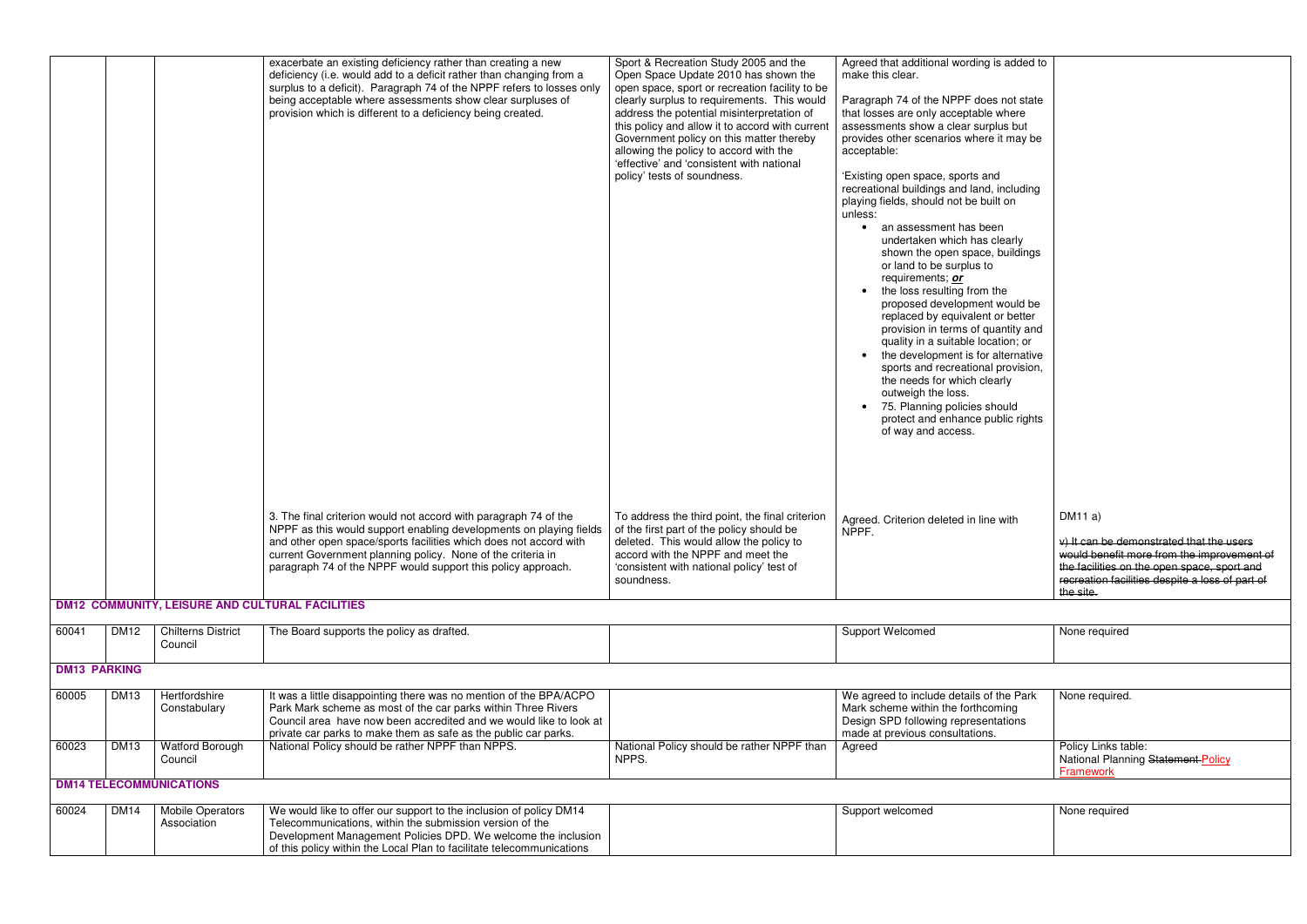|                     |             |                                        | exacerbate an existing deficiency rather than creating a new<br>deficiency (i.e. would add to a deficit rather than changing from a<br>surplus to a deficit). Paragraph 74 of the NPPF refers to losses only<br>being acceptable where assessments show clear surpluses of<br>provision which is different to a deficiency being created.  | Sport & Recreation Study 2005 and the<br>Open Space Update 2010 has shown the<br>open space, sport or recreation facility to be<br>clearly surplus to requirements. This would<br>address the potential misinterpretation of<br>this policy and allow it to accord with current<br>Government policy on this matter thereby<br>allowing the policy to accord with the<br>'effective' and 'consistent with national<br>policy' tests of soundness. | Agreed that additional wording is added to<br>make this clear.<br>Paragraph 74 of the NPPF does not state<br>that losses are only acceptable where<br>assessments show a clear surplus but<br>provides other scenarios where it may be<br>acceptable:<br>'Existing open space, sports and<br>recreational buildings and land, including<br>playing fields, should not be built on<br>unless:<br>an assessment has been<br>$\bullet$<br>undertaken which has clearly<br>shown the open space, buildings |                                                                                                       |
|---------------------|-------------|----------------------------------------|--------------------------------------------------------------------------------------------------------------------------------------------------------------------------------------------------------------------------------------------------------------------------------------------------------------------------------------------|---------------------------------------------------------------------------------------------------------------------------------------------------------------------------------------------------------------------------------------------------------------------------------------------------------------------------------------------------------------------------------------------------------------------------------------------------|--------------------------------------------------------------------------------------------------------------------------------------------------------------------------------------------------------------------------------------------------------------------------------------------------------------------------------------------------------------------------------------------------------------------------------------------------------------------------------------------------------|-------------------------------------------------------------------------------------------------------|
|                     |             |                                        |                                                                                                                                                                                                                                                                                                                                            |                                                                                                                                                                                                                                                                                                                                                                                                                                                   | or land to be surplus to<br>requirements; or<br>the loss resulting from the<br>proposed development would be<br>replaced by equivalent or better<br>provision in terms of quantity and<br>quality in a suitable location; or<br>the development is for alternative<br>sports and recreational provision,<br>the needs for which clearly<br>outweigh the loss.<br>75. Planning policies should<br>protect and enhance public rights<br>of way and access.                                               |                                                                                                       |
|                     |             |                                        | 3. The final criterion would not accord with paragraph 74 of the<br>NPPF as this would support enabling developments on playing fields<br>and other open space/sports facilities which does not accord with<br>current Government planning policy. None of the criteria in<br>paragraph 74 of the NPPF would support this policy approach. | To address the third point, the final criterion<br>of the first part of the policy should be<br>deleted. This would allow the policy to<br>accord with the NPPF and meet the<br>'consistent with national policy' test of<br>soundness.                                                                                                                                                                                                           | Agreed. Criterion deleted in line with<br>NPPF.                                                                                                                                                                                                                                                                                                                                                                                                                                                        | DM11a)<br>$v)$ It can be der<br>would benefit r<br>the facilities on<br>recreation facil<br>the site. |
|                     |             |                                        | <b>DM12 COMMUNITY, LEISURE AND CULTURAL FACILITIES</b>                                                                                                                                                                                                                                                                                     |                                                                                                                                                                                                                                                                                                                                                                                                                                                   |                                                                                                                                                                                                                                                                                                                                                                                                                                                                                                        |                                                                                                       |
| 60041               | <b>DM12</b> | <b>Chilterns District</b><br>Council   | The Board supports the policy as drafted.                                                                                                                                                                                                                                                                                                  |                                                                                                                                                                                                                                                                                                                                                                                                                                                   | Support Welcomed                                                                                                                                                                                                                                                                                                                                                                                                                                                                                       | None required                                                                                         |
| <b>DM13 PARKING</b> |             |                                        |                                                                                                                                                                                                                                                                                                                                            |                                                                                                                                                                                                                                                                                                                                                                                                                                                   |                                                                                                                                                                                                                                                                                                                                                                                                                                                                                                        |                                                                                                       |
| 60005               | <b>DM13</b> | Hertfordshire<br>Constabulary          | It was a little disappointing there was no mention of the BPA/ACPO<br>Park Mark scheme as most of the car parks within Three Rivers<br>Council area have now been accredited and we would like to look at<br>private car parks to make them as safe as the public car parks.                                                               |                                                                                                                                                                                                                                                                                                                                                                                                                                                   | We agreed to include details of the Park<br>Mark scheme within the forthcoming<br>Design SPD following representations<br>made at previous consultations.                                                                                                                                                                                                                                                                                                                                              | None required.                                                                                        |
| 60023               | <b>DM13</b> | <b>Watford Borough</b><br>Council      | National Policy should be rather NPPF than NPPS.                                                                                                                                                                                                                                                                                           | National Policy should be rather NPPF than<br>NPPS.                                                                                                                                                                                                                                                                                                                                                                                               | Agreed                                                                                                                                                                                                                                                                                                                                                                                                                                                                                                 | Policy Links tal<br><b>National Plann</b><br>Framework                                                |
|                     |             | <b>DM14 TELECOMMUNICATIONS</b>         |                                                                                                                                                                                                                                                                                                                                            |                                                                                                                                                                                                                                                                                                                                                                                                                                                   |                                                                                                                                                                                                                                                                                                                                                                                                                                                                                                        |                                                                                                       |
| 60024               | <b>DM14</b> | <b>Mobile Operators</b><br>Association | We would like to offer our support to the inclusion of policy DM14<br>Telecommunications, within the submission version of the<br>Development Management Policies DPD. We welcome the inclusion<br>of this policy within the Local Plan to facilitate telecommunications                                                                   |                                                                                                                                                                                                                                                                                                                                                                                                                                                   | Support welcomed                                                                                                                                                                                                                                                                                                                                                                                                                                                                                       | None required                                                                                         |

| Agreed that additional wording is added to<br>make this clear.                                                                                                                                                                                                                                                                                                                                                                                                                                                                                                                                                                                                                                                 |                                                                                                                                                                                                                 |
|----------------------------------------------------------------------------------------------------------------------------------------------------------------------------------------------------------------------------------------------------------------------------------------------------------------------------------------------------------------------------------------------------------------------------------------------------------------------------------------------------------------------------------------------------------------------------------------------------------------------------------------------------------------------------------------------------------------|-----------------------------------------------------------------------------------------------------------------------------------------------------------------------------------------------------------------|
| Paragraph 74 of the NPPF does not state<br>that losses are only acceptable where<br>assessments show a clear surplus but<br>provides other scenarios where it may be<br>acceptable:                                                                                                                                                                                                                                                                                                                                                                                                                                                                                                                            |                                                                                                                                                                                                                 |
| 'Existing open space, sports and<br>recreational buildings and land, including<br>playing fields, should not be built on<br>unless:<br>an assessment has been<br>$\bullet$<br>undertaken which has clearly<br>shown the open space, buildings<br>or land to be surplus to<br>requirements; or<br>the loss resulting from the<br>proposed development would be<br>replaced by equivalent or better<br>provision in terms of quantity and<br>quality in a suitable location; or<br>the development is for alternative<br>٠<br>sports and recreational provision,<br>the needs for which clearly<br>outweigh the loss.<br>75. Planning policies should<br>protect and enhance public rights<br>of way and access. |                                                                                                                                                                                                                 |
| Agreed. Criterion deleted in line with<br>NPPF.                                                                                                                                                                                                                                                                                                                                                                                                                                                                                                                                                                                                                                                                | DM11a)<br>v) It can be demonstrated that the users<br>would benefit more from the improvement of<br>the facilities on the open space, sport and<br>recreation facilities despite a loss of part of<br>the site. |
|                                                                                                                                                                                                                                                                                                                                                                                                                                                                                                                                                                                                                                                                                                                |                                                                                                                                                                                                                 |
| Support Welcomed                                                                                                                                                                                                                                                                                                                                                                                                                                                                                                                                                                                                                                                                                               | None required                                                                                                                                                                                                   |
|                                                                                                                                                                                                                                                                                                                                                                                                                                                                                                                                                                                                                                                                                                                |                                                                                                                                                                                                                 |
| We agreed to include details of the Park<br>Mark scheme within the forthcoming<br>Design SPD following representations<br>made at previous consultations.                                                                                                                                                                                                                                                                                                                                                                                                                                                                                                                                                      | None required.                                                                                                                                                                                                  |
| Agreed                                                                                                                                                                                                                                                                                                                                                                                                                                                                                                                                                                                                                                                                                                         | Policy Links table:<br>National Planning Statement Policy<br><b>Framework</b>                                                                                                                                   |
|                                                                                                                                                                                                                                                                                                                                                                                                                                                                                                                                                                                                                                                                                                                |                                                                                                                                                                                                                 |

| None required |
|---------------|
|               |
|               |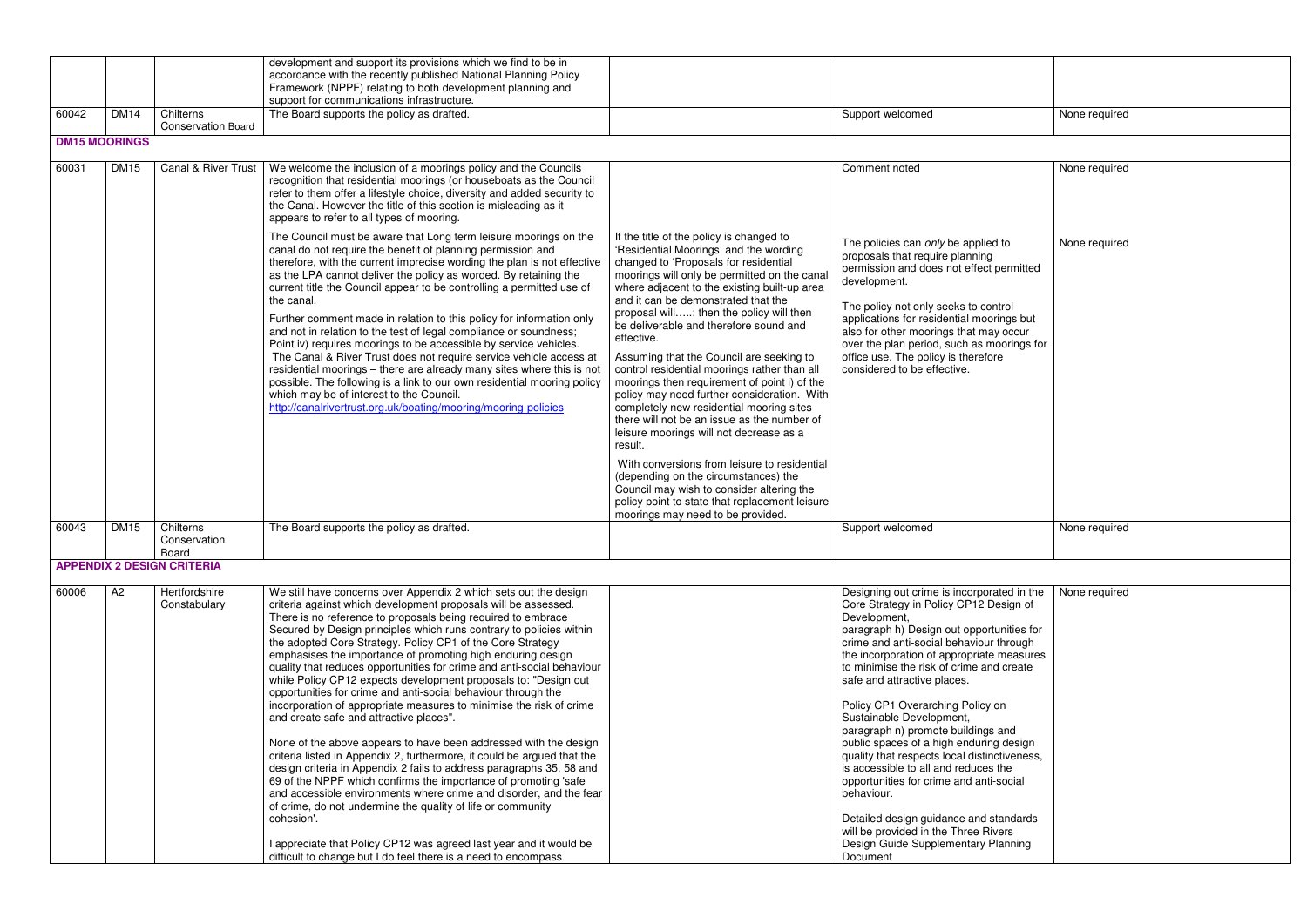|       |                      |                                        | development and support its provisions which we find to be in<br>accordance with the recently published National Planning Policy<br>Framework (NPPF) relating to both development planning and<br>support for communications infrastructure.                                                                                                                                                                                                                                                                                                                                                                                                                                                                                                                                                                                                                                                                                                                                                                                                                                                                                                                                                                                                                                                                                |                                                                                                                                                                                                                                                                                                                                                                                                                                                                                                                                                                                                                                                                                                                                                                                                                                                                                                    |                                                                                                                                                                                                                                                                                                                                                                                                                                                                                                                                                                                                                                                                                                                                                             |                                |
|-------|----------------------|----------------------------------------|-----------------------------------------------------------------------------------------------------------------------------------------------------------------------------------------------------------------------------------------------------------------------------------------------------------------------------------------------------------------------------------------------------------------------------------------------------------------------------------------------------------------------------------------------------------------------------------------------------------------------------------------------------------------------------------------------------------------------------------------------------------------------------------------------------------------------------------------------------------------------------------------------------------------------------------------------------------------------------------------------------------------------------------------------------------------------------------------------------------------------------------------------------------------------------------------------------------------------------------------------------------------------------------------------------------------------------|----------------------------------------------------------------------------------------------------------------------------------------------------------------------------------------------------------------------------------------------------------------------------------------------------------------------------------------------------------------------------------------------------------------------------------------------------------------------------------------------------------------------------------------------------------------------------------------------------------------------------------------------------------------------------------------------------------------------------------------------------------------------------------------------------------------------------------------------------------------------------------------------------|-------------------------------------------------------------------------------------------------------------------------------------------------------------------------------------------------------------------------------------------------------------------------------------------------------------------------------------------------------------------------------------------------------------------------------------------------------------------------------------------------------------------------------------------------------------------------------------------------------------------------------------------------------------------------------------------------------------------------------------------------------------|--------------------------------|
| 60042 | <b>DM14</b>          | Chilterns<br><b>Conservation Board</b> | The Board supports the policy as drafted.                                                                                                                                                                                                                                                                                                                                                                                                                                                                                                                                                                                                                                                                                                                                                                                                                                                                                                                                                                                                                                                                                                                                                                                                                                                                                   |                                                                                                                                                                                                                                                                                                                                                                                                                                                                                                                                                                                                                                                                                                                                                                                                                                                                                                    | Support welcomed                                                                                                                                                                                                                                                                                                                                                                                                                                                                                                                                                                                                                                                                                                                                            | None required                  |
|       | <b>DM15 MOORINGS</b> |                                        |                                                                                                                                                                                                                                                                                                                                                                                                                                                                                                                                                                                                                                                                                                                                                                                                                                                                                                                                                                                                                                                                                                                                                                                                                                                                                                                             |                                                                                                                                                                                                                                                                                                                                                                                                                                                                                                                                                                                                                                                                                                                                                                                                                                                                                                    |                                                                                                                                                                                                                                                                                                                                                                                                                                                                                                                                                                                                                                                                                                                                                             |                                |
| 60031 | <b>DM15</b>          | <b>Canal &amp; River Trust</b>         | We welcome the inclusion of a moorings policy and the Councils<br>recognition that residential moorings (or houseboats as the Council<br>refer to them offer a lifestyle choice, diversity and added security to<br>the Canal. However the title of this section is misleading as it<br>appears to refer to all types of mooring.<br>The Council must be aware that Long term leisure moorings on the                                                                                                                                                                                                                                                                                                                                                                                                                                                                                                                                                                                                                                                                                                                                                                                                                                                                                                                       | If the title of the policy is changed to                                                                                                                                                                                                                                                                                                                                                                                                                                                                                                                                                                                                                                                                                                                                                                                                                                                           | Comment noted<br>The policies can only be applied to                                                                                                                                                                                                                                                                                                                                                                                                                                                                                                                                                                                                                                                                                                        | None required<br>None required |
|       |                      |                                        | canal do not require the benefit of planning permission and<br>therefore, with the current imprecise wording the plan is not effective<br>as the LPA cannot deliver the policy as worded. By retaining the<br>current title the Council appear to be controlling a permitted use of<br>the canal.<br>Further comment made in relation to this policy for information only<br>and not in relation to the test of legal compliance or soundness;<br>Point iv) requires moorings to be accessible by service vehicles.<br>The Canal & River Trust does not require service vehicle access at<br>residential moorings - there are already many sites where this is not<br>possible. The following is a link to our own residential mooring policy<br>which may be of interest to the Council.<br>http://canalrivertrust.org.uk/boating/mooring/mooring-policies                                                                                                                                                                                                                                                                                                                                                                                                                                                                 | 'Residential Moorings' and the wording<br>changed to 'Proposals for residential<br>moorings will only be permitted on the canal<br>where adjacent to the existing built-up area<br>and it can be demonstrated that the<br>proposal will: then the policy will then<br>be deliverable and therefore sound and<br>effective.<br>Assuming that the Council are seeking to<br>control residential moorings rather than all<br>moorings then requirement of point i) of the<br>policy may need further consideration. With<br>completely new residential mooring sites<br>there will not be an issue as the number of<br>leisure moorings will not decrease as a<br>result.<br>With conversions from leisure to residential<br>(depending on the circumstances) the<br>Council may wish to consider altering the<br>policy point to state that replacement leisure<br>moorings may need to be provided. | proposals that require planning<br>permission and does not effect permitted<br>development.<br>The policy not only seeks to control<br>applications for residential moorings but<br>also for other moorings that may occur<br>over the plan period, such as moorings for<br>office use. The policy is therefore<br>considered to be effective.                                                                                                                                                                                                                                                                                                                                                                                                              |                                |
| 60043 | <b>DM15</b>          | Chilterns<br>Conservation<br>Board     | The Board supports the policy as drafted.                                                                                                                                                                                                                                                                                                                                                                                                                                                                                                                                                                                                                                                                                                                                                                                                                                                                                                                                                                                                                                                                                                                                                                                                                                                                                   |                                                                                                                                                                                                                                                                                                                                                                                                                                                                                                                                                                                                                                                                                                                                                                                                                                                                                                    | Support welcomed                                                                                                                                                                                                                                                                                                                                                                                                                                                                                                                                                                                                                                                                                                                                            | None required                  |
|       |                      | <b>APPENDIX 2 DESIGN CRITERIA</b>      |                                                                                                                                                                                                                                                                                                                                                                                                                                                                                                                                                                                                                                                                                                                                                                                                                                                                                                                                                                                                                                                                                                                                                                                                                                                                                                                             |                                                                                                                                                                                                                                                                                                                                                                                                                                                                                                                                                                                                                                                                                                                                                                                                                                                                                                    |                                                                                                                                                                                                                                                                                                                                                                                                                                                                                                                                                                                                                                                                                                                                                             |                                |
| 60006 | A2                   | Hertfordshire<br>Constabulary          | We still have concerns over Appendix 2 which sets out the design<br>criteria against which development proposals will be assessed.<br>There is no reference to proposals being required to embrace<br>Secured by Design principles which runs contrary to policies within<br>the adopted Core Strategy. Policy CP1 of the Core Strategy<br>emphasises the importance of promoting high enduring design<br>quality that reduces opportunities for crime and anti-social behaviour<br>while Policy CP12 expects development proposals to: "Design out<br>opportunities for crime and anti-social behaviour through the<br>incorporation of appropriate measures to minimise the risk of crime<br>and create safe and attractive places".<br>None of the above appears to have been addressed with the design<br>criteria listed in Appendix 2, furthermore, it could be argued that the<br>design criteria in Appendix 2 fails to address paragraphs 35, 58 and<br>69 of the NPPF which confirms the importance of promoting 'safe<br>and accessible environments where crime and disorder, and the fear<br>of crime, do not undermine the quality of life or community<br>cohesion'.<br>I appreciate that Policy CP12 was agreed last year and it would be<br>difficult to change but I do feel there is a need to encompass |                                                                                                                                                                                                                                                                                                                                                                                                                                                                                                                                                                                                                                                                                                                                                                                                                                                                                                    | Designing out crime is incorporated in the<br>Core Strategy in Policy CP12 Design of<br>Development,<br>paragraph h) Design out opportunities for<br>crime and anti-social behaviour through<br>the incorporation of appropriate measures<br>to minimise the risk of crime and create<br>safe and attractive places.<br>Policy CP1 Overarching Policy on<br>Sustainable Development,<br>paragraph n) promote buildings and<br>public spaces of a high enduring design<br>quality that respects local distinctiveness,<br>is accessible to all and reduces the<br>opportunities for crime and anti-social<br>behaviour.<br>Detailed design guidance and standards<br>will be provided in the Three Rivers<br>Design Guide Supplementary Planning<br>Document | None required                  |

|                                                         | None required |
|---------------------------------------------------------|---------------|
| ed to<br>g<br>t permitted                               | None required |
| ontrol<br>orings but<br>ay occur<br>moorings for<br>ore |               |
|                                                         | None required |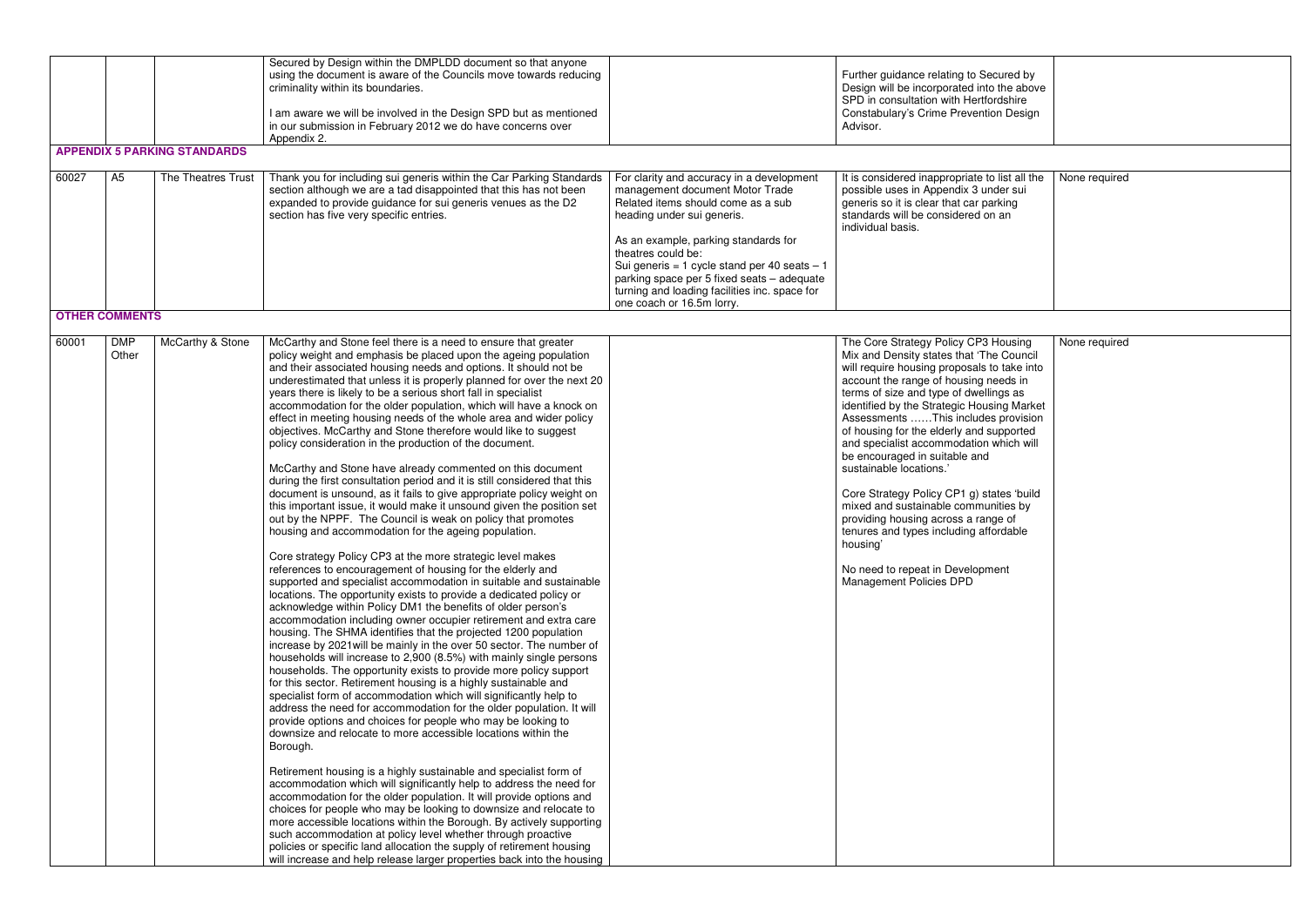| 60027 | A <sub>5</sub>        | <b>APPENDIX 5 PARKING STANDARDS</b><br>The Theatres Trust | Secured by Design within the DMPLDD document so that anyone<br>using the document is aware of the Councils move towards reducing<br>criminality within its boundaries.<br>I am aware we will be involved in the Design SPD but as mentioned<br>in our submission in February 2012 we do have concerns over<br>Appendix 2.<br>Thank you for including sui generis within the Car Parking Standards<br>section although we are a tad disappointed that this has not been<br>expanded to provide guidance for sui generis venues as the D2<br>section has five very specific entries.                                                                                                                                                                                                                                                                                                                                                                                                                                                                                                                                                                                                                                                                                                                                                                                                                                                                                                                                                                                                                                                                                                                                                                                                                                                                                                                                                                                                                                                                                                                                                                                                                                                                                                                                                                                                                                                                                                                                                                                                                                                                                                                 | For clarity and accuracy in a development<br>management document Motor Trade<br>Related items should come as a sub<br>heading under sui generis.<br>As an example, parking standards for<br>theatres could be:<br>Sui generis = 1 cycle stand per 40 seats - 1<br>parking space per 5 fixed seats - adequate<br>turning and loading facilities inc. space for | Further guidance relating to Secured by<br>Design will be incorporated into the above<br>SPD in consultation with Hertfordshire<br>Constabulary's Crime Prevention Design<br>Advisor.<br>It is considered inappropriate to list all the<br>possible uses in Appendix 3 under sui<br>generis so it is clear that car parking<br>standards will be considered on an<br>individual basis.                                                                                                                                                                                                                                                                                                                      | None required |
|-------|-----------------------|-----------------------------------------------------------|----------------------------------------------------------------------------------------------------------------------------------------------------------------------------------------------------------------------------------------------------------------------------------------------------------------------------------------------------------------------------------------------------------------------------------------------------------------------------------------------------------------------------------------------------------------------------------------------------------------------------------------------------------------------------------------------------------------------------------------------------------------------------------------------------------------------------------------------------------------------------------------------------------------------------------------------------------------------------------------------------------------------------------------------------------------------------------------------------------------------------------------------------------------------------------------------------------------------------------------------------------------------------------------------------------------------------------------------------------------------------------------------------------------------------------------------------------------------------------------------------------------------------------------------------------------------------------------------------------------------------------------------------------------------------------------------------------------------------------------------------------------------------------------------------------------------------------------------------------------------------------------------------------------------------------------------------------------------------------------------------------------------------------------------------------------------------------------------------------------------------------------------------------------------------------------------------------------------------------------------------------------------------------------------------------------------------------------------------------------------------------------------------------------------------------------------------------------------------------------------------------------------------------------------------------------------------------------------------------------------------------------------------------------------------------------------------|---------------------------------------------------------------------------------------------------------------------------------------------------------------------------------------------------------------------------------------------------------------------------------------------------------------------------------------------------------------|-------------------------------------------------------------------------------------------------------------------------------------------------------------------------------------------------------------------------------------------------------------------------------------------------------------------------------------------------------------------------------------------------------------------------------------------------------------------------------------------------------------------------------------------------------------------------------------------------------------------------------------------------------------------------------------------------------------|---------------|
|       | <b>OTHER COMMENTS</b> |                                                           |                                                                                                                                                                                                                                                                                                                                                                                                                                                                                                                                                                                                                                                                                                                                                                                                                                                                                                                                                                                                                                                                                                                                                                                                                                                                                                                                                                                                                                                                                                                                                                                                                                                                                                                                                                                                                                                                                                                                                                                                                                                                                                                                                                                                                                                                                                                                                                                                                                                                                                                                                                                                                                                                                                    | one coach or 16.5m lorry.                                                                                                                                                                                                                                                                                                                                     |                                                                                                                                                                                                                                                                                                                                                                                                                                                                                                                                                                                                                                                                                                             |               |
| 60001 | <b>DMP</b><br>Other   | McCarthy & Stone                                          | McCarthy and Stone feel there is a need to ensure that greater<br>policy weight and emphasis be placed upon the ageing population<br>and their associated housing needs and options. It should not be<br>underestimated that unless it is properly planned for over the next 20<br>years there is likely to be a serious short fall in specialist<br>accommodation for the older population, which will have a knock on<br>effect in meeting housing needs of the whole area and wider policy<br>objectives. McCarthy and Stone therefore would like to suggest<br>policy consideration in the production of the document.<br>McCarthy and Stone have already commented on this document<br>during the first consultation period and it is still considered that this<br>document is unsound, as it fails to give appropriate policy weight on<br>this important issue, it would make it unsound given the position set<br>out by the NPPF. The Council is weak on policy that promotes<br>housing and accommodation for the ageing population.<br>Core strategy Policy CP3 at the more strategic level makes<br>references to encouragement of housing for the elderly and<br>supported and specialist accommodation in suitable and sustainable<br>locations. The opportunity exists to provide a dedicated policy or<br>acknowledge within Policy DM1 the benefits of older person's<br>accommodation including owner occupier retirement and extra care<br>housing. The SHMA identifies that the projected 1200 population<br>increase by 2021 will be mainly in the over 50 sector. The number of<br>households will increase to 2,900 (8.5%) with mainly single persons<br>households. The opportunity exists to provide more policy support<br>for this sector. Retirement housing is a highly sustainable and<br>specialist form of accommodation which will significantly help to<br>address the need for accommodation for the older population. It will<br>provide options and choices for people who may be looking to<br>downsize and relocate to more accessible locations within the<br>Borough.<br>Retirement housing is a highly sustainable and specialist form of<br>accommodation which will significantly help to address the need for<br>accommodation for the older population. It will provide options and<br>choices for people who may be looking to downsize and relocate to<br>more accessible locations within the Borough. By actively supporting<br>such accommodation at policy level whether through proactive<br>policies or specific land allocation the supply of retirement housing<br>will increase and help release larger properties back into the housing |                                                                                                                                                                                                                                                                                                                                                               | The Core Strategy Policy CP3 Housing<br>Mix and Density states that 'The Council<br>will require housing proposals to take into<br>account the range of housing needs in<br>terms of size and type of dwellings as<br>identified by the Strategic Housing Market<br>Assessments This includes provision<br>of housing for the elderly and supported<br>and specialist accommodation which will<br>be encouraged in suitable and<br>sustainable locations.'<br>Core Strategy Policy CP1 g) states 'build<br>mixed and sustainable communities by<br>providing housing across a range of<br>tenures and types including affordable<br>housing'<br>No need to repeat in Development<br>Management Policies DPD | None required |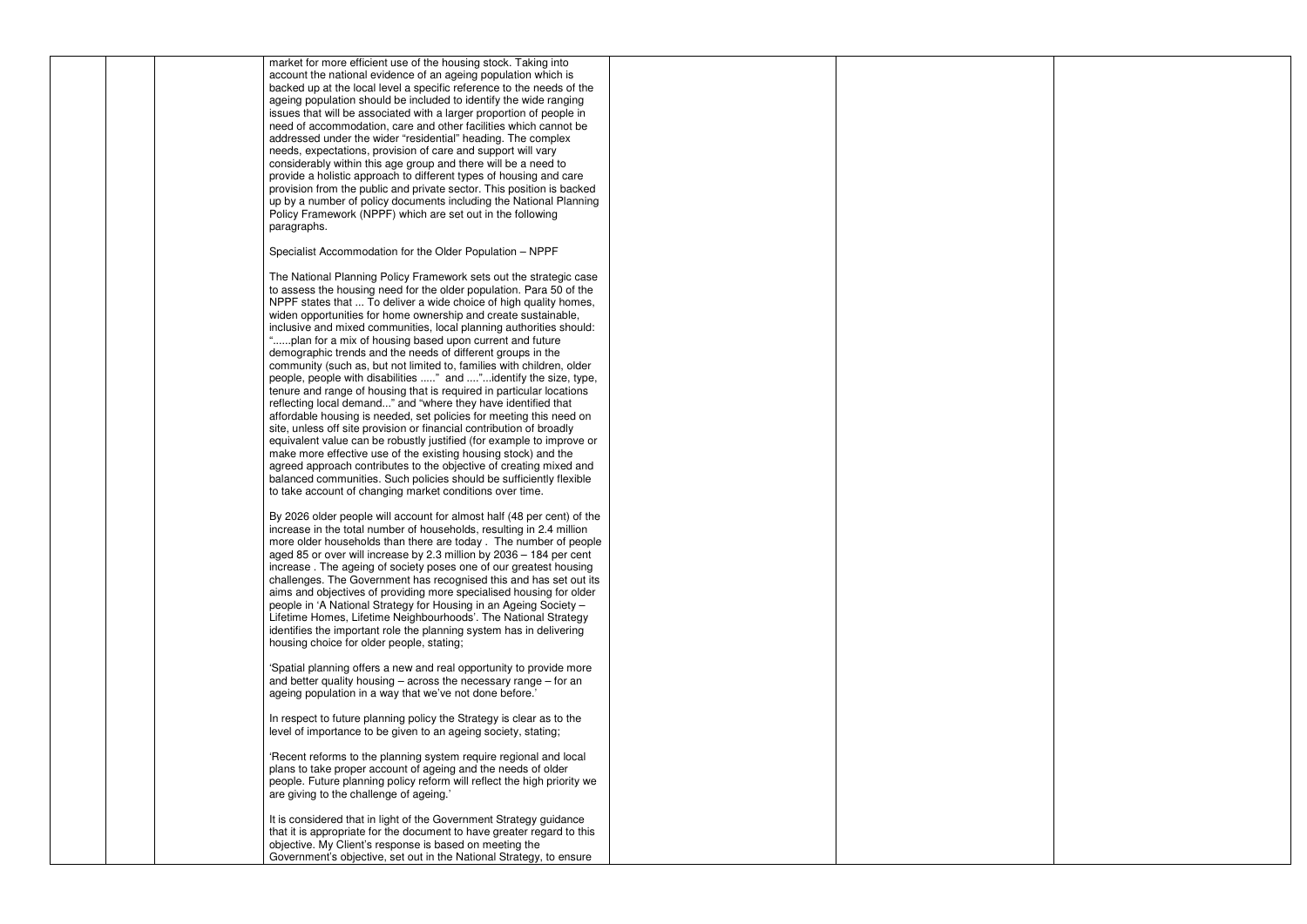| market for more efficient use of the housing stock. Taking into<br>account the national evidence of an ageing population which is<br>backed up at the local level a specific reference to the needs of the<br>ageing population should be included to identify the wide ranging<br>issues that will be associated with a larger proportion of people in<br>need of accommodation, care and other facilities which cannot be<br>addressed under the wider "residential" heading. The complex<br>needs, expectations, provision of care and support will vary<br>considerably within this age group and there will be a need to<br>provide a holistic approach to different types of housing and care<br>provision from the public and private sector. This position is backed<br>up by a number of policy documents including the National Planning<br>Policy Framework (NPPF) which are set out in the following<br>paragraphs.                                                                                                                                                                                                                                                                                                                                             |  |
|-----------------------------------------------------------------------------------------------------------------------------------------------------------------------------------------------------------------------------------------------------------------------------------------------------------------------------------------------------------------------------------------------------------------------------------------------------------------------------------------------------------------------------------------------------------------------------------------------------------------------------------------------------------------------------------------------------------------------------------------------------------------------------------------------------------------------------------------------------------------------------------------------------------------------------------------------------------------------------------------------------------------------------------------------------------------------------------------------------------------------------------------------------------------------------------------------------------------------------------------------------------------------------|--|
| Specialist Accommodation for the Older Population - NPPF                                                                                                                                                                                                                                                                                                                                                                                                                                                                                                                                                                                                                                                                                                                                                                                                                                                                                                                                                                                                                                                                                                                                                                                                                    |  |
| The National Planning Policy Framework sets out the strategic case<br>to assess the housing need for the older population. Para 50 of the<br>NPPF states that  To deliver a wide choice of high quality homes,<br>widen opportunities for home ownership and create sustainable,<br>inclusive and mixed communities, local planning authorities should:<br>"plan for a mix of housing based upon current and future<br>demographic trends and the needs of different groups in the<br>community (such as, but not limited to, families with children, older<br>people, people with disabilities " and "identify the size, type,<br>tenure and range of housing that is required in particular locations<br>reflecting local demand" and "where they have identified that<br>affordable housing is needed, set policies for meeting this need on<br>site, unless off site provision or financial contribution of broadly<br>equivalent value can be robustly justified (for example to improve or<br>make more effective use of the existing housing stock) and the<br>agreed approach contributes to the objective of creating mixed and<br>balanced communities. Such policies should be sufficiently flexible<br>to take account of changing market conditions over time. |  |
| By 2026 older people will account for almost half (48 per cent) of the<br>increase in the total number of households, resulting in 2.4 million<br>more older households than there are today. The number of people<br>aged 85 or over will increase by 2.3 million by 2036 - 184 per cent<br>increase. The ageing of society poses one of our greatest housing<br>challenges. The Government has recognised this and has set out its<br>aims and objectives of providing more specialised housing for older<br>people in 'A National Strategy for Housing in an Ageing Society -<br>Lifetime Homes, Lifetime Neighbourhoods'. The National Strategy<br>identifies the important role the planning system has in delivering<br>housing choice for older people, stating;                                                                                                                                                                                                                                                                                                                                                                                                                                                                                                     |  |
| 'Spatial planning offers a new and real opportunity to provide more<br>and better quality housing $-$ across the necessary range $-$ for an<br>ageing population in a way that we've not done before.'                                                                                                                                                                                                                                                                                                                                                                                                                                                                                                                                                                                                                                                                                                                                                                                                                                                                                                                                                                                                                                                                      |  |
| In respect to future planning policy the Strategy is clear as to the<br>level of importance to be given to an ageing society, stating;                                                                                                                                                                                                                                                                                                                                                                                                                                                                                                                                                                                                                                                                                                                                                                                                                                                                                                                                                                                                                                                                                                                                      |  |
| 'Recent reforms to the planning system require regional and local<br>plans to take proper account of ageing and the needs of older<br>people. Future planning policy reform will reflect the high priority we<br>are giving to the challenge of ageing.'                                                                                                                                                                                                                                                                                                                                                                                                                                                                                                                                                                                                                                                                                                                                                                                                                                                                                                                                                                                                                    |  |
| It is considered that in light of the Government Strategy guidance<br>that it is appropriate for the document to have greater regard to this<br>objective. My Client's response is based on meeting the<br>Government's objective, set out in the National Strategy, to ensure                                                                                                                                                                                                                                                                                                                                                                                                                                                                                                                                                                                                                                                                                                                                                                                                                                                                                                                                                                                              |  |

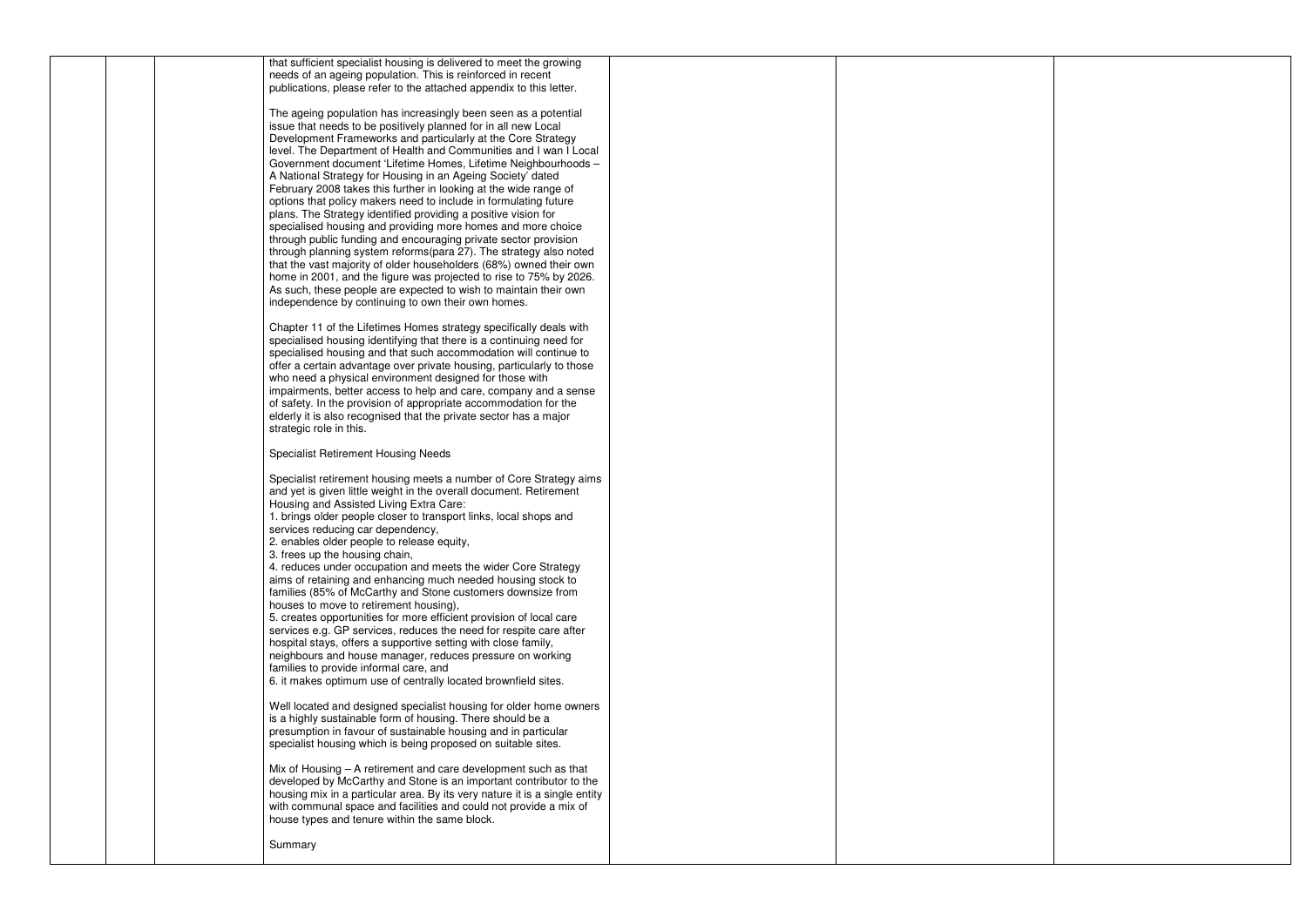|  | that sufficient specialist housing is delivered to meet the growing<br>needs of an ageing population. This is reinforced in recent<br>publications, please refer to the attached appendix to this letter.                                                                                                                                                                                                                                                                                                                                                                                                                                                                                                                                                                                                                                                                                                                                                                                                                                                                                       |  |
|--|-------------------------------------------------------------------------------------------------------------------------------------------------------------------------------------------------------------------------------------------------------------------------------------------------------------------------------------------------------------------------------------------------------------------------------------------------------------------------------------------------------------------------------------------------------------------------------------------------------------------------------------------------------------------------------------------------------------------------------------------------------------------------------------------------------------------------------------------------------------------------------------------------------------------------------------------------------------------------------------------------------------------------------------------------------------------------------------------------|--|
|  | The ageing population has increasingly been seen as a potential<br>issue that needs to be positively planned for in all new Local<br>Development Frameworks and particularly at the Core Strategy<br>level. The Department of Health and Communities and I wan I Local<br>Government document 'Lifetime Homes, Lifetime Neighbourhoods -<br>A National Strategy for Housing in an Ageing Society' dated<br>February 2008 takes this further in looking at the wide range of<br>options that policy makers need to include in formulating future<br>plans. The Strategy identified providing a positive vision for<br>specialised housing and providing more homes and more choice<br>through public funding and encouraging private sector provision<br>through planning system reforms(para 27). The strategy also noted<br>that the vast majority of older householders (68%) owned their own<br>home in 2001, and the figure was projected to rise to 75% by 2026.<br>As such, these people are expected to wish to maintain their own<br>independence by continuing to own their own homes. |  |
|  | Chapter 11 of the Lifetimes Homes strategy specifically deals with<br>specialised housing identifying that there is a continuing need for<br>specialised housing and that such accommodation will continue to<br>offer a certain advantage over private housing, particularly to those<br>who need a physical environment designed for those with<br>impairments, better access to help and care, company and a sense<br>of safety. In the provision of appropriate accommodation for the<br>elderly it is also recognised that the private sector has a major<br>strategic role in this.                                                                                                                                                                                                                                                                                                                                                                                                                                                                                                       |  |
|  | <b>Specialist Retirement Housing Needs</b>                                                                                                                                                                                                                                                                                                                                                                                                                                                                                                                                                                                                                                                                                                                                                                                                                                                                                                                                                                                                                                                      |  |
|  | Specialist retirement housing meets a number of Core Strategy aims<br>and yet is given little weight in the overall document. Retirement<br>Housing and Assisted Living Extra Care:<br>1. brings older people closer to transport links, local shops and<br>services reducing car dependency,<br>2. enables older people to release equity,<br>3. frees up the housing chain,<br>4. reduces under occupation and meets the wider Core Strategy<br>aims of retaining and enhancing much needed housing stock to<br>families (85% of McCarthy and Stone customers downsize from<br>houses to move to retirement housing),<br>5. creates opportunities for more efficient provision of local care<br>services e.g. GP services, reduces the need for respite care after<br>hospital stays, offers a supportive setting with close family,<br>neighbours and house manager, reduces pressure on working<br>families to provide informal care, and<br>6. it makes optimum use of centrally located brownfield sites.                                                                                 |  |
|  | Well located and designed specialist housing for older home owners<br>is a highly sustainable form of housing. There should be a<br>presumption in favour of sustainable housing and in particular<br>specialist housing which is being proposed on suitable sites.                                                                                                                                                                                                                                                                                                                                                                                                                                                                                                                                                                                                                                                                                                                                                                                                                             |  |
|  | Mix of Housing – A retirement and care development such as that<br>developed by McCarthy and Stone is an important contributor to the<br>housing mix in a particular area. By its very nature it is a single entity<br>with communal space and facilities and could not provide a mix of<br>house types and tenure within the same block.                                                                                                                                                                                                                                                                                                                                                                                                                                                                                                                                                                                                                                                                                                                                                       |  |
|  | Summary                                                                                                                                                                                                                                                                                                                                                                                                                                                                                                                                                                                                                                                                                                                                                                                                                                                                                                                                                                                                                                                                                         |  |
|  |                                                                                                                                                                                                                                                                                                                                                                                                                                                                                                                                                                                                                                                                                                                                                                                                                                                                                                                                                                                                                                                                                                 |  |

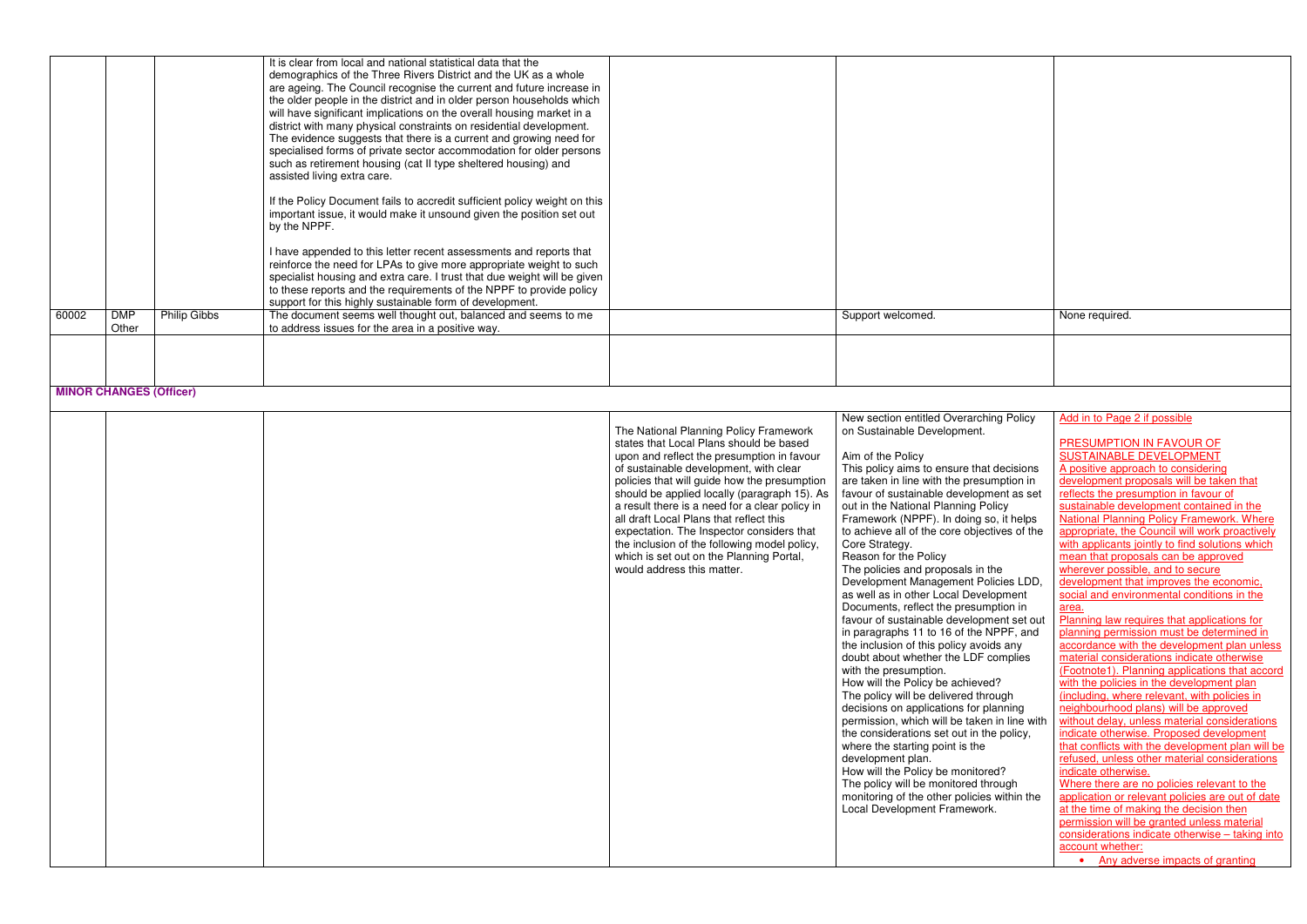| 60002 | <b>DMP</b><br>Other | <b>Philip Gibbs</b> | The document seems well thought out, balanced and seems to me<br>to address issues for the area in a positive way.                                                                                                                                                                                                                                                                                                                                                                                                                                                                                                                                                              | Support welcomed. |
|-------|---------------------|---------------------|---------------------------------------------------------------------------------------------------------------------------------------------------------------------------------------------------------------------------------------------------------------------------------------------------------------------------------------------------------------------------------------------------------------------------------------------------------------------------------------------------------------------------------------------------------------------------------------------------------------------------------------------------------------------------------|-------------------|
|       |                     |                     | I have appended to this letter recent assessments and reports that<br>reinforce the need for LPAs to give more appropriate weight to such<br>specialist housing and extra care. I trust that due weight will be given<br>to these reports and the requirements of the NPPF to provide policy<br>support for this highly sustainable form of development.                                                                                                                                                                                                                                                                                                                        |                   |
|       |                     |                     | If the Policy Document fails to accredit sufficient policy weight on this<br>important issue, it would make it unsound given the position set out<br>by the NPPF.                                                                                                                                                                                                                                                                                                                                                                                                                                                                                                               |                   |
|       |                     |                     | It is clear from local and national statistical data that the<br>demographics of the Three Rivers District and the UK as a whole<br>are ageing. The Council recognise the current and future increase in<br>the older people in the district and in older person households which<br>will have significant implications on the overall housing market in a<br>district with many physical constraints on residential development.<br>The evidence suggests that there is a current and growing need for<br>specialised forms of private sector accommodation for older persons<br>such as retirement housing (cat II type sheltered housing) and<br>assisted living extra care. |                   |

## **MINOR CHANGES (Officer)**

|  |                                                | New section entitled Overarching Policy      | Add in to Page 2 if possible                     |
|--|------------------------------------------------|----------------------------------------------|--------------------------------------------------|
|  | The National Planning Policy Framework         | on Sustainable Development.                  |                                                  |
|  | states that Local Plans should be based        |                                              | PRESUMPTION IN FAVOUR OF                         |
|  | upon and reflect the presumption in favour     | Aim of the Policy                            | SUSTAINABLE DEVELOPMENT                          |
|  | of sustainable development, with clear         | This policy aims to ensure that decisions    | A positive approach to considering               |
|  | policies that will guide how the presumption   | are taken in line with the presumption in    | development proposals will be taken that         |
|  | should be applied locally (paragraph 15). As   | favour of sustainable development as set     | reflects the presumption in favour of            |
|  | a result there is a need for a clear policy in | out in the National Planning Policy          | sustainable development contained in the         |
|  | all draft Local Plans that reflect this        | Framework (NPPF). In doing so, it helps      | National Planning Policy Framework. Where        |
|  | expectation. The Inspector considers that      | to achieve all of the core objectives of the | appropriate, the Council will work proactively   |
|  | the inclusion of the following model policy,   | Core Strategy.                               | with applicants jointly to find solutions which  |
|  | which is set out on the Planning Portal,       | Reason for the Policy                        | mean that proposals can be approved              |
|  | would address this matter.                     | The policies and proposals in the            | wherever possible, and to secure                 |
|  |                                                | Development Management Policies LDD,         | development that improves the economic,          |
|  |                                                | as well as in other Local Development        | social and environmental conditions in the       |
|  |                                                | Documents, reflect the presumption in        | area.                                            |
|  |                                                | favour of sustainable development set out    | Planning law requires that applications for      |
|  |                                                | in paragraphs 11 to 16 of the NPPF, and      | planning permission must be determined in        |
|  |                                                | the inclusion of this policy avoids any      | accordance with the development plan unless      |
|  |                                                | doubt about whether the LDF complies         | material considerations indicate otherwise       |
|  |                                                | with the presumption.                        | (Footnote1). Planning applications that accord   |
|  |                                                | How will the Policy be achieved?             | with the policies in the development plan        |
|  |                                                | The policy will be delivered through         | (including, where relevant, with policies in     |
|  |                                                | decisions on applications for planning       | neighbourhood plans) will be approved            |
|  |                                                | permission, which will be taken in line with | without delay, unless material considerations    |
|  |                                                | the considerations set out in the policy,    | indicate otherwise. Proposed development         |
|  |                                                | where the starting point is the              | that conflicts with the development plan will be |
|  |                                                | development plan.                            | refused, unless other material considerations    |
|  |                                                | How will the Policy be monitored?            | indicate otherwise.                              |
|  |                                                | The policy will be monitored through         | Where there are no policies relevant to the      |
|  |                                                | monitoring of the other policies within the  | application or relevant policies are out of date |
|  |                                                | Local Development Framework.                 | at the time of making the decision then          |
|  |                                                |                                              | permission will be granted unless material       |
|  |                                                |                                              | considerations indicate otherwise - taking into  |
|  |                                                |                                              | account whether:                                 |
|  |                                                |                                              | • Any adverse impacts of granting                |

| d. | None required. |
|----|----------------|
|    |                |
|    |                |